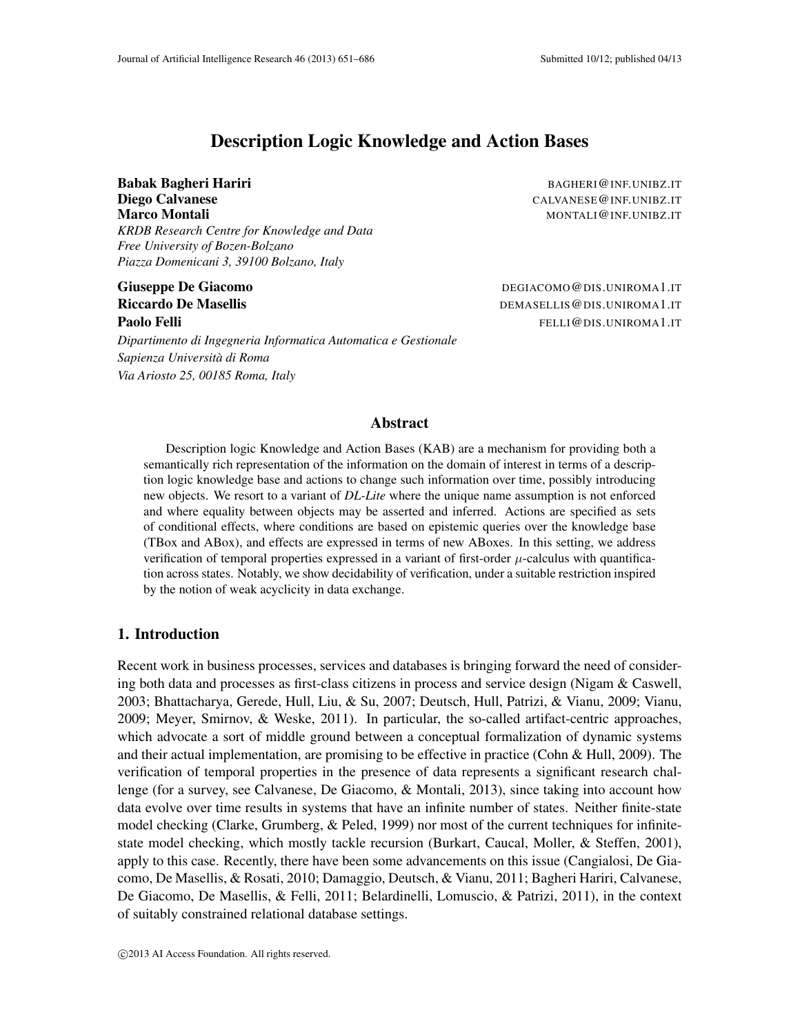# Description Logic Knowledge and Action Bases

**Babak Bagheri Hariri Babak Bagheri Hariri BAGHERI@INF.UNIBZ.IT Diego Calvanese** CALVANESE @INF.UNIBZ.IT **Marco Montali** Montali Montali Montali Montali Montali Montali Montali Montali Montali Montali Montali Montali Montali Montali Montali Montali Montali Montali Montali Montali Montali Montali Montali Montali Montali Montal *KRDB Research Centre for Knowledge and Data Free University of Bozen-Bolzano Piazza Domenicani 3, 39100 Bolzano, Italy*

*Dipartimento di Ingegneria Informatica Automatica e Gestionale Sapienza Universita di Roma ` Via Ariosto 25, 00185 Roma, Italy*

Giuseppe De Giacomo de Componente de Componente de Componente de Componente de DEGIACOMO CONSUMIROMA1.IT Riccardo De Masellis **DEMASELLIS DEMASELLIS @DIS.UNIROMA1.IT Paolo Felli** FELLI@DIS.UNIROMA1.IT

# Abstract

Description logic Knowledge and Action Bases (KAB) are a mechanism for providing both a semantically rich representation of the information on the domain of interest in terms of a description logic knowledge base and actions to change such information over time, possibly introducing new objects. We resort to a variant of *DL-Lite* where the unique name assumption is not enforced and where equality between objects may be asserted and inferred. Actions are specified as sets of conditional effects, where conditions are based on epistemic queries over the knowledge base (TBox and ABox), and effects are expressed in terms of new ABoxes. In this setting, we address verification of temporal properties expressed in a variant of first-order  $\mu$ -calculus with quantification across states. Notably, we show decidability of verification, under a suitable restriction inspired by the notion of weak acyclicity in data exchange.

# 1. Introduction

Recent work in business processes, services and databases is bringing forward the need of considering both data and processes as first-class citizens in process and service design (Nigam & Caswell, 2003; Bhattacharya, Gerede, Hull, Liu, & Su, 2007; Deutsch, Hull, Patrizi, & Vianu, 2009; Vianu, 2009; Meyer, Smirnov, & Weske, 2011). In particular, the so-called artifact-centric approaches, which advocate a sort of middle ground between a conceptual formalization of dynamic systems and their actual implementation, are promising to be effective in practice (Cohn & Hull, 2009). The verification of temporal properties in the presence of data represents a significant research challenge (for a survey, see Calvanese, De Giacomo, & Montali, 2013), since taking into account how data evolve over time results in systems that have an infinite number of states. Neither finite-state model checking (Clarke, Grumberg, & Peled, 1999) nor most of the current techniques for infinitestate model checking, which mostly tackle recursion (Burkart, Caucal, Moller, & Steffen, 2001), apply to this case. Recently, there have been some advancements on this issue (Cangialosi, De Giacomo, De Masellis, & Rosati, 2010; Damaggio, Deutsch, & Vianu, 2011; Bagheri Hariri, Calvanese, De Giacomo, De Masellis, & Felli, 2011; Belardinelli, Lomuscio, & Patrizi, 2011), in the context of suitably constrained relational database settings.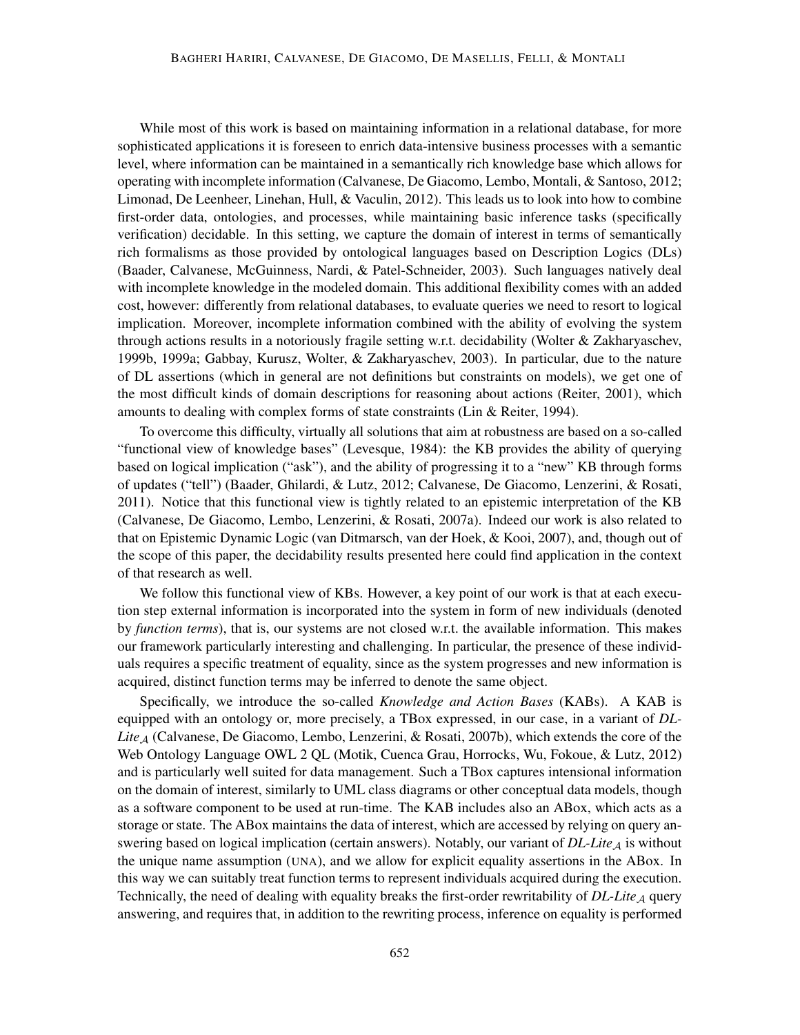While most of this work is based on maintaining information in a relational database, for more sophisticated applications it is foreseen to enrich data-intensive business processes with a semantic level, where information can be maintained in a semantically rich knowledge base which allows for operating with incomplete information (Calvanese, De Giacomo, Lembo, Montali, & Santoso, 2012; Limonad, De Leenheer, Linehan, Hull, & Vaculin, 2012). This leads us to look into how to combine first-order data, ontologies, and processes, while maintaining basic inference tasks (specifically verification) decidable. In this setting, we capture the domain of interest in terms of semantically rich formalisms as those provided by ontological languages based on Description Logics (DLs) (Baader, Calvanese, McGuinness, Nardi, & Patel-Schneider, 2003). Such languages natively deal with incomplete knowledge in the modeled domain. This additional flexibility comes with an added cost, however: differently from relational databases, to evaluate queries we need to resort to logical implication. Moreover, incomplete information combined with the ability of evolving the system through actions results in a notoriously fragile setting w.r.t. decidability (Wolter & Zakharyaschev, 1999b, 1999a; Gabbay, Kurusz, Wolter, & Zakharyaschev, 2003). In particular, due to the nature of DL assertions (which in general are not definitions but constraints on models), we get one of the most difficult kinds of domain descriptions for reasoning about actions (Reiter, 2001), which amounts to dealing with complex forms of state constraints (Lin & Reiter, 1994).

To overcome this difficulty, virtually all solutions that aim at robustness are based on a so-called "functional view of knowledge bases" (Levesque, 1984): the KB provides the ability of querying based on logical implication ("ask"), and the ability of progressing it to a "new" KB through forms of updates ("tell") (Baader, Ghilardi, & Lutz, 2012; Calvanese, De Giacomo, Lenzerini, & Rosati, 2011). Notice that this functional view is tightly related to an epistemic interpretation of the KB (Calvanese, De Giacomo, Lembo, Lenzerini, & Rosati, 2007a). Indeed our work is also related to that on Epistemic Dynamic Logic (van Ditmarsch, van der Hoek, & Kooi, 2007), and, though out of the scope of this paper, the decidability results presented here could find application in the context of that research as well.

We follow this functional view of KBs. However, a key point of our work is that at each execution step external information is incorporated into the system in form of new individuals (denoted by *function terms*), that is, our systems are not closed w.r.t. the available information. This makes our framework particularly interesting and challenging. In particular, the presence of these individuals requires a specific treatment of equality, since as the system progresses and new information is acquired, distinct function terms may be inferred to denote the same object.

Specifically, we introduce the so-called *Knowledge and Action Bases* (KABs). A KAB is equipped with an ontology or, more precisely, a TBox expressed, in our case, in a variant of *DL-*Lite<sub>A</sub> (Calvanese, De Giacomo, Lembo, Lenzerini, & Rosati, 2007b), which extends the core of the Web Ontology Language OWL 2 QL (Motik, Cuenca Grau, Horrocks, Wu, Fokoue, & Lutz, 2012) and is particularly well suited for data management. Such a TBox captures intensional information on the domain of interest, similarly to UML class diagrams or other conceptual data models, though as a software component to be used at run-time. The KAB includes also an ABox, which acts as a storage or state. The ABox maintains the data of interest, which are accessed by relying on query answering based on logical implication (certain answers). Notably, our variant of  $DL\text{-}Life_A$  is without the unique name assumption (UNA), and we allow for explicit equality assertions in the ABox. In this way we can suitably treat function terms to represent individuals acquired during the execution. Technically, the need of dealing with equality breaks the first-order rewritability of  $DL\text{-}Lie_A$  query answering, and requires that, in addition to the rewriting process, inference on equality is performed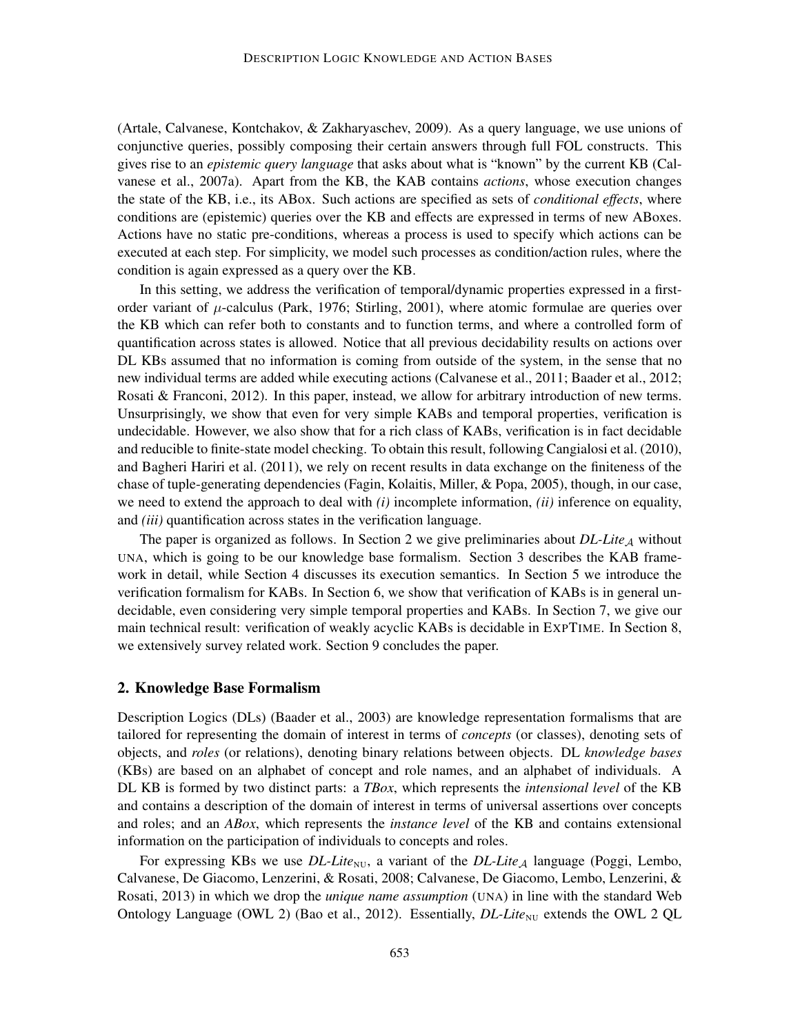(Artale, Calvanese, Kontchakov, & Zakharyaschev, 2009). As a query language, we use unions of conjunctive queries, possibly composing their certain answers through full FOL constructs. This gives rise to an *epistemic query language* that asks about what is "known" by the current KB (Calvanese et al., 2007a). Apart from the KB, the KAB contains *actions*, whose execution changes the state of the KB, i.e., its ABox. Such actions are specified as sets of *conditional effects*, where conditions are (epistemic) queries over the KB and effects are expressed in terms of new ABoxes. Actions have no static pre-conditions, whereas a process is used to specify which actions can be executed at each step. For simplicity, we model such processes as condition/action rules, where the condition is again expressed as a query over the KB.

In this setting, we address the verification of temporal/dynamic properties expressed in a firstorder variant of  $\mu$ -calculus (Park, 1976; Stirling, 2001), where atomic formulae are queries over the KB which can refer both to constants and to function terms, and where a controlled form of quantification across states is allowed. Notice that all previous decidability results on actions over DL KBs assumed that no information is coming from outside of the system, in the sense that no new individual terms are added while executing actions (Calvanese et al., 2011; Baader et al., 2012; Rosati & Franconi, 2012). In this paper, instead, we allow for arbitrary introduction of new terms. Unsurprisingly, we show that even for very simple KABs and temporal properties, verification is undecidable. However, we also show that for a rich class of KABs, verification is in fact decidable and reducible to finite-state model checking. To obtain this result, following Cangialosi et al. (2010), and Bagheri Hariri et al. (2011), we rely on recent results in data exchange on the finiteness of the chase of tuple-generating dependencies (Fagin, Kolaitis, Miller, & Popa, 2005), though, in our case, we need to extend the approach to deal with *(i)* incomplete information, *(ii)* inference on equality, and *(iii)* quantification across states in the verification language.

The paper is organized as follows. In Section 2 we give preliminaries about  $DL\text{-}Lie_A$  without UNA, which is going to be our knowledge base formalism. Section 3 describes the KAB framework in detail, while Section 4 discusses its execution semantics. In Section 5 we introduce the verification formalism for KABs. In Section 6, we show that verification of KABs is in general undecidable, even considering very simple temporal properties and KABs. In Section 7, we give our main technical result: verification of weakly acyclic KABs is decidable in EXPTIME. In Section 8, we extensively survey related work. Section 9 concludes the paper.

### 2. Knowledge Base Formalism

Description Logics (DLs) (Baader et al., 2003) are knowledge representation formalisms that are tailored for representing the domain of interest in terms of *concepts* (or classes), denoting sets of objects, and *roles* (or relations), denoting binary relations between objects. DL *knowledge bases* (KBs) are based on an alphabet of concept and role names, and an alphabet of individuals. A DL KB is formed by two distinct parts: a *TBox*, which represents the *intensional level* of the KB and contains a description of the domain of interest in terms of universal assertions over concepts and roles; and an *ABox*, which represents the *instance level* of the KB and contains extensional information on the participation of individuals to concepts and roles.

For expressing KBs we use *DL-Lite*<sub>NU</sub>, a variant of the *DL-Lite<sub>A</sub>* language (Poggi, Lembo, Calvanese, De Giacomo, Lenzerini, & Rosati, 2008; Calvanese, De Giacomo, Lembo, Lenzerini, & Rosati, 2013) in which we drop the *unique name assumption* (UNA) in line with the standard Web Ontology Language (OWL 2) (Bao et al., 2012). Essentially, *DL-Lite*<sub>NU</sub> extends the OWL 2 QL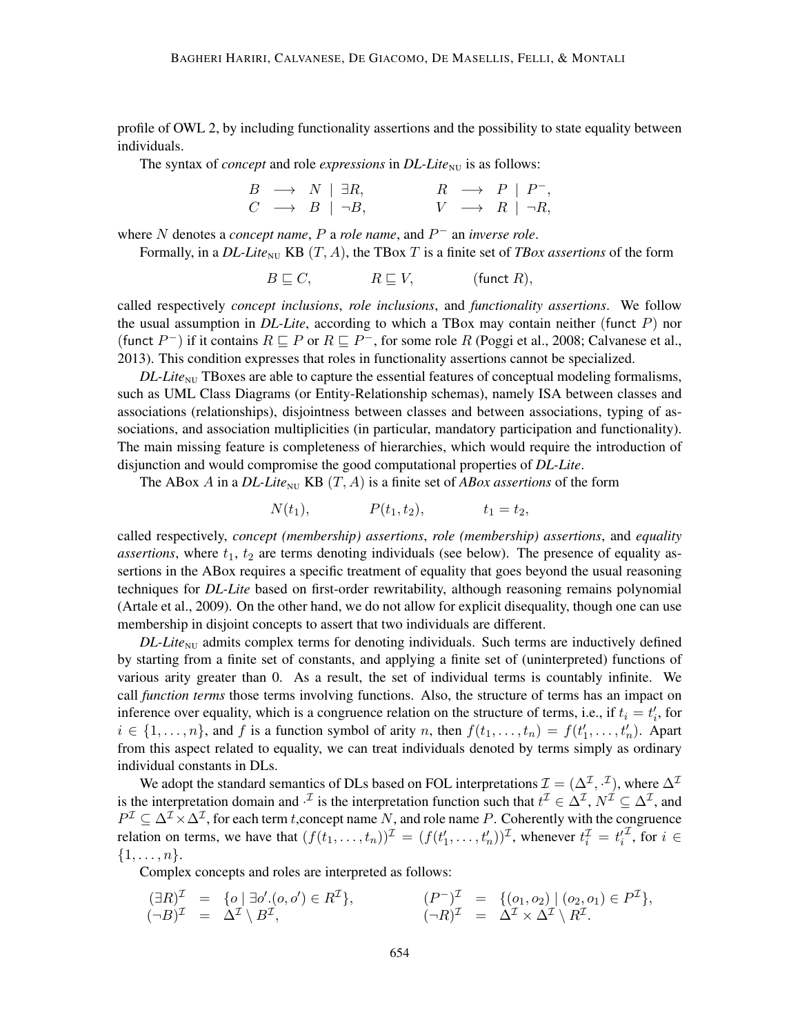profile of OWL 2, by including functionality assertions and the possibility to state equality between individuals.

The syntax of *concept* and role *expressions* in *DL-Lite*<sub>NU</sub> is as follows:

| $B \rightarrow N \mid \exists R,$ |  | $R \rightarrow P   P^-,$       |  |
|-----------------------------------|--|--------------------------------|--|
| $C \rightarrow B \mid \neg B$ ,   |  | $V \rightarrow R \mid \neg R,$ |  |

where N denotes a *concept name*,  $P$  a *role name*, and  $P^-$  an *inverse role*.

Formally, in a  $DL\text{-}Lie_{\text{NU}}$  KB  $(T, A)$ , the TBox T is a finite set of TBox assertions of the form

 $B \sqsubseteq C$ ,  $R \sqsubseteq V$ , (funct R),

called respectively *concept inclusions*, *role inclusions*, and *functionality assertions*. We follow the usual assumption in *DL-Lite*, according to which a TBox may contain neither (funct P) nor (funct  $P^-$ ) if it contains  $R \sqsubseteq P$  or  $R \sqsubseteq P^-$ , for some role R (Poggi et al., 2008; Calvanese et al., 2013). This condition expresses that roles in functionality assertions cannot be specialized.

 $DL\text{-}Lie_{\text{NU}}$  TBoxes are able to capture the essential features of conceptual modeling formalisms, such as UML Class Diagrams (or Entity-Relationship schemas), namely ISA between classes and associations (relationships), disjointness between classes and between associations, typing of associations, and association multiplicities (in particular, mandatory participation and functionality). The main missing feature is completeness of hierarchies, which would require the introduction of disjunction and would compromise the good computational properties of *DL-Lite*.

The ABox A in a *DL-Lite*<sub>NU</sub> KB  $(T, A)$  is a finite set of *ABox assertions* of the form

 $N(t_1),$   $P(t_1, t_2),$   $t_1 = t_2,$ 

called respectively, *concept (membership) assertions*, *role (membership) assertions*, and *equality assertions*, where  $t_1$ ,  $t_2$  are terms denoting individuals (see below). The presence of equality assertions in the ABox requires a specific treatment of equality that goes beyond the usual reasoning techniques for *DL-Lite* based on first-order rewritability, although reasoning remains polynomial (Artale et al., 2009). On the other hand, we do not allow for explicit disequality, though one can use membership in disjoint concepts to assert that two individuals are different.

 $DL\text{-}Life_{\text{NU}}$  admits complex terms for denoting individuals. Such terms are inductively defined by starting from a finite set of constants, and applying a finite set of (uninterpreted) functions of various arity greater than 0. As a result, the set of individual terms is countably infinite. We call *function terms* those terms involving functions. Also, the structure of terms has an impact on inference over equality, which is a congruence relation on the structure of terms, i.e., if  $t_i = t'_i$ , for  $i \in \{1, \ldots, n\}$ , and f is a function symbol of arity n, then  $f(t_1, \ldots, t_n) = f(t'_1, \ldots, t'_n)$ . Apart from this aspect related to equality, we can treat individuals denoted by terms simply as ordinary individual constants in DLs.

We adopt the standard semantics of DLs based on FOL interpretations  $\mathcal{I} = (\Delta^{\mathcal{I}}, \cdot^{\mathcal{I}})$ , where  $\Delta^{\mathcal{I}}$ is the interpretation domain and  $\cdot^{\mathcal{I}}$  is the interpretation function such that  $t^{\mathcal{I}} \in \Delta^{\mathcal{I}}$ ,  $N^{\mathcal{I}} \subseteq \Delta^{\mathcal{I}}$ , and  $P^{\mathcal{I}} \subseteq \Delta^{\mathcal{I}} \times \Delta^{\mathcal{I}}$ , for each term t, concept name N, and role name P. Coherently with the congruence relation on terms, we have that  $(f(t_1, \ldots, t_n))^{\mathcal{I}} = (f(t'_1, \ldots, t'_n))^{\mathcal{I}}$ , whenever  $t_i^{\mathcal{I}} = t'_i$  $\mathcal{I}$ , for  $i \in$  $\{1,\ldots,n\}.$ 

Complex concepts and roles are interpreted as follows:

$$
\begin{array}{rcl}\n(\exists R)^{\mathcal{I}} & = & \{o \mid \exists o'.(o, o') \in R^{\mathcal{I}}\}, \\
(\neg B)^{\mathcal{I}} & = & \Delta^{\mathcal{I}} \setminus B^{\mathcal{I}}, \\
(\neg B)^{\mathcal{I}} & = & \Delta^{\mathcal{I}} \setminus B^{\mathcal{I}}, \\
(\neg R)^{\mathcal{I}} & = & \Delta^{\mathcal{I}} \times \Delta^{\mathcal{I}} \setminus R^{\mathcal{I}}.\n\end{array}
$$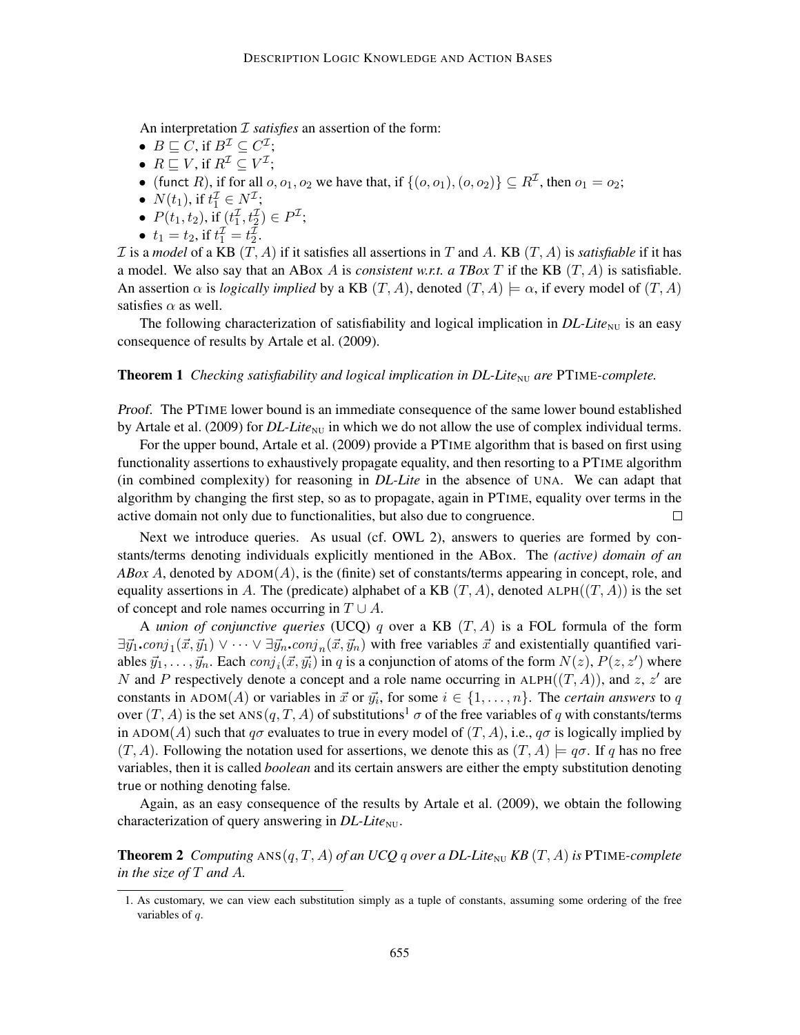An interpretation *I satisfies* an assertion of the form:

- $B \sqsubseteq C$ , if  $B^{\mathcal{I}} \subseteq C^{\mathcal{I}}$ ;
- $R \sqsubseteq V$ , if  $R^{\mathcal{I}} \subseteq V^{\mathcal{I}}$ ;
- (funct R), if for all  $o, o_1, o_2$  we have that, if  $\{(o, o_1), (o, o_2)\} \subseteq R^{\mathcal{I}}$ , then  $o_1 = o_2$ ;
- $N(t_1)$ , if  $t_1^{\mathcal{I}} \in N^{\mathcal{I}}$ ;
- $P(t_1, t_2)$ , if  $(t_1^{\mathcal{I}}, t_2^{\mathcal{I}}) \in P^{\mathcal{I}}$ ;
- $t_1 = t_2$ , if  $t_1^{\mathcal{I}} = t_2^{\mathcal{I}}$ .

I is a *model* of a KB  $(T, A)$  if it satisfies all assertions in T and A. KB  $(T, A)$  is *satisfiable* if it has a model. We also say that an ABox A is *consistent w.r.t. a TBox T* if the KB  $(T, A)$  is satisfiable. An assertion  $\alpha$  is *logically implied* by a KB  $(T, A)$ , denoted  $(T, A) \models \alpha$ , if every model of  $(T, A)$ satisfies  $\alpha$  as well.

The following characterization of satisfiability and logical implication in  $DL\text{-}Lie_{\text{NU}}$  is an easy consequence of results by Artale et al. (2009).

#### **Theorem 1** *Checking satisfiability and logical implication in DL-Lite<sub>NU</sub> are PTIME-complete.*

Proof. The PTIME lower bound is an immediate consequence of the same lower bound established by Artale et al. (2009) for *DL-Lite*<sub>NU</sub> in which we do not allow the use of complex individual terms.

For the upper bound, Artale et al. (2009) provide a PTIME algorithm that is based on first using functionality assertions to exhaustively propagate equality, and then resorting to a PTIME algorithm (in combined complexity) for reasoning in *DL-Lite* in the absence of UNA. We can adapt that algorithm by changing the first step, so as to propagate, again in PTIME, equality over terms in the active domain not only due to functionalities, but also due to congruence.  $\Box$ 

Next we introduce queries. As usual (cf. OWL 2), answers to queries are formed by constants/terms denoting individuals explicitly mentioned in the ABox. The *(active) domain of an ABox A*, denoted by  $A$ DOM $(A)$ , is the (finite) set of constants/terms appearing in concept, role, and equality assertions in A. The (predicate) alphabet of a KB  $(T, A)$ , denoted ALPH $((T, A))$  is the set of concept and role names occurring in  $T \cup A$ .

A *union of conjunctive queries* (UCQ) q over a KB (T, A) is a FOL formula of the form  $\exists \vec{y_1}.\text{conj}_1(\vec{x}, \vec{y_1}) \vee \cdots \vee \exists \vec{y_n}.\text{conj}_n(\vec{x}, \vec{y_n})$  with free variables  $\vec{x}$  and existentially quantified variables  $\vec{y}_1, \ldots, \vec{y}_n$ . Each  $conj_i(\vec{x}, \vec{y_i})$  in q is a conjunction of atoms of the form  $N(z)$ ,  $P(z, z')$  where N and P respectively denote a concept and a role name occurring in ALPH $((T, A))$ , and z, z' are constants in ADOM(A) or variables in  $\vec{x}$  or  $\vec{y_i}$ , for some  $i \in \{1, ..., n\}$ . The *certain answers* to q over  $(T, A)$  is the set ANS $(q, T, A)$  of substitutions<sup>1</sup>  $\sigma$  of the free variables of q with constants/terms in ADOM(A) such that  $q\sigma$  evaluates to true in every model of  $(T, A)$ , i.e.,  $q\sigma$  is logically implied by  $(T, A)$ . Following the notation used for assertions, we denote this as  $(T, A) \models q\sigma$ . If q has no free variables, then it is called *boolean* and its certain answers are either the empty substitution denoting true or nothing denoting false.

Again, as an easy consequence of the results by Artale et al. (2009), we obtain the following characterization of query answering in *DL-Lite*<sub>NU</sub>.

**Theorem 2** *Computing*  $ANS(q, T, A)$  *of an UCQ q over a DL-Lite*<sub>NU</sub> *KB*  $(T, A)$  *is* PTIME-*complete in the size of* T *and* A*.*

<sup>1.</sup> As customary, we can view each substitution simply as a tuple of constants, assuming some ordering of the free variables of q.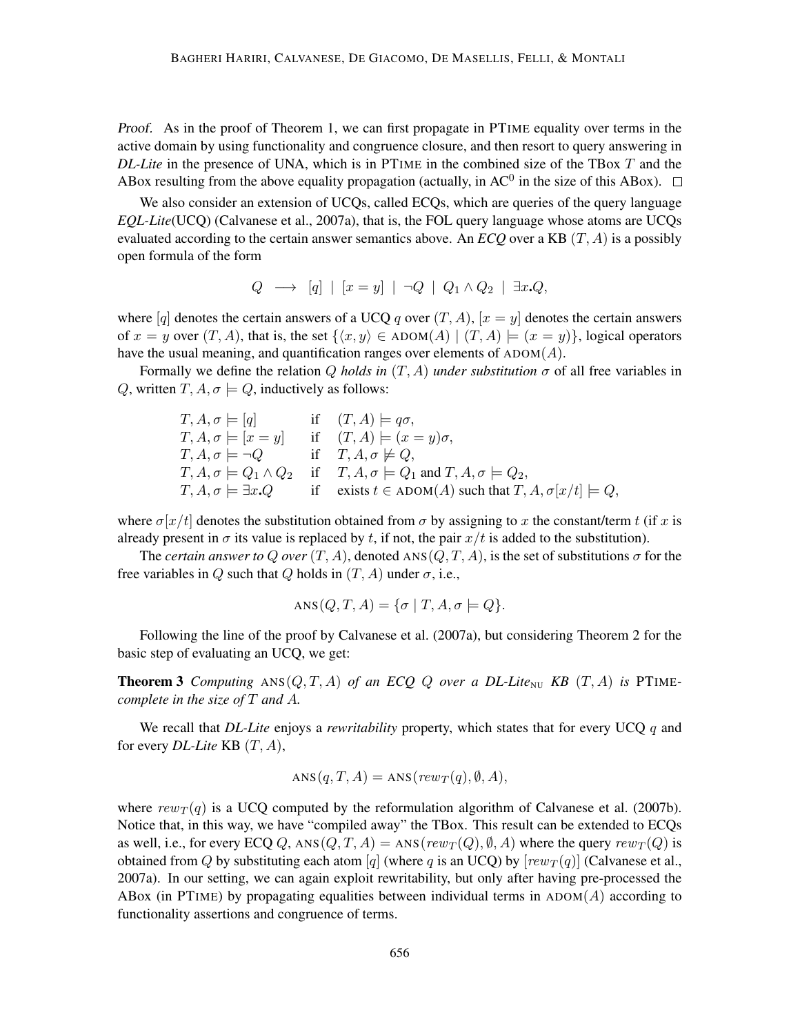Proof. As in the proof of Theorem 1, we can first propagate in PTIME equality over terms in the active domain by using functionality and congruence closure, and then resort to query answering in *DL-Lite* in the presence of UNA, which is in PTIME in the combined size of the TBox T and the ABox resulting from the above equality propagation (actually, in  $AC^0$  in the size of this ABox).

We also consider an extension of UCQs, called ECQs, which are queries of the query language *EQL-Lite*(UCQ) (Calvanese et al., 2007a), that is, the FOL query language whose atoms are UCQs evaluated according to the certain answer semantics above. An  $ECO$  over a KB  $(T, A)$  is a possibly open formula of the form

$$
Q \longrightarrow [q] | [x = y] | \neg Q | Q_1 \wedge Q_2 | \exists x . Q,
$$

where [q] denotes the certain answers of a UCQ q over  $(T, A)$ ,  $[x = y]$  denotes the certain answers of  $x = y$  over  $(T, A)$ , that is, the set  $\{(x, y) \in ADOM(A) | (T, A) \models (x = y)\}$ , logical operators have the usual meaning, and quantification ranges over elements of  $ADOM(A)$ .

Formally we define the relation Q *holds in* (T, A) *under substitution* σ of all free variables in Q, written  $T, A, \sigma \models Q$ , inductively as follows:

$$
T, A, \sigma \models [q] \quad \text{if} \quad (T, A) \models q\sigma,
$$
  
\n
$$
T, A, \sigma \models [x = y] \quad \text{if} \quad (T, A) \models (x = y)\sigma,
$$
  
\n
$$
T, A, \sigma \models \neg Q \quad \text{if} \quad T, A, \sigma \not\models Q,
$$
  
\n
$$
T, A, \sigma \models Q_1 \land Q_2 \quad \text{if} \quad T, A, \sigma \models Q_1 \text{ and } T, A, \sigma \models Q_2,
$$
  
\n
$$
T, A, \sigma \models \exists x. Q \quad \text{if} \quad \text{exists } t \in \text{ADOM}(A) \text{ such that } T, A, \sigma[x/t] \models Q,
$$

where  $\sigma[x/t]$  denotes the substitution obtained from  $\sigma$  by assigning to x the constant/term t (if x is already present in  $\sigma$  its value is replaced by t, if not, the pair  $x/t$  is added to the substitution).

The *certain answer to Q over*  $(T, A)$ , denoted ANS $(Q, T, A)$ , is the set of substitutions  $\sigma$  for the free variables in Q such that Q holds in  $(T, A)$  under  $\sigma$ , i.e.,

$$
ANS(Q, T, A) = \{ \sigma \mid T, A, \sigma \models Q \}.
$$

Following the line of the proof by Calvanese et al. (2007a), but considering Theorem 2 for the basic step of evaluating an UCQ, we get:

**Theorem 3** Computing  $ANS(Q, T, A)$  of an ECQ Q over a DL-Lite<sub>NU</sub> KB  $(T, A)$  is PTIME*complete in the size of* T *and* A*.*

We recall that *DL-Lite* enjoys a *rewritability* property, which states that for every UCQ q and for every *DL-Lite* KB (T, A),

$$
ANS(q, T, A) = ANS(rew_T(q), \emptyset, A),
$$

where  $rew_T(q)$  is a UCQ computed by the reformulation algorithm of Calvanese et al. (2007b). Notice that, in this way, we have "compiled away" the TBox. This result can be extended to ECQs as well, i.e., for every ECQ Q, ANS $(Q, T, A)$  = ANS $(rew_T(Q), \emptyset, A)$  where the query  $re w_T(Q)$  is obtained from Q by substituting each atom [q] (where q is an UCQ) by  $[rew_T(q)]$  (Calvanese et al., 2007a). In our setting, we can again exploit rewritability, but only after having pre-processed the ABox (in PTIME) by propagating equalities between individual terms in  $ADOM(A)$  according to functionality assertions and congruence of terms.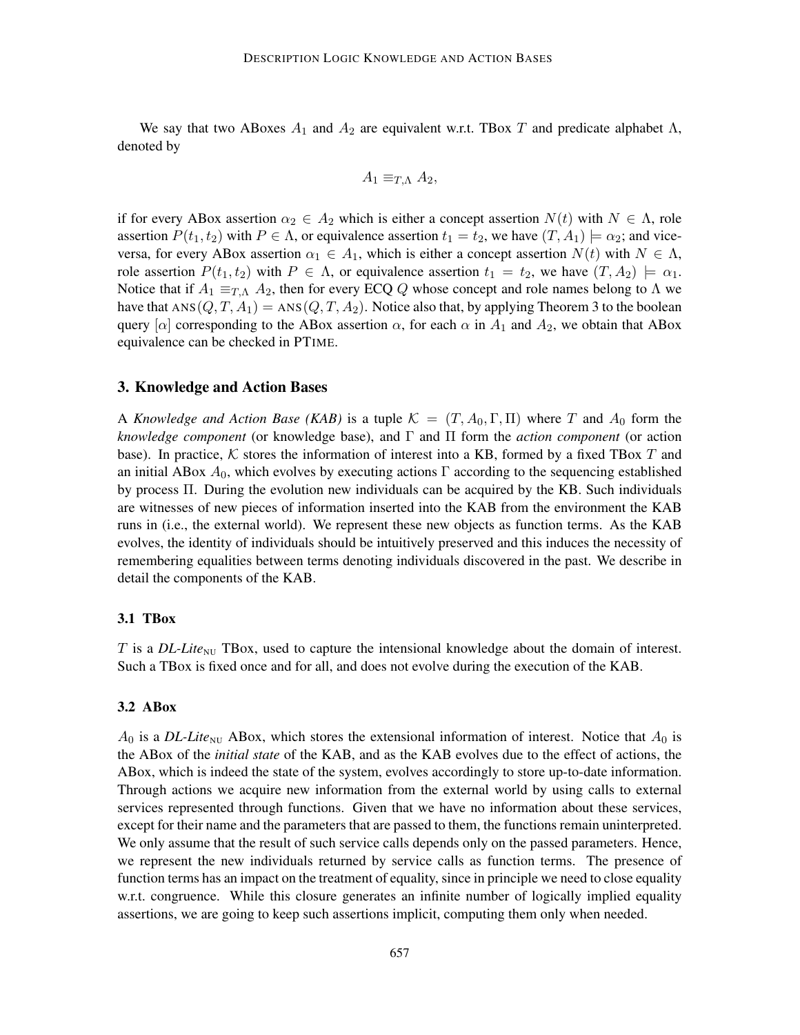We say that two ABoxes  $A_1$  and  $A_2$  are equivalent w.r.t. TBox T and predicate alphabet  $\Lambda$ , denoted by

$$
A_1 \equiv_{T,\Lambda} A_2,
$$

if for every ABox assertion  $\alpha_2 \in A_2$  which is either a concept assertion  $N(t)$  with  $N \in \Lambda$ , role assertion  $P(t_1, t_2)$  with  $P \in \Lambda$ , or equivalence assertion  $t_1 = t_2$ , we have  $(T, A_1) \models \alpha_2$ ; and viceversa, for every ABox assertion  $\alpha_1 \in A_1$ , which is either a concept assertion  $N(t)$  with  $N \in \Lambda$ , role assertion  $P(t_1, t_2)$  with  $P \in \Lambda$ , or equivalence assertion  $t_1 = t_2$ , we have  $(T, A_2) \models \alpha_1$ . Notice that if  $A_1 \equiv_{T,\Lambda} A_2$ , then for every ECQ Q whose concept and role names belong to  $\Lambda$  we have that  $ANS(Q, T, A_1) = ANS(Q, T, A_2)$ . Notice also that, by applying Theorem 3 to the boolean query  $[\alpha]$  corresponding to the ABox assertion  $\alpha$ , for each  $\alpha$  in  $A_1$  and  $A_2$ , we obtain that ABox equivalence can be checked in PTIME.

### 3. Knowledge and Action Bases

A *Knowledge and Action Base (KAB)* is a tuple  $\mathcal{K} = (T, A_0, \Gamma, \Pi)$  where T and  $A_0$  form the *knowledge component* (or knowledge base), and Γ and Π form the *action component* (or action base). In practice,  $K$  stores the information of interest into a KB, formed by a fixed TBox T and an initial ABox  $A_0$ , which evolves by executing actions Γ according to the sequencing established by process Π. During the evolution new individuals can be acquired by the KB. Such individuals are witnesses of new pieces of information inserted into the KAB from the environment the KAB runs in (i.e., the external world). We represent these new objects as function terms. As the KAB evolves, the identity of individuals should be intuitively preserved and this induces the necessity of remembering equalities between terms denoting individuals discovered in the past. We describe in detail the components of the KAB.

### 3.1 TBox

T is a  $DL\text{-}Lite_{\text{NU}}$  TBox, used to capture the intensional knowledge about the domain of interest. Such a TBox is fixed once and for all, and does not evolve during the execution of the KAB.

#### 3.2 ABox

 $A_0$  is a *DL-Lite*<sub>NU</sub> ABox, which stores the extensional information of interest. Notice that  $A_0$  is the ABox of the *initial state* of the KAB, and as the KAB evolves due to the effect of actions, the ABox, which is indeed the state of the system, evolves accordingly to store up-to-date information. Through actions we acquire new information from the external world by using calls to external services represented through functions. Given that we have no information about these services, except for their name and the parameters that are passed to them, the functions remain uninterpreted. We only assume that the result of such service calls depends only on the passed parameters. Hence, we represent the new individuals returned by service calls as function terms. The presence of function terms has an impact on the treatment of equality, since in principle we need to close equality w.r.t. congruence. While this closure generates an infinite number of logically implied equality assertions, we are going to keep such assertions implicit, computing them only when needed.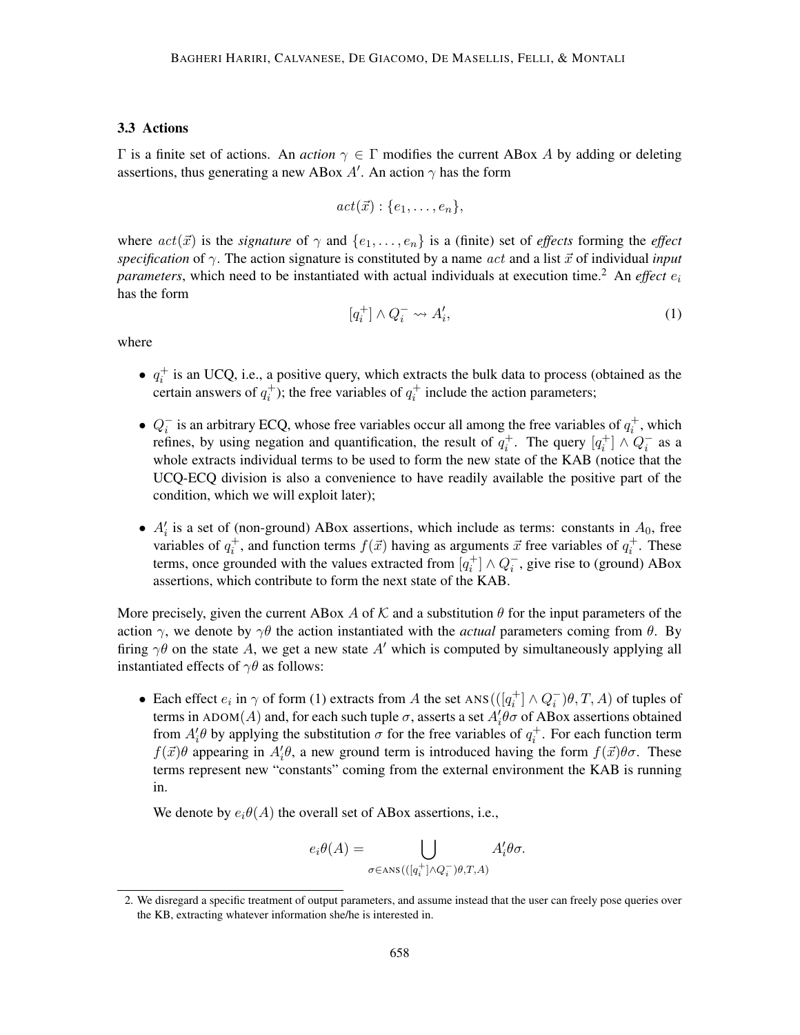### 3.3 Actions

Γ is a finite set of actions. An *action* γ ∈ Γ modifies the current ABox A by adding or deleting assertions, thus generating a new ABox  $A'$ . An action  $\gamma$  has the form

$$
act(\vec{x}) : \{e_1, \ldots, e_n\},\
$$

where  $act(\vec{x})$  is the *signature* of  $\gamma$  and  $\{e_1, \ldots, e_n\}$  is a (finite) set of *effects* forming the *effect specification* of  $\gamma$ . The action signature is constituted by a name act and a list  $\vec{x}$  of individual *input parameters*, which need to be instantiated with actual individuals at execution time.<sup>2</sup> An *effect* e<sub>i</sub> has the form

$$
[q_i^+] \wedge Q_i^- \leadsto A_i',\tag{1}
$$

where

- $q_i^+$  is an UCQ, i.e., a positive query, which extracts the bulk data to process (obtained as the certain answers of  $q_i^+$ ); the free variables of  $q_i^+$  include the action parameters;
- $Q_i^-$  is an arbitrary ECQ, whose free variables occur all among the free variables of  $q_i^+$ , which refines, by using negation and quantification, the result of  $q_i^+$ . The query  $[q_i^+] \wedge Q_i^-$  as a whole extracts individual terms to be used to form the new state of the KAB (notice that the UCQ-ECQ division is also a convenience to have readily available the positive part of the condition, which we will exploit later);
- $A'_i$  is a set of (non-ground) ABox assertions, which include as terms: constants in  $A_0$ , free variables of  $q_i^+$ , and function terms  $f(\vec{x})$  having as arguments  $\vec{x}$  free variables of  $q_i^+$ . These terms, once grounded with the values extracted from  $[q_i^+] \wedge Q_i^-$ , give rise to (ground) ABox assertions, which contribute to form the next state of the KAB.

More precisely, given the current ABox A of K and a substitution  $\theta$  for the input parameters of the action  $\gamma$ , we denote by  $\gamma\theta$  the action instantiated with the *actual* parameters coming from  $\theta$ . By firing  $\gamma\theta$  on the state A, we get a new state A' which is computed by simultaneously applying all instantiated effects of  $\gamma\theta$  as follows:

• Each effect  $e_i$  in  $\gamma$  of form (1) extracts from A the set ANS( $([q_i^+] \wedge Q_i^-)\theta, T, A)$  of tuples of terms in ADOM(A) and, for each such tuple  $\sigma$ , asserts a set  $A_i' \theta \sigma$  of ABox assertions obtained from  $A_i^{\prime} \theta$  by applying the substitution  $\sigma$  for the free variables of  $q_i^+$ . For each function term  $f(\vec{x})\theta$  appearing in  $A'_i\theta$ , a new ground term is introduced having the form  $f(\vec{x})\theta\sigma$ . These terms represent new "constants" coming from the external environment the KAB is running in.

We denote by  $e_i\theta(A)$  the overall set of ABox assertions, i.e.,

$$
e_i \theta(A) = \bigcup_{\sigma \in \text{ANS}\left(\left([q_i^+]\land Q_i^-\right) \theta, T, A\right)} A'_i \theta \sigma.
$$

<sup>2.</sup> We disregard a specific treatment of output parameters, and assume instead that the user can freely pose queries over the KB, extracting whatever information she/he is interested in.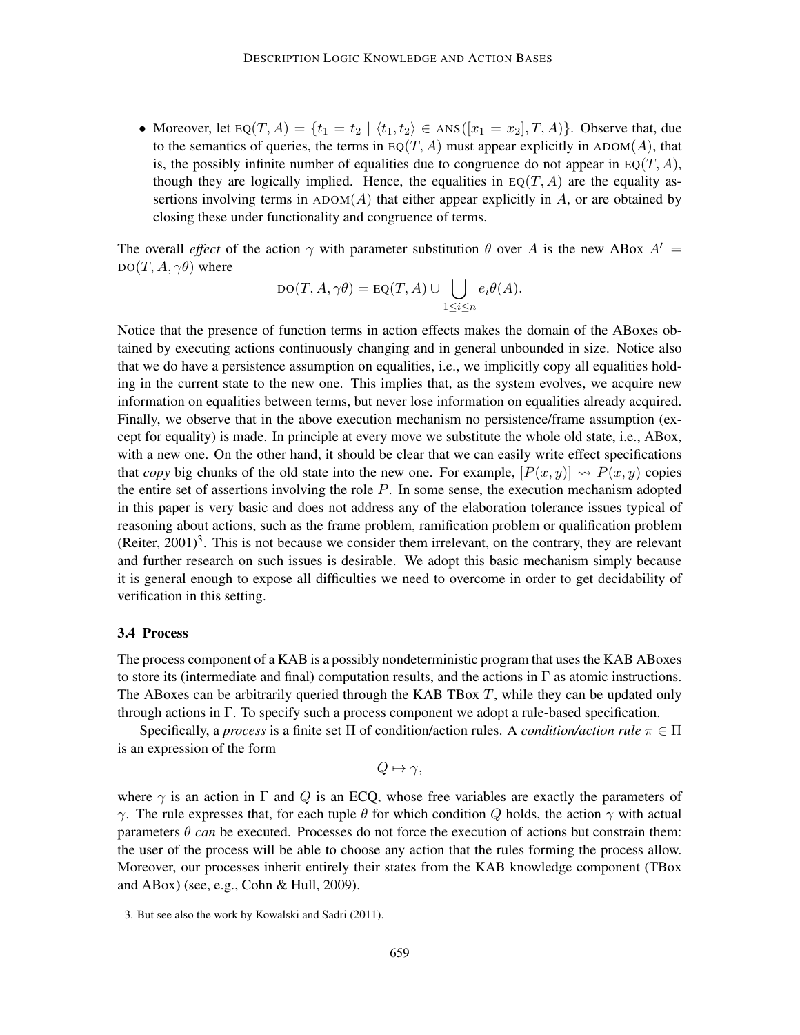• Moreover, let  $EQ(T, A) = \{t_1 = t_2 \mid \langle t_1, t_2 \rangle \in ANS([x_1 = x_2], T, A)\}\)$ . Observe that, due to the semantics of queries, the terms in EQ(T, A) must appear explicitly in ADOM(A), that is, the possibly infinite number of equalities due to congruence do not appear in  $EQ(T, A)$ , though they are logically implied. Hence, the equalities in  $EQ(T, A)$  are the equality assertions involving terms in  $A$ DOM $(A)$  that either appear explicitly in A, or are obtained by closing these under functionality and congruence of terms.

The overall *effect* of the action  $\gamma$  with parameter substitution  $\theta$  over A is the new ABox  $A' =$  $DO(T, A, \gamma\theta)$  where

$$
DO(T, A, \gamma \theta) = EQ(T, A) \cup \bigcup_{1 \leq i \leq n} e_i \theta(A).
$$

Notice that the presence of function terms in action effects makes the domain of the ABoxes obtained by executing actions continuously changing and in general unbounded in size. Notice also that we do have a persistence assumption on equalities, i.e., we implicitly copy all equalities holding in the current state to the new one. This implies that, as the system evolves, we acquire new information on equalities between terms, but never lose information on equalities already acquired. Finally, we observe that in the above execution mechanism no persistence/frame assumption (except for equality) is made. In principle at every move we substitute the whole old state, i.e., ABox, with a new one. On the other hand, it should be clear that we can easily write effect specifications that *copy* big chunks of the old state into the new one. For example,  $[P(x, y)] \rightsquigarrow P(x, y)$  copies the entire set of assertions involving the role  $P$ . In some sense, the execution mechanism adopted in this paper is very basic and does not address any of the elaboration tolerance issues typical of reasoning about actions, such as the frame problem, ramification problem or qualification problem (Reiter,  $2001$ )<sup>3</sup>. This is not because we consider them irrelevant, on the contrary, they are relevant and further research on such issues is desirable. We adopt this basic mechanism simply because it is general enough to expose all difficulties we need to overcome in order to get decidability of verification in this setting.

### 3.4 Process

The process component of a KAB is a possibly nondeterministic program that uses the KAB ABoxes to store its (intermediate and final) computation results, and the actions in  $\Gamma$  as atomic instructions. The ABoxes can be arbitrarily queried through the KAB TBox  $T$ , while they can be updated only through actions in Γ. To specify such a process component we adopt a rule-based specification.

Specifically, a *process* is a finite set  $\Pi$  of condition/action rules. A *condition/action rule*  $\pi \in \Pi$ is an expression of the form

$$
Q \mapsto \gamma,
$$

where  $\gamma$  is an action in Γ and Q is an ECQ, whose free variables are exactly the parameters of γ. The rule expresses that, for each tuple  $θ$  for which condition Q holds, the action  $γ$  with actual parameters  $\theta$  *can* be executed. Processes do not force the execution of actions but constrain them: the user of the process will be able to choose any action that the rules forming the process allow. Moreover, our processes inherit entirely their states from the KAB knowledge component (TBox and ABox) (see, e.g., Cohn & Hull, 2009).

<sup>3.</sup> But see also the work by Kowalski and Sadri (2011).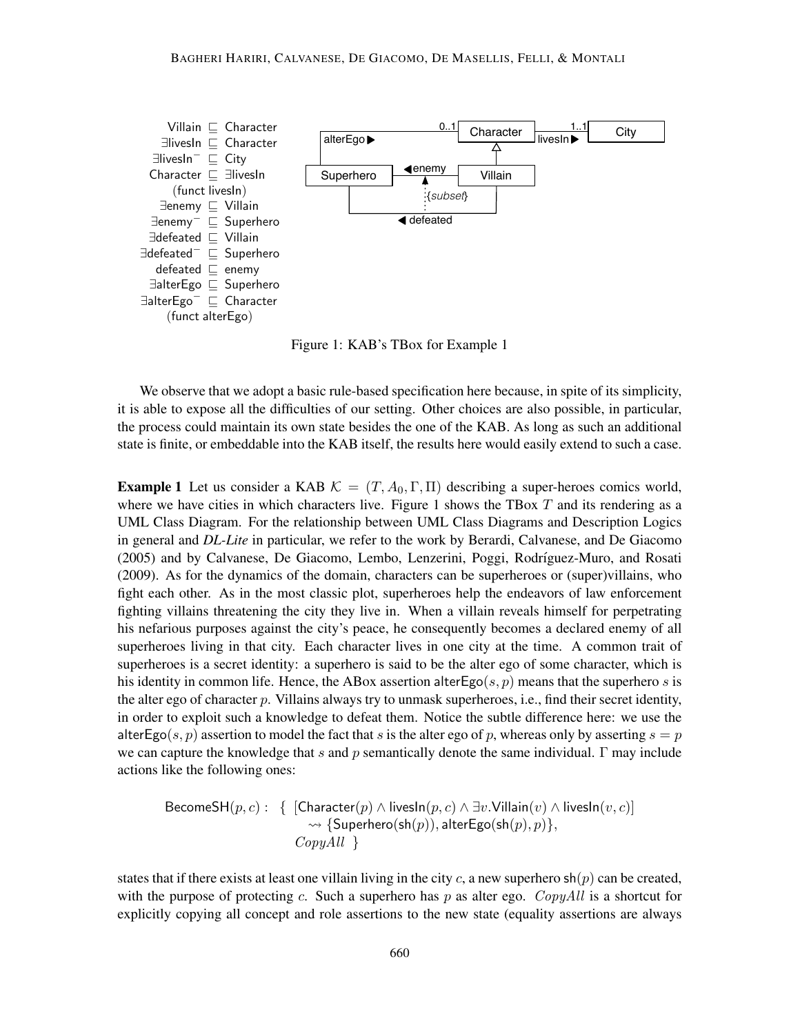

Figure 1: KAB's TBox for Example 1

We observe that we adopt a basic rule-based specification here because, in spite of its simplicity, it is able to expose all the difficulties of our setting. Other choices are also possible, in particular, the process could maintain its own state besides the one of the KAB. As long as such an additional state is finite, or embeddable into the KAB itself, the results here would easily extend to such a case.

**Example 1** Let us consider a KAB  $K = (T, A_0, \Gamma, \Pi)$  describing a super-heroes comics world, where we have cities in which characters live. Figure 1 shows the TBox  $T$  and its rendering as a UML Class Diagram. For the relationship between UML Class Diagrams and Description Logics in general and *DL-Lite* in particular, we refer to the work by Berardi, Calvanese, and De Giacomo (2005) and by Calvanese, De Giacomo, Lembo, Lenzerini, Poggi, Rodríguez-Muro, and Rosati (2009). As for the dynamics of the domain, characters can be superheroes or (super)villains, who fight each other. As in the most classic plot, superheroes help the endeavors of law enforcement fighting villains threatening the city they live in. When a villain reveals himself for perpetrating his nefarious purposes against the city's peace, he consequently becomes a declared enemy of all superheroes living in that city. Each character lives in one city at the time. A common trait of superheroes is a secret identity: a superhero is said to be the alter ego of some character, which is his identity in common life. Hence, the ABox assertion alter $E\varphi(s, p)$  means that the superhero s is the alter ego of character p. Villains always try to unmask superheroes, i.e., find their secret identity, in order to exploit such a knowledge to defeat them. Notice the subtle difference here: we use the alterEgo(s, p) assertion to model the fact that s is the alter ego of p, whereas only by asserting  $s = p$ we can capture the knowledge that s and p semantically denote the same individual.  $\Gamma$  may include actions like the following ones:

$$
\begin{array}{ll}\textsf{BecauseSH}(p,c): & \{~\texttt{[Character}(p) \wedge \textsf{livesIn}(p,c) \wedge \exists v.\textsf{Villain}(v) \wedge \textsf{livesIn}(v,c)] \\\leadsto \{ \textsf{Superhere}(\textsf{sh}(p)), \textsf{alterEgo}(\textsf{sh}(p),p) \}, \\ & \qquad \qquad \textit{CopyAll} ~\} \end{array}
$$

states that if there exists at least one villain living in the city c, a new superhero  $\mathsf{sh}(p)$  can be created, with the purpose of protecting c. Such a superhero has p as alter ego. CopyAll is a shortcut for explicitly copying all concept and role assertions to the new state (equality assertions are always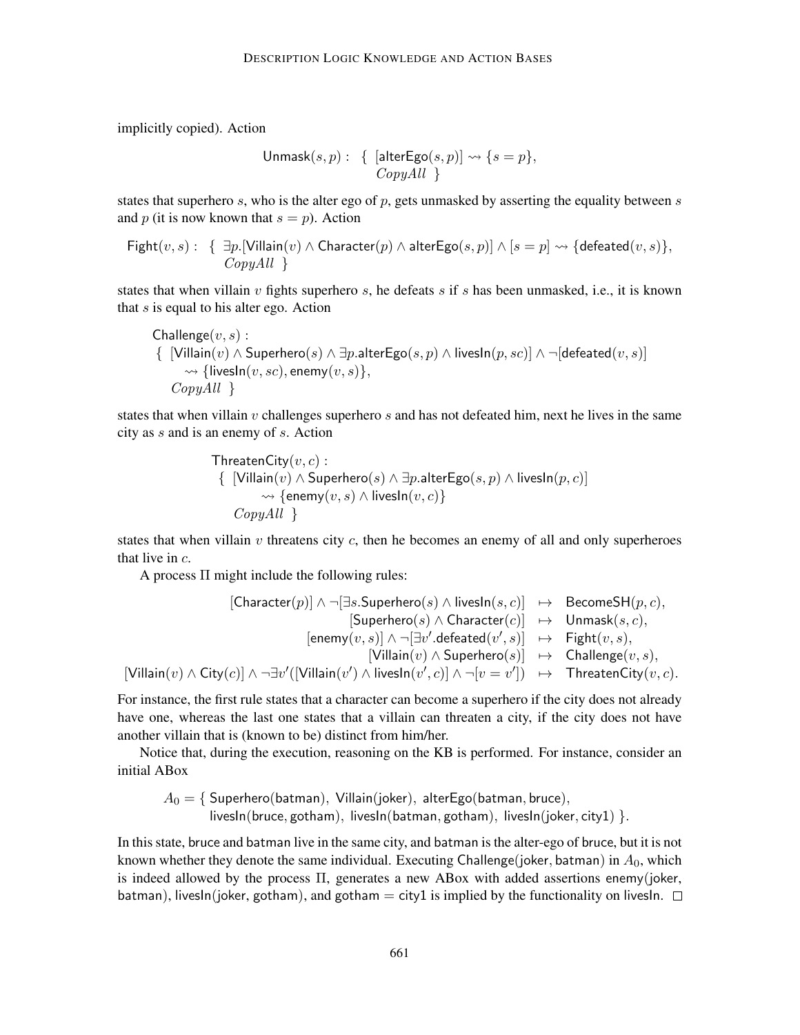implicitly copied). Action

$$
\mathsf{Unmask}(s, p): \{ [\text{alterEgo}(s, p)] \leadsto \{s = p\}, \\ CopyAll \}
$$

states that superhero  $s$ , who is the alter ego of  $p$ , gets unmasked by asserting the equality between  $s$ and p (it is now known that  $s = p$ ). Action

$$
\mathsf{Right}(v, s): \{ \exists p. [\mathsf{Villain}(v) \land \mathsf{Character}(p) \land \mathsf{alterEgo}(s, p)] \land [s = p] \leadsto \{\mathsf{defeated}(v, s)\},
$$
  
 
$$
CopyAll \}
$$

states that when villain  $v$  fights superhero  $s$ , he defeats  $s$  if  $s$  has been unmasked, i.e., it is known that  $s$  is equal to his alter ego. Action

$$
\begin{array}{l} \mathsf{Challenge}(v,s): \\ \{~~[\mathsf{Villain}(v) \wedge \mathsf{Superhere}(s) \wedge \exists p.\mathsf{alterEgo}(s,p) \wedge \mathsf{livesIn}(p,sc)] \wedge \neg [\mathsf{defeated}(v,s)] \\ \mathrel{\leadsto} \{ \mathsf{livesIn}(v,sc), \mathsf{enemy}(v,s) \}, \\ \hspace{1em} \mathit{CopyAll}~~\} \end{array}
$$

states that when villain  $v$  challenges superhero  $s$  and has not defeated him, next he lives in the same city as s and is an enemy of s. Action

ThreadenCity(v, c):

\n
$$
\{ [Villain(v) \land Superhero(s) \land \exists p.alterEgo(s, p) \land livesIn(p, c)]
$$
\n
$$
\leadsto \{ \text{enemy}(v, s) \land livesIn(v, c) \}
$$
\n
$$
CopyAll \}
$$

states that when villain  $v$  threatens city  $c$ , then he becomes an enemy of all and only superheroes that live in c.

A process  $\Pi$  might include the following rules:

$$
\begin{array}{rcl} [\mathsf{Character}(p)] \wedge \neg [\exists s.\mathsf{Superhere}(s) \wedge \mathsf{livesln}(s,c)] & \mapsto & \mathsf{BecauseSH}(p,c), \\ && [\mathsf{Superhere}(s) \wedge \mathsf{Character}(c)] & \mapsto & \mathsf{Unmask}(s,c), \\ && [\mathsf{enemy}(v,s)] \wedge \neg [\exists v'.\mathsf{defeated}(v',s)] & \mapsto & \mathsf{Fight}(v,s), \\ && [\mathsf{Villain}(v) \wedge \mathsf{Superhere}(s)] & \mapsto & \mathsf{Challenge}(v,s), \\ && [\mathsf{Villain}(v) \wedge \mathsf{City}(c)] \wedge \neg \exists v' ([\mathsf{Villain}(v') \wedge \mathsf{livesln}(v',c)] \wedge \neg [v=v']) & \mapsto & \mathsf{ThreadenCity}(v,c). \end{array}
$$

For instance, the first rule states that a character can become a superhero if the city does not already have one, whereas the last one states that a villain can threaten a city, if the city does not have another villain that is (known to be) distinct from him/her.

Notice that, during the execution, reasoning on the KB is performed. For instance, consider an initial ABox

$$
A_0 = \{ \text{Superhere}( \text{batman}), \text{ Villain}( \text{joker}), \text{ alterEgo}( \text{batman}, \text{bruce}), \\ \text{livesIn}(\text{bruce}, \text{gothan}), \text{ livesIn}(\text{batman}, \text{gothan}), \text{ livesIn}(\text{joker}, \text{city1}) \}.
$$

In this state, bruce and batman live in the same city, and batman is the alter-ego of bruce, but it is not known whether they denote the same individual. Executing Challenge(joker, batman) in  $A_0$ , which is indeed allowed by the process Π, generates a new ABox with added assertions enemy(joker, batman), livesIn(joker, gotham), and gotham = city1 is implied by the functionality on livesIn.  $\Box$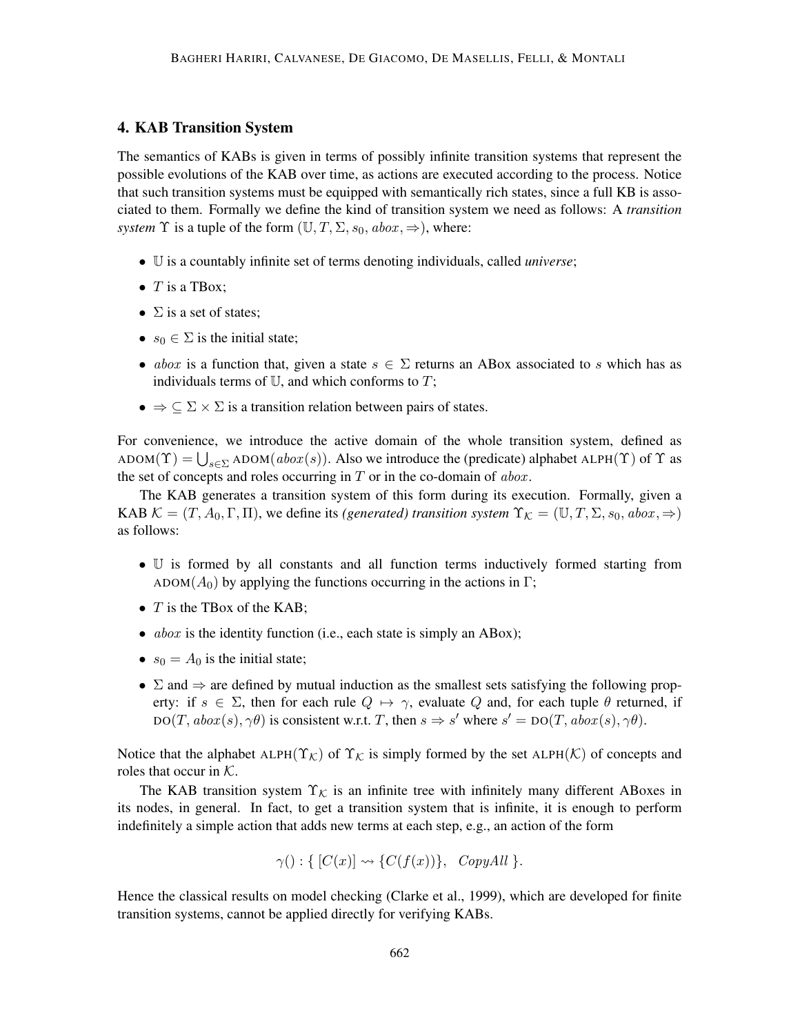# 4. KAB Transition System

The semantics of KABs is given in terms of possibly infinite transition systems that represent the possible evolutions of the KAB over time, as actions are executed according to the process. Notice that such transition systems must be equipped with semantically rich states, since a full KB is associated to them. Formally we define the kind of transition system we need as follows: A *transition system*  $\Upsilon$  is a tuple of the form  $(\mathbb{U}, T, \Sigma, s_0, abox, \Rightarrow)$ , where:

- U is a countably infinite set of terms denoting individuals, called *universe*;
- $\bullet$  T is a TBox:
- $\Sigma$  is a set of states;
- $s_0 \in \Sigma$  is the initial state;
- abox is a function that, given a state  $s \in \Sigma$  returns an ABox associated to s which has as individuals terms of  $U$ , and which conforms to  $T$ ;
- $\bullet \Rightarrow \subseteq \Sigma \times \Sigma$  is a transition relation between pairs of states.

For convenience, we introduce the active domain of the whole transition system, defined as  $ADOM(\Upsilon) = \bigcup_{s \in \Sigma} ADOM(abor(s))$ . Also we introduce the (predicate) alphabet  $ALPH(\Upsilon)$  of  $\Upsilon$  as the set of concepts and roles occurring in  $T$  or in the co-domain of abox.

The KAB generates a transition system of this form during its execution. Formally, given a KAB  $\mathcal{K} = (T, A_0, \Gamma, \Pi)$ , we define its *(generated) transition system*  $\Upsilon_{\mathcal{K}} = (\mathbb{U}, T, \Sigma, s_0, abox, \Rightarrow)$ as follows:

- U is formed by all constants and all function terms inductively formed starting from ADOM( $A_0$ ) by applying the functions occurring in the actions in Γ;
- $T$  is the TBox of the KAB;
- $abox$  is the identity function (i.e., each state is simply an ABox);
- $s_0 = A_0$  is the initial state;
- $\Sigma$  and  $\Rightarrow$  are defined by mutual induction as the smallest sets satisfying the following property: if  $s \in \Sigma$ , then for each rule  $Q \mapsto \gamma$ , evaluate Q and, for each tuple  $\theta$  returned, if  $DO(T, abox(s), \gamma\theta)$  is consistent w.r.t. T, then  $s \Rightarrow s'$  where  $s' = DO(T, abox(s), \gamma\theta)$ .

Notice that the alphabet ALPH( $\Upsilon_{\mathcal{K}}$ ) of  $\Upsilon_{\mathcal{K}}$  is simply formed by the set ALPH( $\mathcal{K}$ ) of concepts and roles that occur in  $K$ .

The KAB transition system  $\Upsilon_{\mathcal{K}}$  is an infinite tree with infinitely many different ABoxes in its nodes, in general. In fact, to get a transition system that is infinite, it is enough to perform indefinitely a simple action that adds new terms at each step, e.g., an action of the form

$$
\gamma(): \{ [C(x)] \rightsquigarrow \{ C(f(x)) \}, \ CopyAll \}.
$$

Hence the classical results on model checking (Clarke et al., 1999), which are developed for finite transition systems, cannot be applied directly for verifying KABs.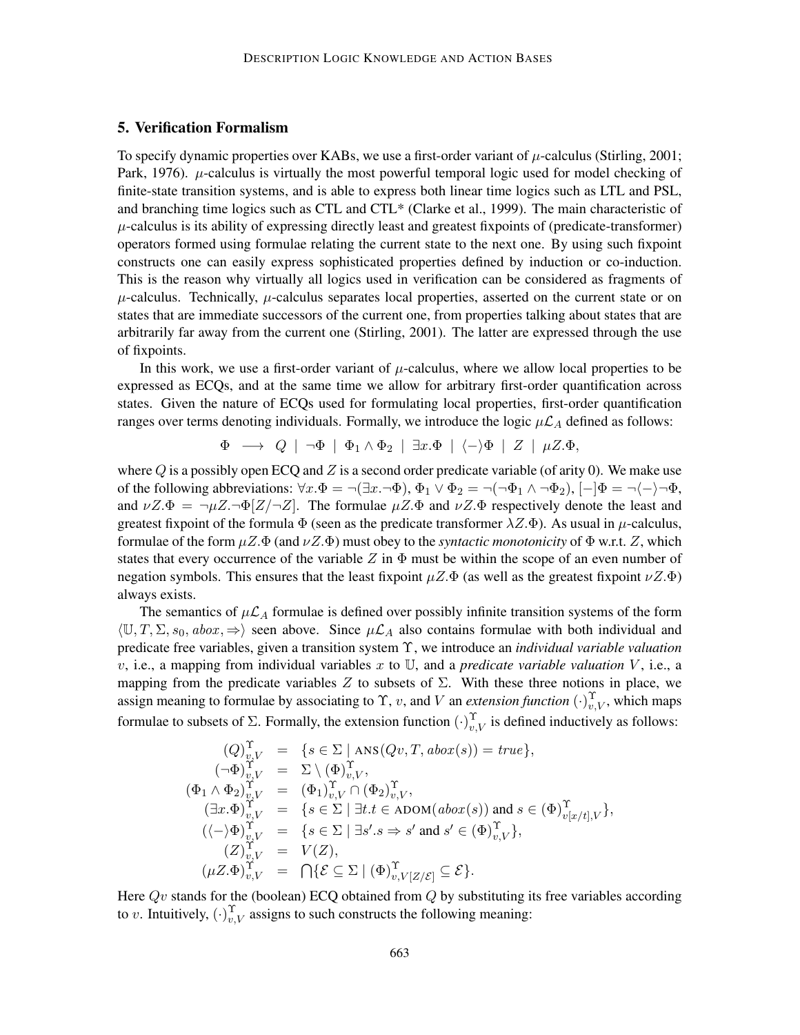# 5. Verification Formalism

To specify dynamic properties over KABs, we use a first-order variant of  $\mu$ -calculus (Stirling, 2001; Park, 1976).  $\mu$ -calculus is virtually the most powerful temporal logic used for model checking of finite-state transition systems, and is able to express both linear time logics such as LTL and PSL, and branching time logics such as CTL and CTL\* (Clarke et al., 1999). The main characteristic of  $\mu$ -calculus is its ability of expressing directly least and greatest fixpoints of (predicate-transformer) operators formed using formulae relating the current state to the next one. By using such fixpoint constructs one can easily express sophisticated properties defined by induction or co-induction. This is the reason why virtually all logics used in verification can be considered as fragments of  $\mu$ -calculus. Technically,  $\mu$ -calculus separates local properties, asserted on the current state or on states that are immediate successors of the current one, from properties talking about states that are arbitrarily far away from the current one (Stirling, 2001). The latter are expressed through the use of fixpoints.

In this work, we use a first-order variant of  $\mu$ -calculus, where we allow local properties to be expressed as ECQs, and at the same time we allow for arbitrary first-order quantification across states. Given the nature of ECQs used for formulating local properties, first-order quantification ranges over terms denoting individuals. Formally, we introduce the logic  $\mu\mathcal{L}_A$  defined as follows:

$$
\Phi \;\longrightarrow\; Q \;\mid\; \neg \Phi \;\mid\; \Phi_1 \wedge \Phi_2 \;\mid\; \exists x. \Phi \;\mid\; \langle - \rangle \Phi \;\mid\; Z \;\mid\; \mu Z. \Phi,
$$

where Q is a possibly open ECQ and Z is a second order predicate variable (of arity 0). We make use of the following abbreviations:  $\forall x.\Phi = \neg(\exists x.\neg\Phi)$ ,  $\Phi_1 \vee \Phi_2 = \neg(\neg\Phi_1 \wedge \neg\Phi_2)$ ,  $[-|\Phi = \neg\langle -\rangle \neg\Phi$ , and  $\nu Z.\Phi = \neg \mu Z.\neg \Phi [Z/\neg Z]$ . The formulae  $\mu Z.\Phi$  and  $\nu Z.\Phi$  respectively denote the least and greatest fixpoint of the formula  $\Phi$  (seen as the predicate transformer  $\lambda Z.\Phi$ ). As usual in  $\mu$ -calculus, formulae of the form  $\mu Z.\Phi$  (and  $\nu Z.\Phi$ ) must obey to the *syntactic monotonicity* of  $\Phi$  w.r.t. Z, which states that every occurrence of the variable Z in  $\Phi$  must be within the scope of an even number of negation symbols. This ensures that the least fixpoint  $\mu Z.\Phi$  (as well as the greatest fixpoint  $\nu Z.\Phi$ ) always exists.

The semantics of  $\mu\mathcal{L}_A$  formulae is defined over possibly infinite transition systems of the form  $\langle \mathbb{U}, T, \Sigma, s_0, ab\alpha \rangle$ ,  $\Rightarrow$  seen above. Since  $\mu\mathcal{L}_A$  also contains formulae with both individual and predicate free variables, given a transition system Υ, we introduce an *individual variable valuation*  $v$ , i.e., a mapping from individual variables x to U, and a *predicate variable valuation* V, i.e., a mapping from the predicate variables Z to subsets of  $\Sigma$ . With these three notions in place, we assign meaning to formulae by associating to  $\Upsilon$ , v, and V an *extension function*  $(\cdot)_{v,V}^{\Upsilon}$ , which maps formulae to subsets of  $\Sigma$ . Formally, the extension function  $(\cdot)_{v,V}^{\Upsilon}$  is defined inductively as follows:

$$
(Q)_{v,V}^{\Upsilon} = \{ s \in \Sigma \mid \text{ANS}(Qv, T, abox(s)) = true \},
$$
  
\n
$$
(\neg \Phi)_{v,V}^{\Upsilon} = \Sigma \setminus (\Phi)_{v,V}^{\Upsilon},
$$
  
\n
$$
(\Phi_1 \wedge \Phi_2)_{v,V}^{\Upsilon} = (\Phi_1)_{v,V}^{\Upsilon} \cap (\Phi_2)_{v,V}^{\Upsilon},
$$
  
\n
$$
(\exists x.\Phi)_{v,V}^{\Upsilon} = \{ s \in \Sigma \mid \exists t.t \in \text{ADOM}(abox(s)) \text{ and } s \in (\Phi)_{v[x/t],V}^{\Upsilon} \},
$$
  
\n
$$
((\neg \phi)_{v,V}^{\Upsilon} = \{ s \in \Sigma \mid \exists s'.s \Rightarrow s' \text{ and } s' \in (\Phi)_{v,V}^{\Upsilon} \},
$$
  
\n
$$
(Z)_{v,V}^{\Upsilon} = V(Z),
$$
  
\n
$$
(\mu Z.\Phi)_{v,V}^{\Upsilon} = \bigcap \{ \mathcal{E} \subseteq \Sigma \mid (\Phi)_{v,V[Z/\mathcal{E}]}^{\Upsilon} \subseteq \mathcal{E} \}.
$$

Here  $Qv$  stands for the (boolean) ECQ obtained from  $Q$  by substituting its free variables according to v. Intuitively,  $(\cdot)_{v,V}^{\Upsilon}$  assigns to such constructs the following meaning: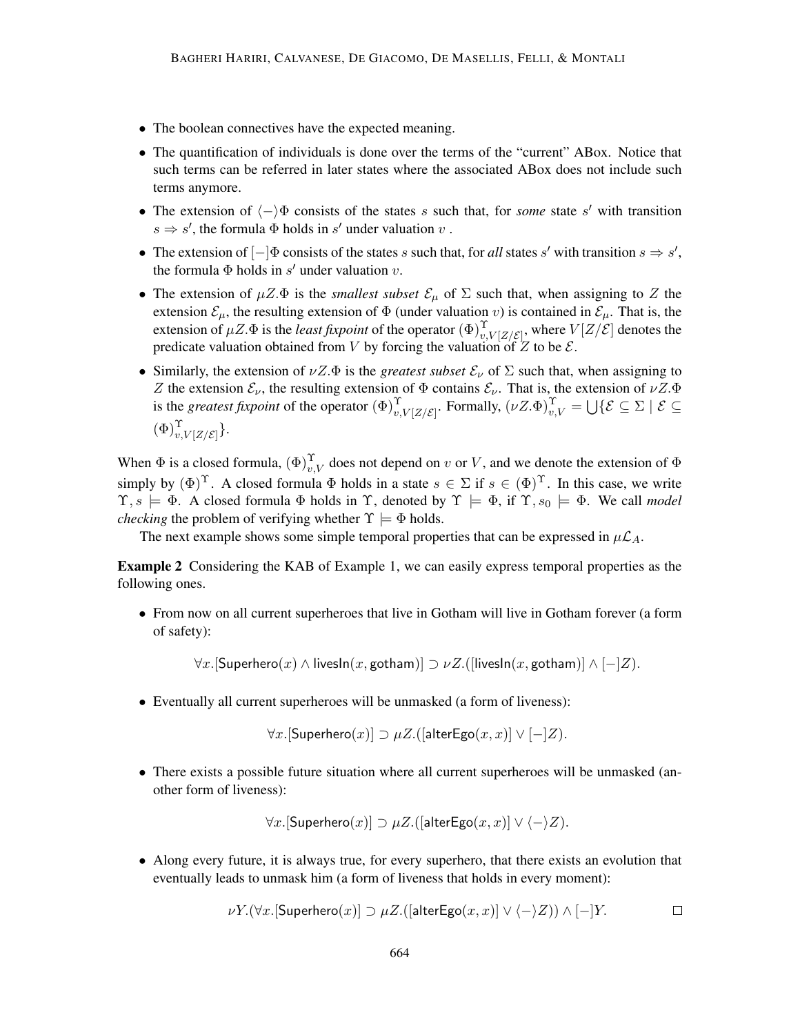- The boolean connectives have the expected meaning.
- The quantification of individuals is done over the terms of the "current" ABox. Notice that such terms can be referred in later states where the associated ABox does not include such terms anymore.
- The extension of  $\langle \rangle \Phi$  consists of the states s such that, for *some* state s' with transition  $s \Rightarrow s'$ , the formula  $\Phi$  holds in  $s'$  under valuation  $v$ .
- The extension of  $[-]\Phi$  consists of the states s such that, for all states s' with transition  $s \Rightarrow s'$ , the formula  $\Phi$  holds in s' under valuation v.
- The extension of  $\mu Z.\Phi$  is the *smallest subset*  $\mathcal{E}_{\mu}$  of  $\Sigma$  such that, when assigning to Z the extension  $\mathcal{E}_{\mu}$ , the resulting extension of  $\Phi$  (under valuation v) is contained in  $\mathcal{E}_{\mu}$ . That is, the extension of  $\mu Z.\Phi$  is the *least fixpoint* of the operator  $(\Phi)_{v,V[Z/\mathcal{E}]}^{\Upsilon}$ , where  $V[Z/\mathcal{E}]$  denotes the predicate valuation obtained from V by forcing the valuation of Z to be  $\mathcal{E}$ .
- Similarly, the extension of  $\nu Z.\Phi$  is the *greatest subset*  $\mathcal{E}_{\nu}$  of  $\Sigma$  such that, when assigning to Z the extension  $\mathcal{E}_{\nu}$ , the resulting extension of  $\Phi$  contains  $\mathcal{E}_{\nu}$ . That is, the extension of  $\nu Z.\Phi$ is the *greatest fixpoint* of the operator  $(\Phi)_{v,V|Z/\mathcal{E}|}^{\Upsilon}$ . Formally,  $(\nu Z.\Phi)_{v,V}^{\Upsilon} = \bigcup \{ \mathcal{E} \subseteq \Sigma \mid \mathcal{E} \subseteq \Sigma \}$  $(\Phi)_{v,V[Z/\mathcal{E}]}^{\Upsilon}$ .

When  $\Phi$  is a closed formula,  $(\Phi)_{v,V}^{\Upsilon}$  does not depend on v or V, and we denote the extension of  $\Phi$ simply by  $(\Phi)^T$ . A closed formula  $\Phi$  holds in a state  $s \in \Sigma$  if  $s \in (\Phi)^T$ . In this case, we write  $\Upsilon, s \models \Phi$ . A closed formula  $\Phi$  holds in  $\Upsilon$ , denoted by  $\Upsilon \models \Phi$ , if  $\Upsilon, s_0 \models \Phi$ . We call *model checking* the problem of verifying whether  $\Upsilon \models \Phi$  holds.

The next example shows some simple temporal properties that can be expressed in  $\mu\mathcal{L}_A$ .

Example 2 Considering the KAB of Example 1, we can easily express temporal properties as the following ones.

• From now on all current superheroes that live in Gotham will live in Gotham forever (a form of safety):

 $\forall x.$ [Superhero $(x) \wedge$  livesIn $(x,$  gotham)]  $\supset \nu Z.$  ([livesIn $(x,$  gotham)]  $\wedge [-]Z)$ .

• Eventually all current superheroes will be unmasked (a form of liveness):

 $\forall x.$ [Superhero $(x)$ ]  $\supset \mu Z$ . ([alterEgo $(x, x)$ ]  $\vee$   $[-]Z$ ).

• There exists a possible future situation where all current superheroes will be unmasked (another form of liveness):

 $\forall x.$ [Superhero $(x)$ ]  $\supset \mu Z$ . ([alterEgo $(x, x)$ ]  $\vee \langle -\rangle Z$ ).

• Along every future, it is always true, for every superhero, that there exists an evolution that eventually leads to unmask him (a form of liveness that holds in every moment):

$$
\nu Y.(\forall x. [\textsf{Superhere}(x)] \supset \mu Z.([\textsf{alterEgo}(x,x)] \vee \langle - \rangle Z)) \wedge [-]Y.
$$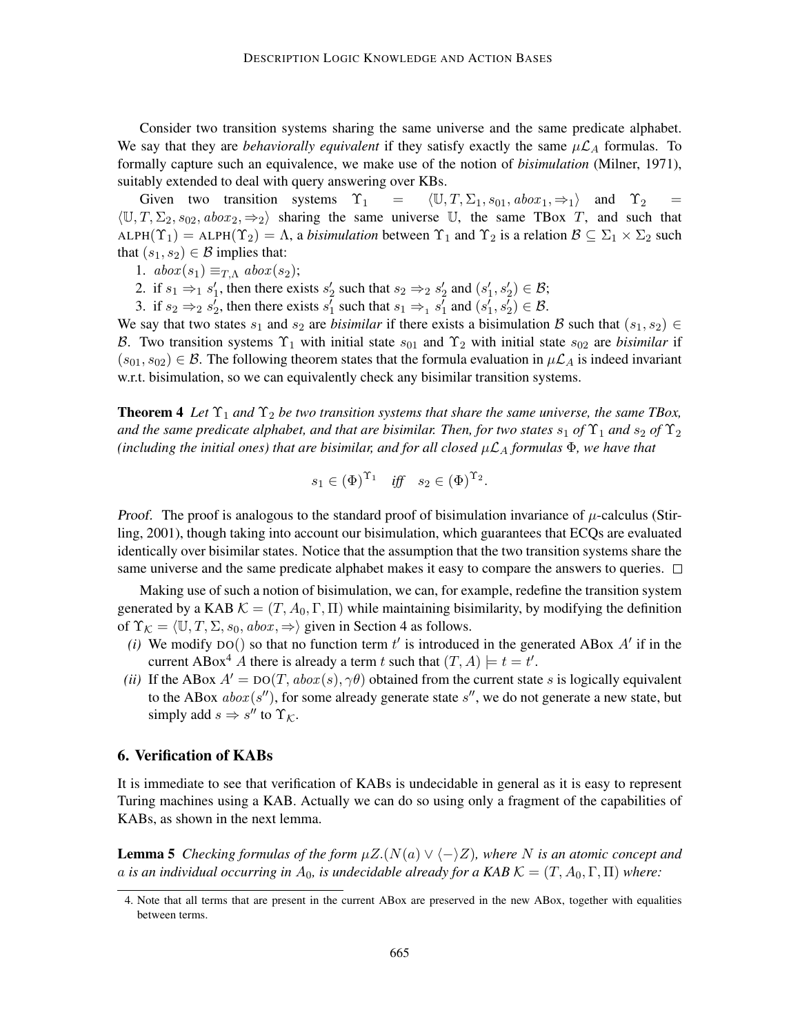Consider two transition systems sharing the same universe and the same predicate alphabet. We say that they are *behaviorally equivalent* if they satisfy exactly the same  $\mu \mathcal{L}_A$  formulas. To formally capture such an equivalence, we make use of the notion of *bisimulation* (Milner, 1971), suitably extended to deal with query answering over KBs.

Given two transition systems  $\Upsilon_1 = \langle \mathbb{U}, T, \Sigma_1, s_{01}, abox_1, \Rightarrow_1 \rangle$  and  $\Upsilon_2$  $\langle U, T, \Sigma_2, s_{02}, aboz_1, \Rightarrow_2 \rangle$  sharing the same universe U, the same TBox T, and such that ALPH( $\Upsilon_1$ ) = ALPH( $\Upsilon_2$ ) =  $\Lambda$ , a *bisimulation* between  $\Upsilon_1$  and  $\Upsilon_2$  is a relation  $\mathcal{B} \subseteq \Sigma_1 \times \Sigma_2$  such that  $(s_1, s_2) \in \mathcal{B}$  implies that:

1.  $abox(s_1) \equiv_{T,\Lambda} abox(s_2);$ 

2. if  $s_1 \Rightarrow_1 s'_1$ , then there exists  $s'_2$  such that  $s_2 \Rightarrow_2 s'_2$  and  $(s'_1, s'_2) \in \mathcal{B}$ ;

3. if  $s_2 \Rightarrow_2 s_2'$ , then there exists  $s_1'$  such that  $s_1 \Rightarrow_1 s_1'$  and  $(s_1', s_2') \in \mathcal{B}$ .

We say that two states  $s_1$  and  $s_2$  are *bisimilar* if there exists a bisimulation B such that  $(s_1, s_2) \in$ B. Two transition systems  $\Upsilon_1$  with initial state  $s_{01}$  and  $\Upsilon_2$  with initial state  $s_{02}$  are *bisimilar* if  $(s_{01}, s_{02}) \in \mathcal{B}$ . The following theorem states that the formula evaluation in  $\mu \mathcal{L}_A$  is indeed invariant w.r.t. bisimulation, so we can equivalently check any bisimilar transition systems.

**Theorem 4** Let  $\Upsilon_1$  and  $\Upsilon_2$  be two transition systems that share the same universe, the same TBox, *and the same predicate alphabet, and that are bisimilar. Then, for two states*  $s_1$  *of*  $\Upsilon_1$  *and*  $s_2$  *of*  $\Upsilon_2$ *(including the initial ones) that are bisimilar, and for all closed*  $\mu L_A$  *formulas*  $\Phi$ *, we have that* 

$$
s_1 \in (\Phi)^{\Upsilon_1} \quad \text{iff} \quad s_2 \in (\Phi)^{\Upsilon_2}.
$$

*Proof.* The proof is analogous to the standard proof of bisimulation invariance of  $\mu$ -calculus (Stirling, 2001), though taking into account our bisimulation, which guarantees that ECQs are evaluated identically over bisimilar states. Notice that the assumption that the two transition systems share the same universe and the same predicate alphabet makes it easy to compare the answers to queries.  $\Box$ 

Making use of such a notion of bisimulation, we can, for example, redefine the transition system generated by a KAB  $\mathcal{K} = (T, A_0, \Gamma, \Pi)$  while maintaining bisimilarity, by modifying the definition of  $\Upsilon_{\mathcal{K}} = \langle \mathbb{U}, T, \Sigma, s_0, abox, \Rightarrow \rangle$  given in Section 4 as follows.

- (*i*) We modify DO() so that no function term  $t'$  is introduced in the generated ABox  $A'$  if in the current ABox<sup>4</sup> A there is already a term t such that  $(T, A) \models t = t'$ .
- *(ii)* If the ABox  $A' = Do(T, abox(s), \gamma\theta)$  obtained from the current state s is logically equivalent to the ABox  $abox(s'')$ , for some already generate state  $s''$ , we do not generate a new state, but simply add  $s \Rightarrow s''$  to  $\Upsilon_{\mathcal{K}}$ .

### 6. Verification of KABs

It is immediate to see that verification of KABs is undecidable in general as it is easy to represent Turing machines using a KAB. Actually we can do so using only a fragment of the capabilities of KABs, as shown in the next lemma.

**Lemma 5** *Checking formulas of the form*  $\mu Z.(N(a) \vee \langle -\rangle Z)$ *, where* N *is an atomic concept and* a *is an individual occurring in*  $A_0$ , *is undecidable already for a KAB*  $K = (T, A_0, \Gamma, \Pi)$  *where:* 

<sup>4.</sup> Note that all terms that are present in the current ABox are preserved in the new ABox, together with equalities between terms.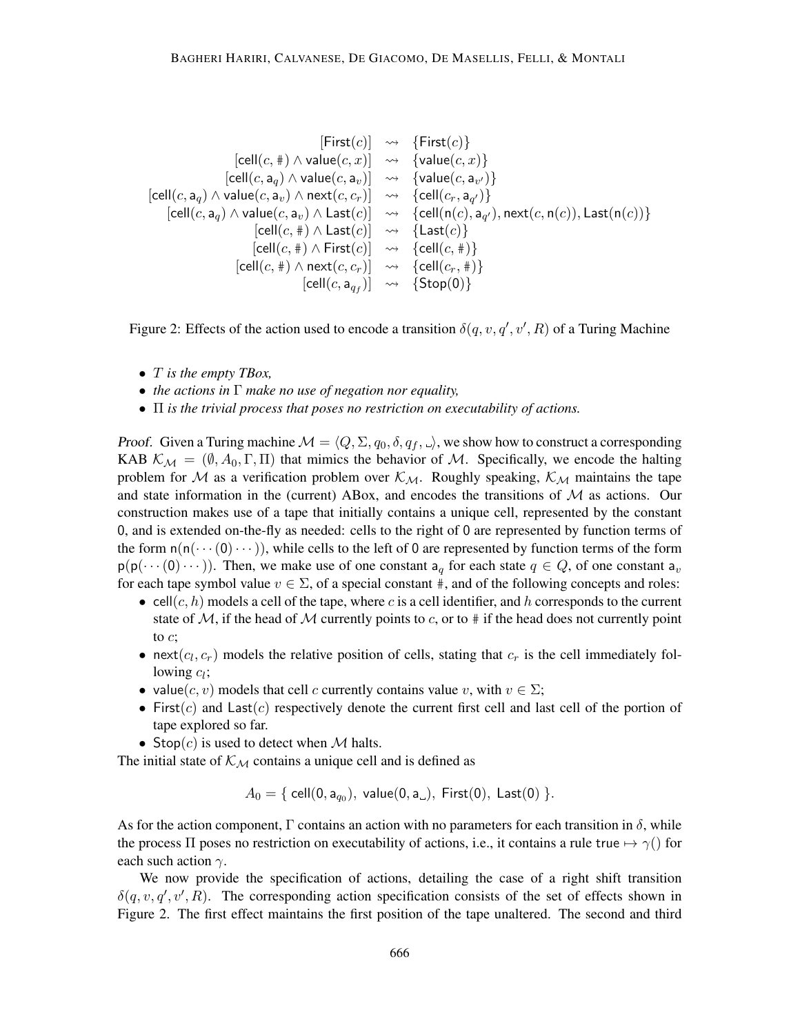$$
[First(c)] \rightsquigarrow \{First(c)\}
$$
\n
$$
[cell(c, \#) \land value(c, x)] \rightsquigarrow \{value(c, x)\}
$$
\n
$$
[cell(c, a_q) \land value(c, a_v)] \rightsquigarrow \{value(c, a_{v'})\}
$$
\n
$$
[cell(c, a_q) \land value(c, a_v) \land next(c, c_r)] \rightsquigarrow \{cell(c_r, a_{q'})\}
$$
\n
$$
[cell(c, a_q) \land value(c, a_v) \land Last(c)] \rightsquigarrow \{cell(n(c), a_{q'}), next(c, n(c)), Last(n(c))\}
$$
\n
$$
[cell(c, \#) \land Last(c)] \rightsquigarrow \{last(c)\}
$$
\n
$$
[cell(c, \#) \land First(c)] \rightsquigarrow \{cell(c, \#)\}
$$
\n
$$
[cell(c, \#) \land next(c, c_r)] \rightsquigarrow \{cell(c_r, \#)\}
$$
\n
$$
[cell(c, a_{q_f})] \rightsquigarrow \{Stop(0)\}
$$

Figure 2: Effects of the action used to encode a transition  $\delta(q, v, q', v', R)$  of a Turing Machine

- T *is the empty TBox,*
- *the actions in* Γ *make no use of negation nor equality,*
- Π *is the trivial process that poses no restriction on executability of actions.*

Proof. Given a Turing machine  $\mathcal{M} = \langle Q, \Sigma, q_0, \delta, q_f, \rangle$ , we show how to construct a corresponding KAB  $\mathcal{K}_{\mathcal{M}} = (\emptyset, A_0, \Gamma, \Pi)$  that mimics the behavior of M. Specifically, we encode the halting problem for M as a verification problem over  $K_M$ . Roughly speaking,  $K_M$  maintains the tape and state information in the (current) ABox, and encodes the transitions of  $M$  as actions. Our construction makes use of a tape that initially contains a unique cell, represented by the constant 0, and is extended on-the-fly as needed: cells to the right of 0 are represented by function terms of the form  $n(n(\cdots(0)\cdots))$ , while cells to the left of 0 are represented by function terms of the form  $p(p(\cdots(0)\cdots))$ . Then, we make use of one constant  $a_q$  for each state  $q \in Q$ , of one constant  $a_v$ for each tape symbol value  $v \in \Sigma$ , of a special constant #, and of the following concepts and roles:

- cell $(c, h)$  models a cell of the tape, where c is a cell identifier, and h corresponds to the current state of  $M$ , if the head of M currently points to c, or to  $\#$  if the head does not currently point to c;
- next $(c_l, c_r)$  models the relative position of cells, stating that  $c_r$  is the cell immediately following  $c_l$ ;
- value(c, v) models that cell c currently contains value v, with  $v \in \Sigma$ ;
- First(c) and Last(c) respectively denote the current first cell and last cell of the portion of tape explored so far.
- Stop $(c)$  is used to detect when M halts.

The initial state of  $K_{\mathcal{M}}$  contains a unique cell and is defined as

$$
A_0 = \{ \text{ cell}(0, a_{q_0}), \text{ value}(0, a_{\_}), \text{ First}(0), \text{ Last}(0) \}.
$$

As for the action component, Γ contains an action with no parameters for each transition in  $\delta$ , while the process  $\Pi$  poses no restriction on executability of actions, i.e., it contains a rule true  $\mapsto \gamma()$  for each such action  $\gamma$ .

We now provide the specification of actions, detailing the case of a right shift transition  $\delta(q, v, q', v', R)$ . The corresponding action specification consists of the set of effects shown in Figure 2. The first effect maintains the first position of the tape unaltered. The second and third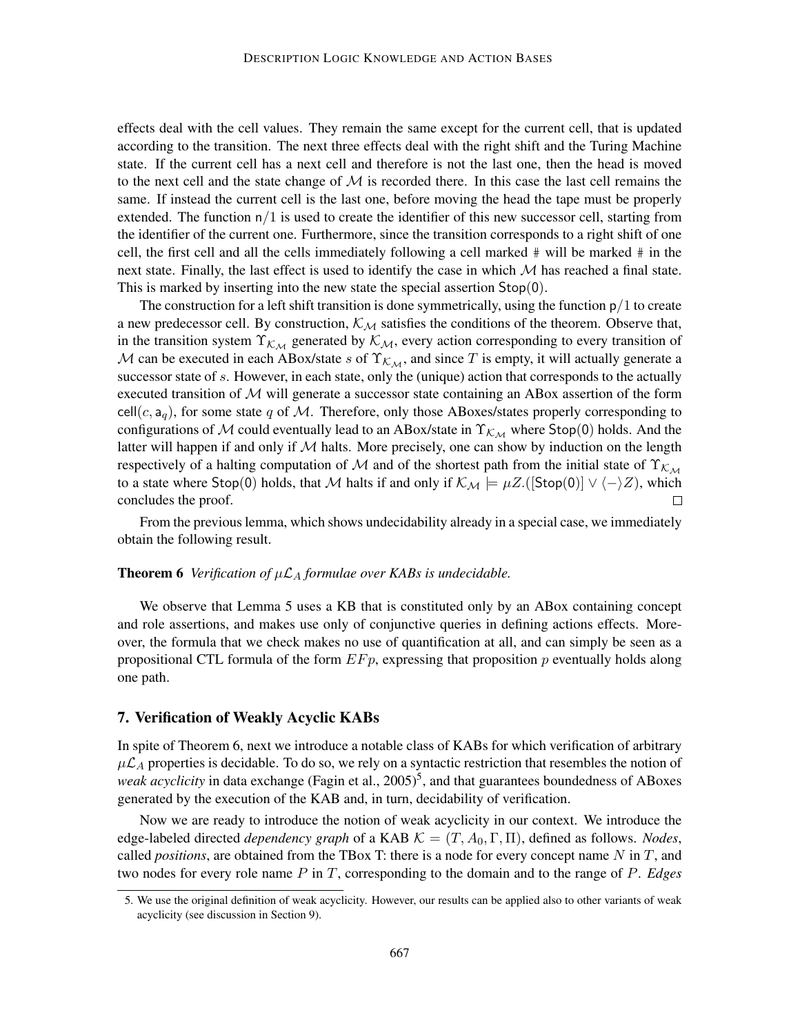effects deal with the cell values. They remain the same except for the current cell, that is updated according to the transition. The next three effects deal with the right shift and the Turing Machine state. If the current cell has a next cell and therefore is not the last one, then the head is moved to the next cell and the state change of  $\mathcal M$  is recorded there. In this case the last cell remains the same. If instead the current cell is the last one, before moving the head the tape must be properly extended. The function  $n/1$  is used to create the identifier of this new successor cell, starting from the identifier of the current one. Furthermore, since the transition corresponds to a right shift of one cell, the first cell and all the cells immediately following a cell marked # will be marked # in the next state. Finally, the last effect is used to identify the case in which  $M$  has reached a final state. This is marked by inserting into the new state the special assertion Stop(0).

The construction for a left shift transition is done symmetrically, using the function  $p/1$  to create a new predecessor cell. By construction,  $K_{\mathcal{M}}$  satisfies the conditions of the theorem. Observe that, in the transition system  $\Upsilon_{k,M}$  generated by  $k_M$ , every action corresponding to every transition of M can be executed in each ABox/state s of  $\Upsilon_{k,M}$ , and since T is empty, it will actually generate a successor state of s. However, in each state, only the (unique) action that corresponds to the actually executed transition of  $M$  will generate a successor state containing an ABox assertion of the form cell $(c, a<sub>q</sub>)$ , for some state q of M. Therefore, only those ABoxes/states properly corresponding to configurations of M could eventually lead to an ABox/state in  $\Upsilon_{\mathcal{K}_{\mathcal{M}}}$  where Stop(0) holds. And the latter will happen if and only if  $M$  halts. More precisely, one can show by induction on the length respectively of a halting computation of M and of the shortest path from the initial state of  $\Upsilon_{\mathcal{K}_{\mathcal{M}}}$ to a state where Stop(0) holds, that M halts if and only if  $\mathcal{K}_{\mathcal{M}} \models \mu Z$ .([Stop(0)]  $\vee \langle - \rangle Z$ ), which concludes the proof.  $\Box$ 

From the previous lemma, which shows undecidability already in a special case, we immediately obtain the following result.

# **Theorem 6** *Verification of*  $\mu \mathcal{L}_A$  *formulae over KABs is undecidable.*

We observe that Lemma 5 uses a KB that is constituted only by an ABox containing concept and role assertions, and makes use only of conjunctive queries in defining actions effects. Moreover, the formula that we check makes no use of quantification at all, and can simply be seen as a propositional CTL formula of the form  $E F p$ , expressing that proposition  $p$  eventually holds along one path.

# 7. Verification of Weakly Acyclic KABs

In spite of Theorem 6, next we introduce a notable class of KABs for which verification of arbitrary  $\mu\mathcal{L}_A$  properties is decidable. To do so, we rely on a syntactic restriction that resembles the notion of weak acyclicity in data exchange (Fagin et al., 2005)<sup>5</sup>, and that guarantees boundedness of ABoxes generated by the execution of the KAB and, in turn, decidability of verification.

Now we are ready to introduce the notion of weak acyclicity in our context. We introduce the edge-labeled directed *dependency graph* of a KAB  $K = (T, A_0, \Gamma, \Pi)$ , defined as follows. *Nodes*, called *positions*, are obtained from the TBox T: there is a node for every concept name  $N$  in  $T$ , and two nodes for every role name P in T, corresponding to the domain and to the range of P. *Edges*

<sup>5.</sup> We use the original definition of weak acyclicity. However, our results can be applied also to other variants of weak acyclicity (see discussion in Section 9).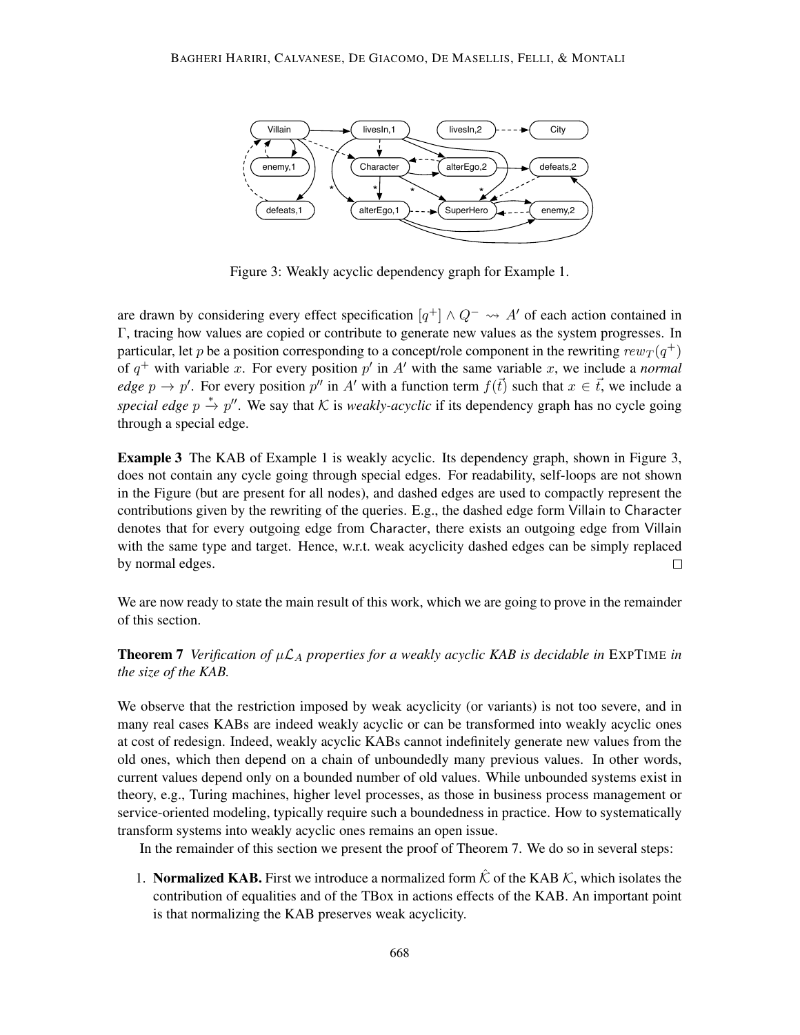

Figure 3: Weakly acyclic dependency graph for Example 1.

are drawn by considering every effect specification  $[q^+] \wedge Q^- \leadsto A'$  of each action contained in Γ, tracing how values are copied or contribute to generate new values as the system progresses. In particular, let  $p$  be a position corresponding to a concept/role component in the rewriting  $rew_T (q^+)$ of  $q^+$  with variable x. For every position p' in A' with the same variable x, we include a *normal edge*  $p \to p'$ . For every position  $p''$  in A' with a function term  $f(\vec{t})$  such that  $x \in \vec{t}$ , we include a special edge  $p \stackrel{*}{\to} p''$ . We say that K is *weakly-acyclic* if its dependency graph has no cycle going through a special edge.

**Example 3** The KAB of Example 1 is weakly acyclic. Its dependency graph, shown in Figure 3, does not contain any cycle going through special edges. For readability, self-loops are not shown in the Figure (but are present for all nodes), and dashed edges are used to compactly represent the contributions given by the rewriting of the queries. E.g., the dashed edge form Villain to Character denotes that for every outgoing edge from Character, there exists an outgoing edge from Villain with the same type and target. Hence, w.r.t. weak acyclicity dashed edges can be simply replaced by normal edges.  $\Box$ 

We are now ready to state the main result of this work, which we are going to prove in the remainder of this section.

**Theorem 7** *Verification of*  $\mu L_A$  *properties for a weakly acyclic KAB is decidable in* EXPTIME *in the size of the KAB.*

We observe that the restriction imposed by weak acyclicity (or variants) is not too severe, and in many real cases KABs are indeed weakly acyclic or can be transformed into weakly acyclic ones at cost of redesign. Indeed, weakly acyclic KABs cannot indefinitely generate new values from the old ones, which then depend on a chain of unboundedly many previous values. In other words, current values depend only on a bounded number of old values. While unbounded systems exist in theory, e.g., Turing machines, higher level processes, as those in business process management or service-oriented modeling, typically require such a boundedness in practice. How to systematically transform systems into weakly acyclic ones remains an open issue.

In the remainder of this section we present the proof of Theorem 7. We do so in several steps:

1. **Normalized KAB.** First we introduce a normalized form  $\hat{\mathcal{K}}$  of the KAB  $\mathcal{K}$ , which isolates the contribution of equalities and of the TBox in actions effects of the KAB. An important point is that normalizing the KAB preserves weak acyclicity.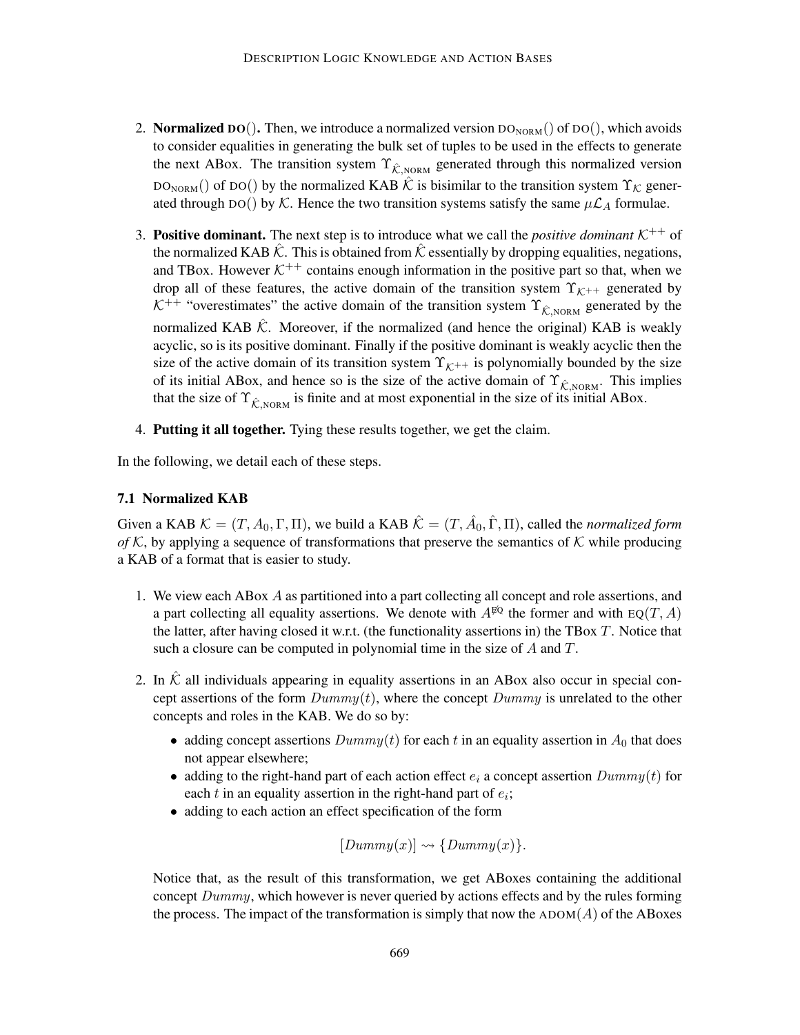- 2. Normalized DO(). Then, we introduce a normalized version  $DO_{NORM}($ ) of DO(), which avoids to consider equalities in generating the bulk set of tuples to be used in the effects to generate the next ABox. The transition system  $\Upsilon_{\hat{K},\text{NORM}}$  generated through this normalized version  $DO_{NORM}()$  of DO() by the normalized KAB  $\hat{K}$  is bisimilar to the transition system  $\Upsilon_{K}$  generated through DO() by K. Hence the two transition systems satisfy the same  $\mu\mathcal{L}_A$  formulae.
- 3. **Positive dominant.** The next step is to introduce what we call the *positive dominant*  $K^{++}$  of the normalized KAB  $\hat{K}$ . This is obtained from  $\hat{K}$  essentially by dropping equalities, negations, and TBox. However  $K^{++}$  contains enough information in the positive part so that, when we drop all of these features, the active domain of the transition system  $\Upsilon_{\mathcal{K}^{++}}$  generated by  $K^{++}$  "overestimates" the active domain of the transition system  $\Upsilon_{\hat{\mathcal{K}},\text{NORM}}$  generated by the normalized KAB  $\hat{K}$ . Moreover, if the normalized (and hence the original) KAB is weakly acyclic, so is its positive dominant. Finally if the positive dominant is weakly acyclic then the size of the active domain of its transition system  $\Upsilon_{\mathcal{K}^{++}}$  is polynomially bounded by the size of its initial ABox, and hence so is the size of the active domain of  $\Upsilon_{\hat{K},\text{NORM}}$ . This implies that the size of  $\Upsilon_{\hat{K},\text{NORM}}$  is finite and at most exponential in the size of its initial ABox.
- 4. Putting it all together. Tying these results together, we get the claim.

In the following, we detail each of these steps.

# 7.1 Normalized KAB

Given a KAB  $K = (T, A_0, \Gamma, \Pi)$ , we build a KAB  $\hat{K} = (T, \hat{A}_0, \hat{\Gamma}, \Pi)$ , called the *normalized form of* K, by applying a sequence of transformations that preserve the semantics of K while producing a KAB of a format that is easier to study.

- 1. We view each ABox A as partitioned into a part collecting all concept and role assertions, and a part collecting all equality assertions. We denote with  $A^{\sharp\mathbb{Q}}$  the former and with EQ(T, A) the latter, after having closed it w.r.t. (the functionality assertions in) the TBox  $T$ . Notice that such a closure can be computed in polynomial time in the size of A and T.
- 2. In  $\hat{K}$  all individuals appearing in equality assertions in an ABox also occur in special concept assertions of the form  $Dummy(t)$ , where the concept  $Dummy$  is unrelated to the other concepts and roles in the KAB. We do so by:
	- adding concept assertions  $Dummy(t)$  for each t in an equality assertion in  $A_0$  that does not appear elsewhere;
	- adding to the right-hand part of each action effect  $e_i$  a concept assertion  $Dummy(t)$  for each  $t$  in an equality assertion in the right-hand part of  $e_i$ ;
	- adding to each action an effect specification of the form

$$
[Dummy(x)] \rightsquigarrow \{Dummy(x)\}.
$$

Notice that, as the result of this transformation, we get ABoxes containing the additional concept  $Dummy$ , which however is never queried by actions effects and by the rules forming the process. The impact of the transformation is simply that now the  $ADOM(A)$  of the ABoxes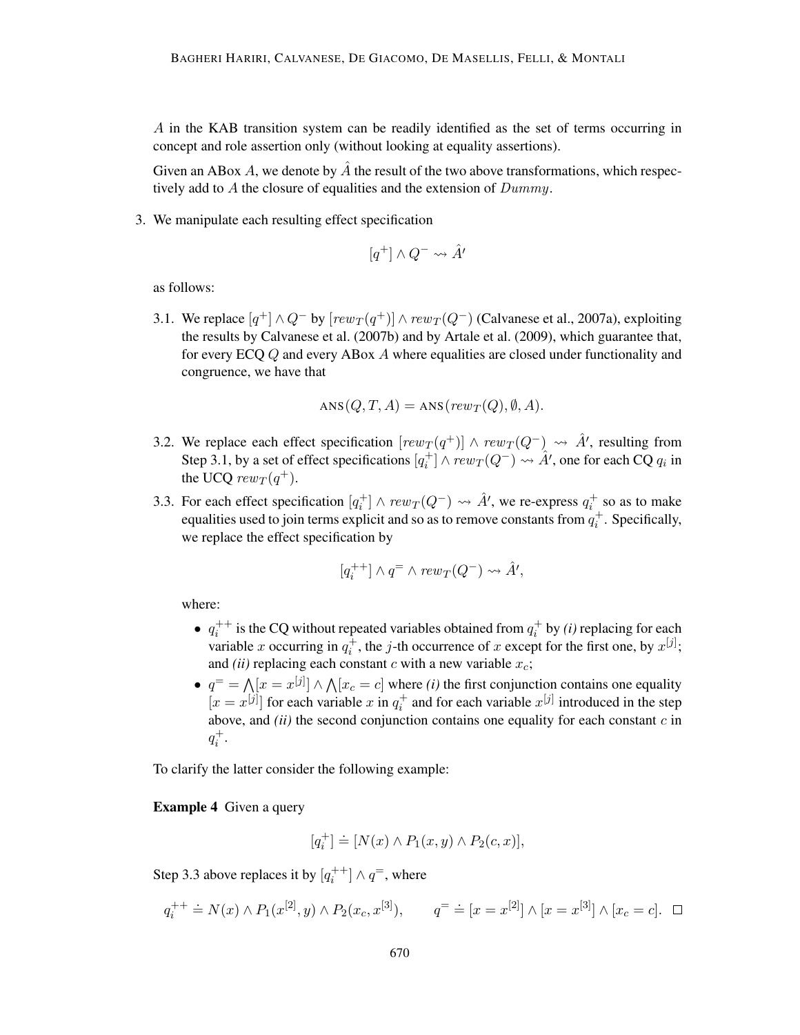A in the KAB transition system can be readily identified as the set of terms occurring in concept and role assertion only (without looking at equality assertions).

Given an ABox A, we denote by  $\tilde{A}$  the result of the two above transformations, which respectively add to A the closure of equalities and the extension of Dummy.

3. We manipulate each resulting effect specification

$$
[q^+] \wedge Q^- \leadsto \hat{A'}
$$

as follows:

3.1. We replace  $[q^+] \wedge Q^-$  by  $[rew_T(q^+)] \wedge rew_T(Q^-)$  (Calvanese et al., 2007a), exploiting the results by Calvanese et al. (2007b) and by Artale et al. (2009), which guarantee that, for every ECQ Q and every ABox A where equalities are closed under functionality and congruence, we have that

$$
ANS(Q, T, A) = ANS(rew_T(Q), \emptyset, A).
$$

- 3.2. We replace each effect specification  $[rew_T(q^+)] \wedge rew_T(Q^-) \rightarrow \hat{A}$ , resulting from Step 3.1, by a set of effect specifications  $[q_i^+] \wedge \text{rew}_T(Q^-) \rightarrow \hat{A}'$ , one for each CQ  $q_i$  in the UCQ  $rew_T(q^+).$
- 3.3. For each effect specification  $[q_i^+] \wedge \text{rew}_T(Q^-) \leadsto \hat{A}'$ , we re-express  $q_i^+$  so as to make equalities used to join terms explicit and so as to remove constants from  $q_i^+$ . Specifically, we replace the effect specification by

$$
[q^{++}_i] \wedge q^= \wedge \mathit{rew}_T(Q^-) \leadsto \hat{A'},
$$

where:

- $q_i^{++}$  is the CQ without repeated variables obtained from  $q_i^+$  by *(i)* replacing for each variable x occurring in  $q_i^{\perp}$ , the j-th occurrence of x except for the first one, by  $x^{[j]}$ ; and *(ii)* replacing each constant c with a new variable  $x_c$ ;
- $q^=$   $\bigwedge [x = x^{[j]}] \wedge \bigwedge [x_c = c]$  where *(i)* the first conjunction contains one equality  $[x = x^{[j]}]$  for each variable x in  $q_i^+$  and for each variable  $x^{[j]}$  introduced in the step above, and  $(ii)$  the second conjunction contains one equality for each constant  $c$  in  $q_i^+$ .

To clarify the latter consider the following example:

Example 4 Given a query

$$
[q_i^+] \doteq [N(x) \wedge P_1(x, y) \wedge P_2(c, x)],
$$

Step 3.3 above replaces it by  $[q_i^{++}] \wedge q^=$ , where

$$
q_i^{++} \doteq N(x) \wedge P_1(x^{[2]}, y) \wedge P_2(x_c, x^{[3]}),
$$
  $q^= \doteq [x = x^{[2]}] \wedge [x = x^{[3]}] \wedge [x_c = c].$   $\Box$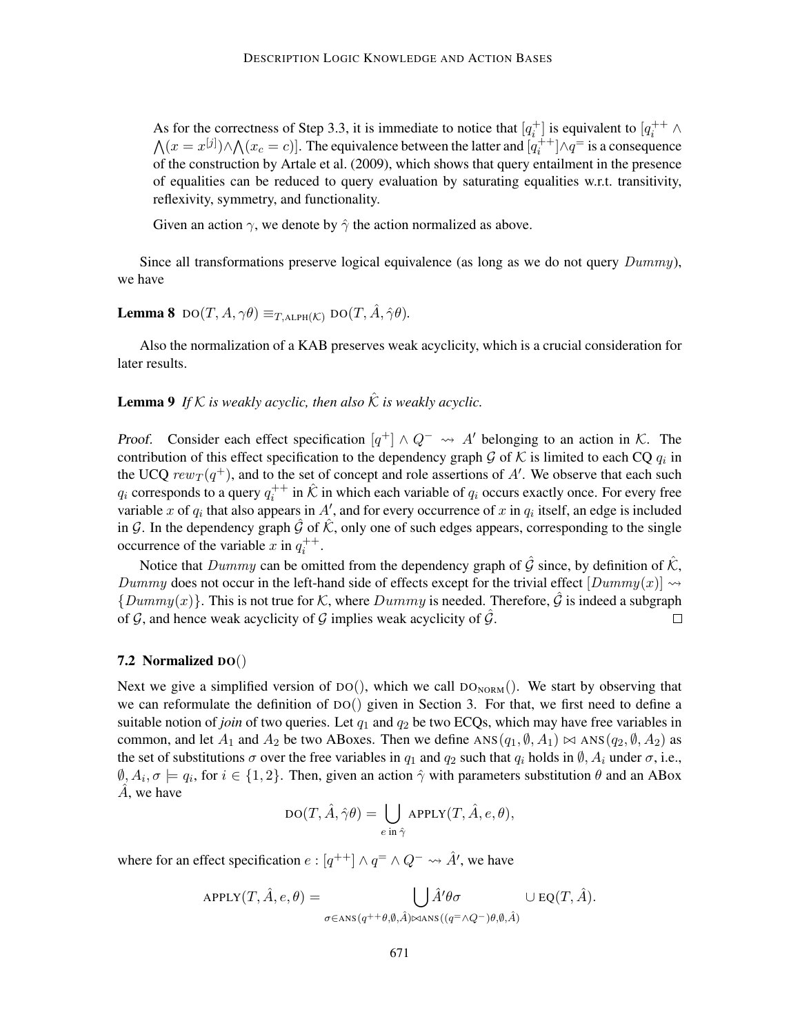As for the correctness of Step 3.3, it is immediate to notice that  $[q_i^+]$  is equivalent to  $[q_i^{++} \land$  $\bigwedge (x = x^{[j]}) \wedge \bigwedge (x_c = c)$ . The equivalence between the latter and  $[q_i^{[+]}] \wedge q^=$  is a consequence of the construction by Artale et al. (2009), which shows that query entailment in the presence of equalities can be reduced to query evaluation by saturating equalities w.r.t. transitivity, reflexivity, symmetry, and functionality.

Given an action  $\gamma$ , we denote by  $\hat{\gamma}$  the action normalized as above.

Since all transformations preserve logical equivalence (as long as we do not query  $Dummy$ ), we have

# **Lemma 8**  $\text{DO}(T, A, \gamma \theta) \equiv_{T, \text{ALPH}(\mathcal{K})} \text{DO}(T, \hat{A}, \hat{\gamma} \theta)$ .

Also the normalization of a KAB preserves weak acyclicity, which is a crucial consideration for later results.

**Lemma 9** If K is weakly acyclic, then also  $\hat{K}$  is weakly acyclic.

Proof. Consider each effect specification  $[q^+] \wedge Q^- \leadsto A'$  belonging to an action in K. The contribution of this effect specification to the dependency graph  $G$  of  $K$  is limited to each CQ  $q_i$  in the UCQ  $rew_T(q^+)$ , and to the set of concept and role assertions of A'. We observe that each such  $q_i$  corresponds to a query  $q_i^{++}$  in  $\hat{\mathcal{K}}$  in which each variable of  $q_i$  occurs exactly once. For every free variable x of  $q_i$  that also appears in A', and for every occurrence of x in  $q_i$  itself, an edge is included in G. In the dependency graph  $\hat{G}$  of  $\hat{K}$ , only one of such edges appears, corresponding to the single occurrence of the variable x in  $q_i^{++}$ .

Notice that Dummy can be omitted from the dependency graph of  $\hat{G}$  since, by definition of  $\hat{K}$ , Dummy does not occur in the left-hand side of effects except for the trivial effect  $[Dummy(x)] \rightsquigarrow$  ${Dummy(x)}$ . This is not true for K, where  $Dummy$  is needed. Therefore, G is indeed a subgraph of  $\mathcal{G}$ , and hence weak acyclicity of  $\mathcal{G}$  implies weak acyclicity of  $\hat{\mathcal{G}}$ .  $\Box$ 

### 7.2 Normalized DO()

Next we give a simplified version of  $DO()$ , which we call  $DO_{NORM}($ ). We start by observing that we can reformulate the definition of DO() given in Section 3. For that, we first need to define a suitable notion of *join* of two queries. Let  $q_1$  and  $q_2$  be two ECQs, which may have free variables in common, and let  $A_1$  and  $A_2$  be two ABoxes. Then we define  $ANS(q_1, \emptyset, A_1) \bowtie ANS(q_2, \emptyset, A_2)$  as the set of substitutions  $\sigma$  over the free variables in  $q_1$  and  $q_2$  such that  $q_i$  holds in  $\emptyset$ ,  $A_i$  under  $\sigma$ , i.e.,  $\emptyset, A_i, \sigma \models q_i$ , for  $i \in \{1, 2\}$ . Then, given an action  $\hat{\gamma}$  with parameters substitution  $\theta$  and an ABox  $A$ , we have

$$
DO(T, \hat{A}, \hat{\gamma}\theta) = \bigcup_{e \text{ in } \hat{\gamma}} APPLY(T, \hat{A}, e, \theta),
$$

where for an effect specification  $e: [q^{++}] \wedge q^= \wedge Q^- \leadsto \hat{A}'$ , we have

$$
APPLY(T, \hat{A}, e, \theta) = \bigcup_{\sigma \in \text{ANS}(q^{++}\theta, \emptyset, \hat{A}) \bowtie \text{ANS}((q^= \land Q^-) \theta, \emptyset, \hat{A})} \cup \text{EQ}(T, \hat{A}).
$$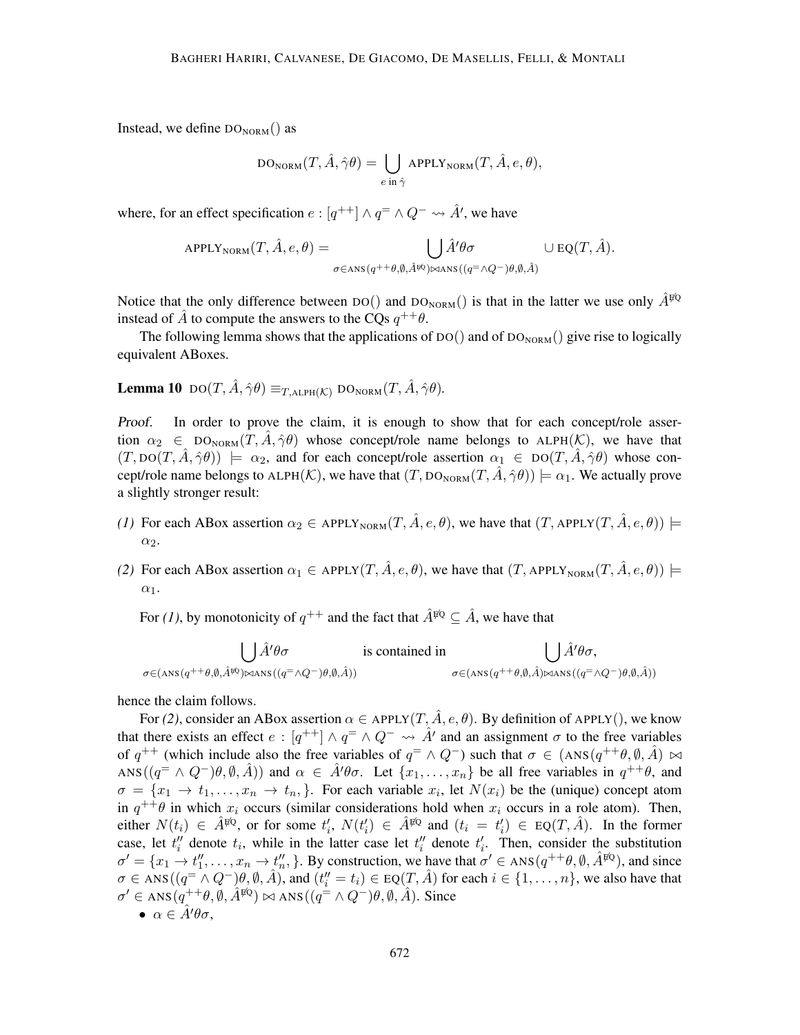Instead, we define  $DO<sub>NORM as</sub>$ 

$$
DO_{NORM}(T, \hat{A}, \hat{\gamma}\theta) = \bigcup_{e \text{ in } \hat{\gamma}} APPLY_{NORM}(T, \hat{A}, e, \theta),
$$

where, for an effect specification  $e: [q^{++}] \wedge q^= \wedge Q^- \leadsto \hat{A}'$ , we have

$$
APPLY_{NORM}(T, \hat{A}, e, \theta) = \bigcup_{\sigma \in \text{ANS}(q^{++}\theta, \emptyset, \hat{A}^{pQ}) \bowtie \text{ANS}((q^= \land Q^-)\theta, \emptyset, \hat{A})} \cup \text{EQ}(T, \hat{A}).
$$

Notice that the only difference between DO() and DO<sub>NORM</sub>() is that in the latter we use only  $\hat{A}^{\sharp Q}$ instead of  $\hat{A}$  to compute the answers to the CQs  $q^{++}\theta$ .

The following lemma shows that the applications of  $DO()$  and of  $DO_{NORM}($ ) give rise to logically equivalent ABoxes.

# **Lemma 10**  $\text{DO}(T, \hat{A}, \hat{\gamma}\theta) \equiv_{T, \text{ALPH}(\mathcal{K})} \text{DO}_{\text{NORM}}(T, \hat{A}, \hat{\gamma}\theta)$ .

Proof. In order to prove the claim, it is enough to show that for each concept/role assertion  $\alpha_2 \in \text{DO}_{\text{NORM}}(T, \hat{A}, \hat{\gamma}\theta)$  whose concept/role name belongs to ALPH(K), we have that  $(T, \text{DO}(T, \hat{A}, \hat{\gamma}\theta)) \models \alpha_2$ , and for each concept/role assertion  $\alpha_1 \in \text{DO}(T, \hat{A}, \hat{\gamma}\theta)$  whose concept/role name belongs to ALPH(K), we have that  $(T, DO_{NORM}(T, \hat{A}, \hat{\gamma}\theta)) \models \alpha_1$ . We actually prove a slightly stronger result:

- *(1)* For each ABox assertion  $\alpha_2 \in \text{APPLY}_{\text{NORM}}(T, \hat{A}, e, \theta)$ , we have that  $(T, \text{APPLY}(T, \hat{A}, e, \theta)) \models$ α2.
- *(2)* For each ABox assertion  $\alpha_1 \in \text{APPLY}(T, \hat{A}, e, \theta)$ , we have that  $(T, \text{APPLY}_{\text{NORM}}(T, \hat{A}, e, \theta))$   $\models$  $\alpha_1$ .

For (1), by monotonicity of  $q^{++}$  and the fact that  $\hat{A}^{\sharp\mathbb{Q}} \subseteq \hat{A}$ , we have that

$$
\bigcup_{\sigma \in (\text{ANS}(q^{++}\theta,\emptyset,\hat{A}^{pQ})\bowtie\text{ANS}((q^{-}\wedge Q^{-})\theta,\emptyset,\hat{A}))} \text{is contained in}
$$
\n
$$
\bigcup_{\sigma \in (\text{ANS}(q^{++}\theta,\emptyset,\hat{A})\bowtie\text{ANS}((q^{-}\wedge Q^{-})\theta,\emptyset,\hat{A}))} \text{is contained in}
$$

hence the claim follows.

For (2), consider an ABox assertion  $\alpha \in$  APPLY(T,  $\hat{A}, e, \theta$ ). By definition of APPLY(), we know that there exists an effect  $e: [q^{++}] \wedge q^= \wedge Q^- \leadsto \hat{A}'$  and an assignment  $\sigma$  to the free variables of  $q^{++}$  (which include also the free variables of  $q^{+} \wedge Q^{-}$ ) such that  $\sigma \in (ANS(q^{++}\theta, \emptyset, \hat{A}) \bowtie$ ANS( $(q^{\pm} \wedge Q^{-})\theta, \emptyset, \hat{A}$ )) and  $\alpha \in \hat{A}'\theta\sigma$ . Let  $\{x_1, \ldots, x_n\}$  be all free variables in  $q^{++}\theta$ , and  $\sigma = \{x_1 \to t_1, \ldots, x_n \to t_n, \}$ . For each variable  $x_i$ , let  $N(x_i)$  be the (unique) concept atom in  $q^{++}\theta$  in which  $x_i$  occurs (similar considerations hold when  $x_i$  occurs in a role atom). Then, either  $N(t_i) \in \hat{A}^{\sharp\mathbb{Q}}$ , or for some  $t'_i$ ,  $N(t'_i) \in \hat{A}^{\sharp\mathbb{Q}}$  and  $(t_i = t'_i) \in \text{EQ}(T, \hat{A})$ . In the former case, let  $t_i$ <sup>*''*</sup> denote  $t_i$ , while in the latter case let  $t_i$ <sup>''</sup> denote  $t_i$ <sup>'</sup>. Then, consider the substitution  $\sigma' = \{x_1 \to t_1'', \ldots, x_n \to t_n'', \}$ . By construction, we have that  $\sigma' \in ANS(q^{++}\theta, \emptyset, \hat{A}^{EQ})$ , and since  $\sigma \in \text{ANS}(q^{\text{--}} \wedge Q^-)\theta, \emptyset, \hat{A})$ , and  $(t''_i = t_i) \in \text{EQ}(T, \hat{A})$  for each  $i \in \{1, \ldots, n\}$ , we also have that  $\sigma' \in \text{ANS}(q^{++}\theta, \emptyset, \hat{A}^{\sharp\mathbb{Q}}) \bowtie \text{ANS}((q^= \wedge Q^-)\theta, \emptyset, \hat{A})$ . Since

$$
\bullet\ \alpha\in \hat{A}'\theta\sigma,
$$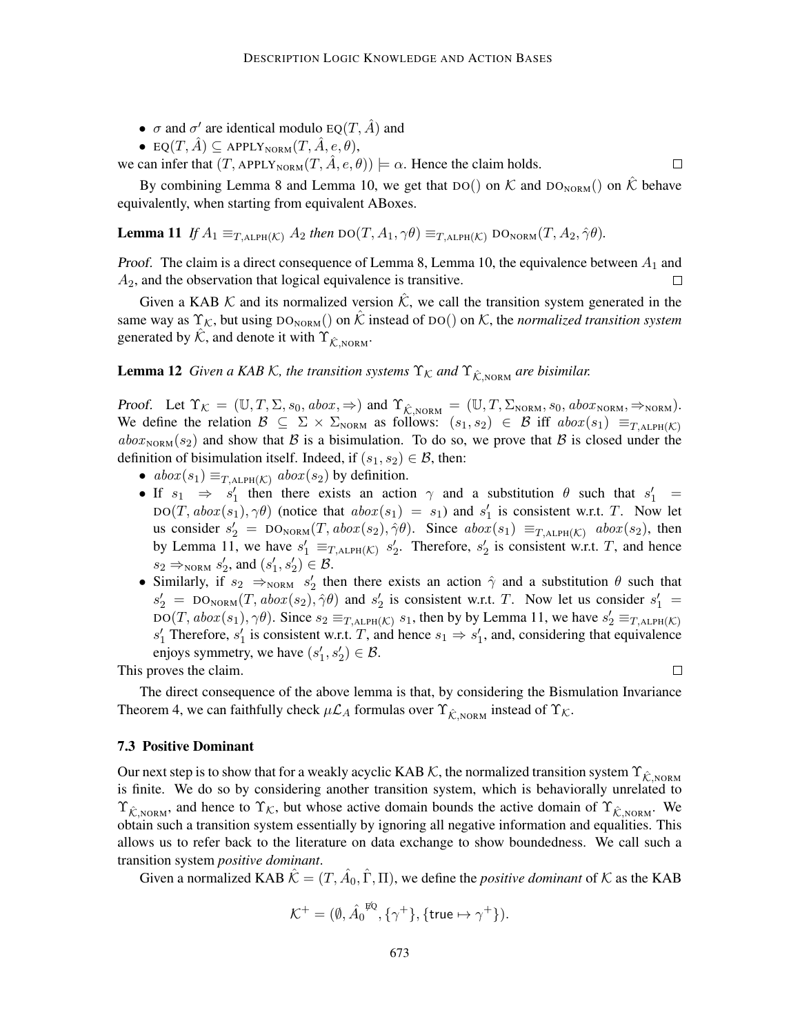- $\sigma$  and  $\sigma'$  are identical modulo EQ(T,  $\hat{A}$ ) and
- EQ $(T, \hat{A}) \subseteq$  APPLY<sub>NORM</sub> $(T, \hat{A}, e, \theta)$ ,

we can infer that  $(T, \text{APPLY}_{\text{NORM}}(T, \hat{A}, e, \theta)) \models \alpha$ . Hence the claim holds.

By combining Lemma 8 and Lemma 10, we get that DO() on K and DO<sub>NORM</sub>() on K behave equivalently, when starting from equivalent ABoxes.

**Lemma 11** If 
$$
A_1 \equiv_{T,ALPH(K)} A_2
$$
 then  $DO(T, A_1, \gamma \theta) \equiv_{T,ALPH(K)} DO_{NORM}(T, A_2, \gamma \theta)$ .

*Proof.* The claim is a direct consequence of Lemma 8, Lemma 10, the equivalence between  $A_1$  and  $A<sub>2</sub>$ , and the observation that logical equivalence is transitive.  $\Box$ 

Given a KAB K and its normalized version  $\hat{K}$ , we call the transition system generated in the same way as  $\Upsilon_{\mathcal{K}}$ , but using  $DO_{NORM}()$  on  $\hat{\mathcal{K}}$  instead of  $DO()$  on  $\mathcal{K}$ , the *normalized transition system* generated by  $\hat{K}$ , and denote it with  $\Upsilon_{\hat{K}}$ <sub>NORM</sub>.

# **Lemma 12** *Given a KAB K, the transition systems*  $\Upsilon_K$  *and*  $\Upsilon_{\hat{K}}$ <sub>NORM</sub> *are bisimilar.*

Proof. Let  $\Upsilon_{\mathcal{K}} = (\mathbb{U}, T, \Sigma, s_0, abox, \Rightarrow)$  and  $\Upsilon_{\hat{\mathcal{K}},\text{NORM}} = (\mathbb{U}, T, \Sigma_{\text{NORM}}, s_0, abox_{\text{NORM}}, \Rightarrow_{\text{NORM}})$ . We define the relation  $\mathcal{B} \subseteq \Sigma \times \Sigma_{NORM}$  as follows:  $(s_1, s_2) \in \mathcal{B}$  iff  $abex(s_1) \equiv_{T,ALPH(\mathcal{K})}$  $ab\alpha_{\text{NORM}}(s_2)$  and show that B is a bisimulation. To do so, we prove that B is closed under the definition of bisimulation itself. Indeed, if  $(s_1, s_2) \in \mathcal{B}$ , then:

- $abox(s_1) \equiv_{T,\text{ALPH}(\mathcal{K})} abox(s_2)$  by definition.
- If  $s_1 \Rightarrow s'_1$  then there exists an action  $\gamma$  and a substitution  $\theta$  such that  $s'_1$  $DO(T, abox(s_1), \gamma\theta)$  (notice that  $abox(s_1) = s_1$ ) and  $s'_1$  is consistent w.r.t. T. Now let us consider  $s'_2 = DO_{NORM}(T, abox(s_2), \hat{\gamma}\theta)$ . Since  $abox(s_1) \equiv_{T, ALPH(\mathcal{K})} abox(s_2)$ , then by Lemma 11, we have  $s'_1 \equiv_{T,\text{ALPH}(\mathcal{K})} s'_2$ . Therefore,  $s'_2$  is consistent w.r.t. T, and hence  $s_2 \Rightarrow_{\text{NORM}} s_2', \text{ and } (s_1', s_2') \in \mathcal{B}.$
- Similarly, if  $s_2 \implies_{NORM} s'_2$  then there exists an action  $\hat{\gamma}$  and a substitution  $\theta$  such that  $s'_2 = \text{DO}_{\text{NORM}}(T, abox(s_2), \hat{\gamma}\theta)$  and  $s'_2$  is consistent w.r.t. T. Now let us consider  $s'_1$  $DO(T, abox(s_1), \gamma\theta)$ . Since  $s_2 \equiv_{T, ALPH(K)} s_1$ , then by by Lemma 11, we have  $s'_2 \equiv_{T, ALPH(K)} s_2$  $s'_1$  Therefore,  $s'_1$  is consistent w.r.t. T, and hence  $s_1 \Rightarrow s'_1$ , and, considering that equivalence enjoys symmetry, we have  $(s'_1, s'_2) \in \mathcal{B}$ .

This proves the claim.

 $\Box$ 

 $\Box$ 

The direct consequence of the above lemma is that, by considering the Bismulation Invariance Theorem 4, we can faithfully check  $\mu\mathcal{L}_A$  formulas over  $\Upsilon_{\hat{K},NORM}}$  instead of  $\Upsilon_{\hat{K}}$ .

### 7.3 Positive Dominant

Our next step is to show that for a weakly acyclic KAB K, the normalized transition system  $\Upsilon_{\hat{K},NORM}$ is finite. We do so by considering another transition system, which is behaviorally unrelated to  $\Upsilon_{\hat{K},\text{NORM}}$ , and hence to  $\Upsilon_{\hat{K}}$ , but whose active domain bounds the active domain of  $\Upsilon_{\hat{K},\text{NORM}}$ . We obtain such a transition system essentially by ignoring all negative information and equalities. This allows us to refer back to the literature on data exchange to show boundedness. We call such a transition system *positive dominant*.

Given a normalized KAB  $\hat{\mathcal{K}} = (T, \hat{A}_0, \hat{\Gamma}, \Pi)$ , we define the *positive dominant* of  $\mathcal K$  as the KAB

$$
\mathcal{K}^+ = (\emptyset, \hat{A_0}^{\sharp\mathbb{Q}}, \{\gamma^+\}, \{\mathsf{true} \mapsto \gamma^+\}).
$$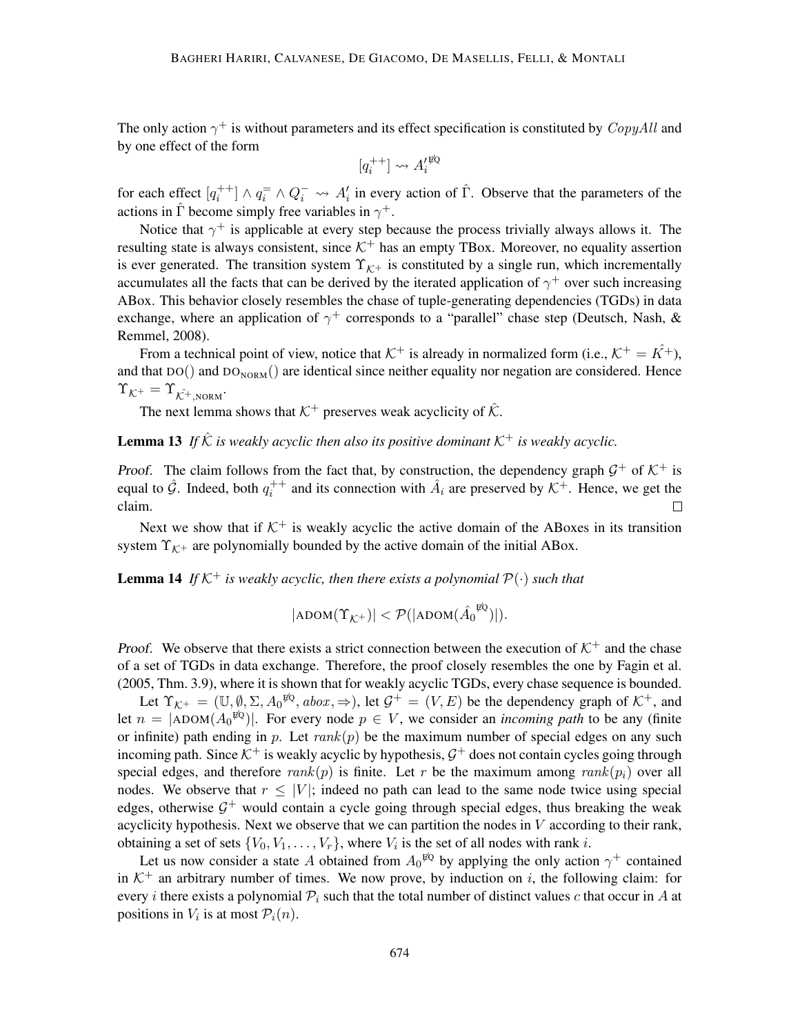The only action  $\gamma^+$  is without parameters and its effect specification is constituted by  $CopyAll$  and by one effect of the form

$$
[q^{++}_i] \leadsto A'^{\not\!\!RQ}_i
$$

for each effect  $[q_i^{++}] \wedge q_i^- \wedge Q_i^- \leadsto A_i'$  in every action of  $\hat{\Gamma}$ . Observe that the parameters of the actions in  $\hat{\Gamma}$  become simply free variables in  $\gamma^+$ .

Notice that  $\gamma^+$  is applicable at every step because the process trivially always allows it. The resulting state is always consistent, since  $K^+$  has an empty TBox. Moreover, no equality assertion is ever generated. The transition system  $\Upsilon_{K^+}$  is constituted by a single run, which incrementally accumulates all the facts that can be derived by the iterated application of  $\gamma^+$  over such increasing ABox. This behavior closely resembles the chase of tuple-generating dependencies (TGDs) in data exchange, where an application of  $\gamma^+$  corresponds to a "parallel" chase step (Deutsch, Nash, & Remmel, 2008).

From a technical point of view, notice that  $K^+$  is already in normalized form (i.e.,  $K^+ = \hat{K^+}$ ), and that  $DO()$  and  $DO<sub>NORM are identical since neither equality nor negation are considered. Hence</sub>$  $\Upsilon_{\mathcal{K}^+} = \Upsilon_{\hat{\mathcal{K}^+},\text{nonmax}}.$ 

The next lemma shows that  $K^+$  preserves weak acyclicity of  $\hat{K}$ .

**Lemma 13** If  $\hat{\mathcal{K}}$  *is weakly acyclic then also its positive dominant*  $\mathcal{K}^+$  *is weakly acyclic.* 

Proof. The claim follows from the fact that, by construction, the dependency graph  $G^+$  of  $K^+$  is equal to  $\hat{G}$ . Indeed, both  $q_i^{++}$  and its connection with  $\hat{A}_i$  are preserved by  $K^+$ . Hence, we get the claim.  $\Box$ 

Next we show that if  $K^+$  is weakly acyclic the active domain of the ABoxes in its transition system  $\Upsilon_{\mathcal{K}^+}$  are polynomially bounded by the active domain of the initial ABox.

**Lemma 14** If  $K^+$  *is weakly acyclic, then there exists a polynomial*  $P(\cdot)$  *such that* 

$$
|\text{adom}(\Upsilon_{\mathcal{K}^+})| < \mathcal{P}(|\text{adom}(\hat{A_0}^{\not\!{\otimes} Q})|).
$$

Proof. We observe that there exists a strict connection between the execution of  $K^+$  and the chase of a set of TGDs in data exchange. Therefore, the proof closely resembles the one by Fagin et al. (2005, Thm. 3.9), where it is shown that for weakly acyclic TGDs, every chase sequence is bounded.

Let  $\Upsilon_{\mathcal{K}^+} = (\mathbb{U}, \emptyset, \Sigma, A_0^{\sharp\mathbb{Q}}, abox, \Rightarrow)$ , let  $\mathcal{G}^+ = (V, E)$  be the dependency graph of  $\mathcal{K}^+$ , and let  $n = |ADOM(A_0^{gQ})|$ . For every node  $p \in V$ , we consider an *incoming path* to be any (finite or infinite) path ending in p. Let  $rank(p)$  be the maximum number of special edges on any such incoming path. Since  $K^+$  is weakly acyclic by hypothesis,  $\mathcal{G}^+$  does not contain cycles going through special edges, and therefore  $rank(p)$  is finite. Let r be the maximum among  $rank(p_i)$  over all nodes. We observe that  $r \leq |V|$ ; indeed no path can lead to the same node twice using special edges, otherwise  $G^+$  would contain a cycle going through special edges, thus breaking the weak acyclicity hypothesis. Next we observe that we can partition the nodes in  $V$  according to their rank, obtaining a set of sets  $\{V_0, V_1, \ldots, V_r\}$ , where  $V_i$  is the set of all nodes with rank i.

Let us now consider a state A obtained from  $A_0^{\,\not\!EQ}$  by applying the only action  $\gamma^+$  contained in  $K^+$  an arbitrary number of times. We now prove, by induction on i, the following claim: for every i there exists a polynomial  $P_i$  such that the total number of distinct values c that occur in A at positions in  $V_i$  is at most  $P_i(n)$ .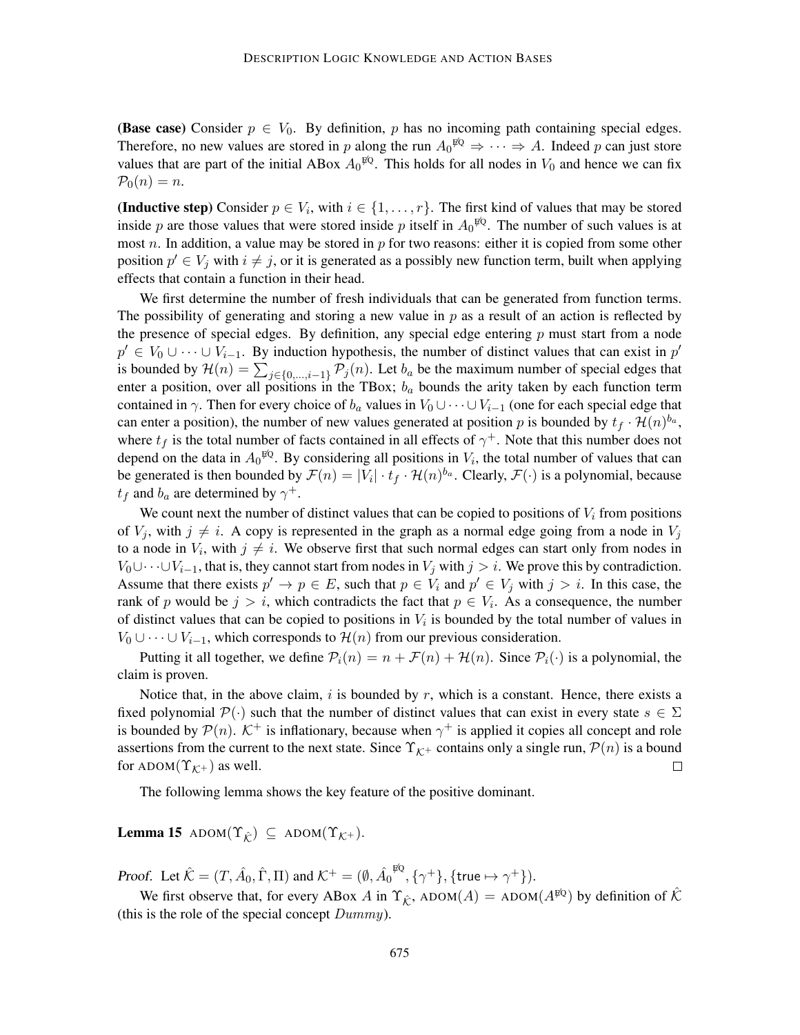(Base case) Consider  $p \in V_0$ . By definition, p has no incoming path containing special edges. Therefore, no new values are stored in p along the run  $A_0^{\sharp Q} \Rightarrow \cdots \Rightarrow A$ . Indeed p can just store values that are part of the initial ABox  $A_0^{\,\beta\,\!Q}$ . This holds for all nodes in  $V_0$  and hence we can fix  $P_0(n) = n$ .

(Inductive step) Consider  $p \in V_i$ , with  $i \in \{1, \ldots, r\}$ . The first kind of values that may be stored inside p are those values that were stored inside p itself in  $A_0^{\beta Q}$ . The number of such values is at most n. In addition, a value may be stored in  $p$  for two reasons: either it is copied from some other position  $p' \in V_j$  with  $i \neq j$ , or it is generated as a possibly new function term, built when applying effects that contain a function in their head.

We first determine the number of fresh individuals that can be generated from function terms. The possibility of generating and storing a new value in  $p$  as a result of an action is reflected by the presence of special edges. By definition, any special edge entering  $p$  must start from a node  $p' \in V_0 \cup \cdots \cup V_{i-1}$ . By induction hypothesis, the number of distinct values that can exist in  $p'$ is bounded by  $\mathcal{H}(n) = \sum_{j \in \{0,\dots,i-1\}} \mathcal{P}_j(n)$ . Let  $b_a$  be the maximum number of special edges that enter a position, over all positions in the TBox;  $b_a$  bounds the arity taken by each function term contained in  $\gamma$ . Then for every choice of  $b_a$  values in  $V_0 \cup \cdots \cup V_{i-1}$  (one for each special edge that can enter a position), the number of new values generated at position p is bounded by  $t_f \cdot \mathcal{H}(n)^{b_a}$ , where  $t_f$  is the total number of facts contained in all effects of  $\gamma^+$ . Note that this number does not depend on the data in  $A_0^{\sharp Q}$ . By considering all positions in  $V_i$ , the total number of values that can be generated is then bounded by  $\mathcal{F}(n) = |V_i| \cdot t_f \cdot \mathcal{H}(n)^{b_a}$ . Clearly,  $\mathcal{F}(\cdot)$  is a polynomial, because  $t_f$  and  $b_a$  are determined by  $\gamma^+$ .

We count next the number of distinct values that can be copied to positions of  $V_i$  from positions of  $V_j$ , with  $j \neq i$ . A copy is represented in the graph as a normal edge going from a node in  $V_j$ to a node in  $V_i$ , with  $j \neq i$ . We observe first that such normal edges can start only from nodes in  $V_0 \cup \cdots \cup V_{i-1}$ , that is, they cannot start from nodes in  $V_j$  with  $j > i$ . We prove this by contradiction. Assume that there exists  $p' \to p \in E$ , such that  $p \in V_i$  and  $p' \in V_j$  with  $j > i$ . In this case, the rank of p would be  $j > i$ , which contradicts the fact that  $p \in V_i$ . As a consequence, the number of distinct values that can be copied to positions in  $V_i$  is bounded by the total number of values in  $V_0 \cup \cdots \cup V_{i-1}$ , which corresponds to  $\mathcal{H}(n)$  from our previous consideration.

Putting it all together, we define  $P_i(n) = n + \mathcal{F}(n) + \mathcal{H}(n)$ . Since  $P_i(\cdot)$  is a polynomial, the claim is proven.

Notice that, in the above claim, i is bounded by r, which is a constant. Hence, there exists a fixed polynomial  $\mathcal{P}(\cdot)$  such that the number of distinct values that can exist in every state  $s \in \Sigma$ is bounded by  $\mathcal{P}(n)$ .  $\mathcal{K}^+$  is inflationary, because when  $\gamma^+$  is applied it copies all concept and role assertions from the current to the next state. Since  $\Upsilon_{\mathcal{K}^+}$  contains only a single run,  $\mathcal{P}(n)$  is a bound for ADOM $(\Upsilon_{\mathcal{K}^+})$  as well.  $\Box$ 

The following lemma shows the key feature of the positive dominant.

**Lemma 15** ADOM $(\Upsilon_{\hat{K}}) \subseteq$  ADOM $(\Upsilon_{K^+})$ .

Proof. Let  $\hat{\mathcal{K}} = (T, \hat{A}_0, \hat{\Gamma}, \Pi)$  and  $\mathcal{K}^+ = (\emptyset, \hat{A}_0)$  $^{\not\!\!EQ}, \{\gamma^+\}, \{\mathsf{true} \mapsto \gamma^+\}).$ 

We first observe that, for every ABox A in  $\Upsilon_{\hat{\kappa}}$ , ADOM $(A)$  = ADOM $(A^{\hat{\mu}Q})$  by definition of  $\hat{\mathcal{K}}$ (this is the role of the special concept  $Dummy$ ).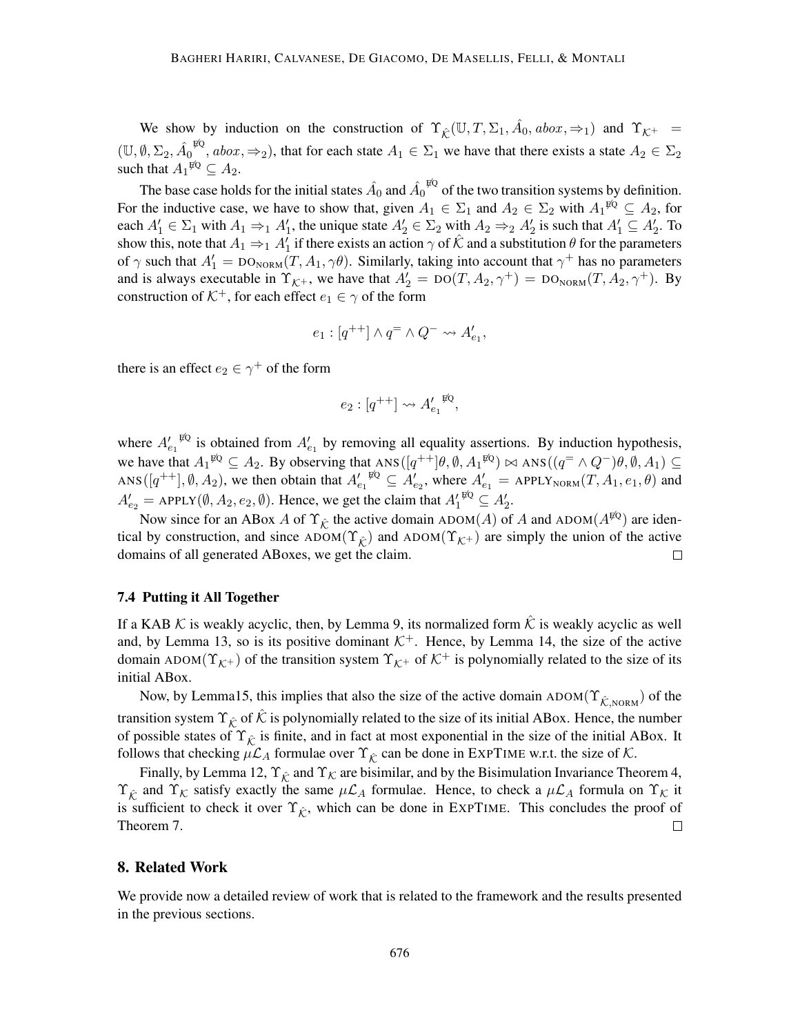We show by induction on the construction of  $\Upsilon_{\hat{\mathcal{K}}}(\mathbb{U},T,\Sigma_1,\hat{A}_0,abox,\Rightarrow_1)$  and  $\Upsilon_{\mathcal{K}^+}$  $(\mathbb{U}, \emptyset, \Sigma_2, \hat{A_0})$  $\mathbb{E}^{6}$ , abox,  $\Rightarrow$ <sub>2</sub>), that for each state  $A_1 \in \Sigma_1$  we have that there exists a state  $A_2 \in \Sigma_2$ such that  $A_1^{\sharp Q} \subseteq A_2$ .

The base case holds for the initial states  $\hat{A}_0$  and  $\hat{A_0}^{\sharp\mathbb{Q}}$  of the two transition systems by definition. For the inductive case, we have to show that, given  $A_1 \in \Sigma_1$  and  $A_2 \in \Sigma_2$  with  $A_1^{\sharp Q} \subseteq A_2$ , for each  $A'_1 \in \Sigma_1$  with  $A_1 \Rightarrow_1 A'_1$ , the unique state  $A'_2 \in \Sigma_2$  with  $A_2 \Rightarrow_2 A'_2$  is such that  $A'_1 \subseteq A'_2$ . To show this, note that  $A_1 \Rightarrow_1 A'_1$  if there exists an action  $\gamma$  of  $\hat{K}$  and a substitution  $\theta$  for the parameters of  $\gamma$  such that  $A'_1 = \text{DO}_{\text{NORM}}(T, A_1, \gamma \theta)$ . Similarly, taking into account that  $\gamma^+$  has no parameters and is always executable in  $\Upsilon_{\mathcal{K}^+}$ , we have that  $A'_2 = \text{DO}(T, A_2, \gamma^+) = \text{DO}_{\text{NORM}}(T, A_2, \gamma^+)$ . By construction of  $K^+$ , for each effect  $e_1 \in \gamma$  of the form

$$
e_1:[q^{++}]\wedge q^=\wedge Q^-\leadsto A'_{e_1},
$$

there is an effect  $e_2 \in \gamma^+$  of the form

$$
e_2: [q^{++}] \leadsto A'_{e_1}^{\ \ \mathfrak{p} Q},
$$

where  $A'_{e_1}$ <sup> $\bar{p}_Q$ </sup> is obtained from  $A'_{e_1}$  by removing all equality assertions. By induction hypothesis, we have that  $A_1^{\sharp Q} \subseteq A_2$ . By observing that  $ANS([q^{++}]\theta, \emptyset, A_1^{\sharp Q}) \bowtie ANS((q^= \wedge Q^-)\theta, \emptyset, A_1) \subseteq$ ANS  $([q^{++}], \emptyset, A_2)$ , we then obtain that  $A'_{e_1}^{\not\in Q} \subseteq A'_{e_2}$ , where  $A'_{e_1} =$  APPLY<sub>NORM</sub> $(T, A_1, e_1, \theta)$  and  $A'_{e_2}$  = APPLY( $\emptyset$ ,  $A_2$ ,  $e_2$ ,  $\emptyset$ ). Hence, we get the claim that  $A'_1^{\psi_0} \subseteq A'_2$ .

Now since for an ABox A of  $\Upsilon_{\hat{K}}$  the active domain ADOM(A) of A and ADOM( $A^{\sharp Q}$ ) are identical by construction, and since  $\text{ADOM}(\Upsilon_{\hat{k}})$  and  $\text{ADOM}(\Upsilon_{\hat{k}+})$  are simply the union of the active domains of all generated ABoxes, we get the claim.  $\Box$ 

# 7.4 Putting it All Together

If a KAB K is weakly acyclic, then, by Lemma 9, its normalized form  $\hat{K}$  is weakly acyclic as well and, by Lemma 13, so is its positive dominant  $K^+$ . Hence, by Lemma 14, the size of the active domain ADOM( $\Upsilon_{\mathcal{K}^+}$ ) of the transition system  $\Upsilon_{\mathcal{K}^+}$  of  $\mathcal{K}^+$  is polynomially related to the size of its initial ABox.

Now, by Lemma15, this implies that also the size of the active domain ADOM( $\Upsilon_{\hat{K},NORM}$ ) of the transition system  $\Upsilon_{\hat{K}}$  of  $\hat{K}$  is polynomially related to the size of its initial ABox. Hence, the number of possible states of  $\Upsilon_{\hat{K}}$  is finite, and in fact at most exponential in the size of the initial ABox. It follows that checking  $\mu\mathcal{L}_A$  formulae over  $\Upsilon_{\hat{\mathcal{K}}}$  can be done in EXPTIME w.r.t. the size of  $\mathcal{K}$ .

Finally, by Lemma 12,  $\Upsilon_{\hat{K}}$  and  $\Upsilon_{K}$  are bisimilar, and by the Bisimulation Invariance Theorem 4,  $\Upsilon_{\hat{K}}$  and  $\Upsilon_{K}$  satisfy exactly the same  $\mu\mathcal{L}_{A}$  formulae. Hence, to check a  $\mu\mathcal{L}_{A}$  formula on  $\Upsilon_{K}$  it is sufficient to check it over  $\Upsilon_{\hat{k}}$ , which can be done in EXPTIME. This concludes the proof of Theorem 7.  $\Box$ 

### 8. Related Work

We provide now a detailed review of work that is related to the framework and the results presented in the previous sections.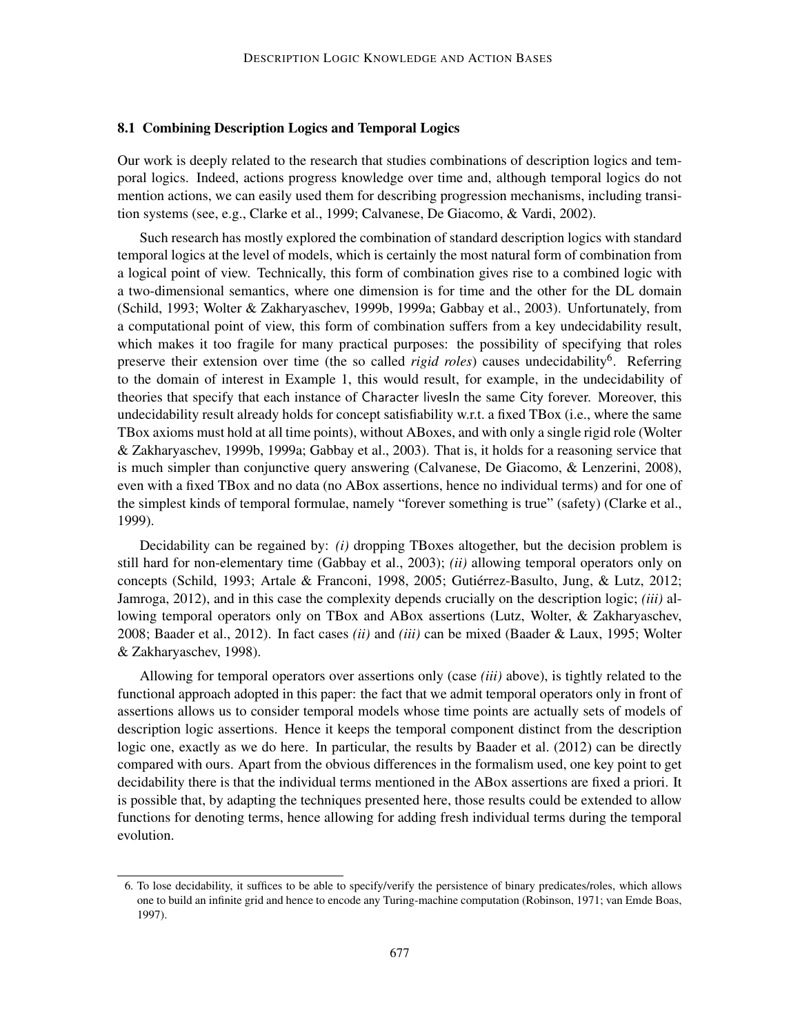### 8.1 Combining Description Logics and Temporal Logics

Our work is deeply related to the research that studies combinations of description logics and temporal logics. Indeed, actions progress knowledge over time and, although temporal logics do not mention actions, we can easily used them for describing progression mechanisms, including transition systems (see, e.g., Clarke et al., 1999; Calvanese, De Giacomo, & Vardi, 2002).

Such research has mostly explored the combination of standard description logics with standard temporal logics at the level of models, which is certainly the most natural form of combination from a logical point of view. Technically, this form of combination gives rise to a combined logic with a two-dimensional semantics, where one dimension is for time and the other for the DL domain (Schild, 1993; Wolter & Zakharyaschev, 1999b, 1999a; Gabbay et al., 2003). Unfortunately, from a computational point of view, this form of combination suffers from a key undecidability result, which makes it too fragile for many practical purposes: the possibility of specifying that roles preserve their extension over time (the so called *rigid roles*) causes undecidability<sup>6</sup>. Referring to the domain of interest in Example 1, this would result, for example, in the undecidability of theories that specify that each instance of Character livesIn the same City forever. Moreover, this undecidability result already holds for concept satisfiability w.r.t. a fixed TBox (i.e., where the same TBox axioms must hold at all time points), without ABoxes, and with only a single rigid role (Wolter & Zakharyaschev, 1999b, 1999a; Gabbay et al., 2003). That is, it holds for a reasoning service that is much simpler than conjunctive query answering (Calvanese, De Giacomo, & Lenzerini, 2008), even with a fixed TBox and no data (no ABox assertions, hence no individual terms) and for one of the simplest kinds of temporal formulae, namely "forever something is true" (safety) (Clarke et al., 1999).

Decidability can be regained by: *(i)* dropping TBoxes altogether, but the decision problem is still hard for non-elementary time (Gabbay et al., 2003); *(ii)* allowing temporal operators only on concepts (Schild, 1993; Artale & Franconi, 1998, 2005; Gutierrez-Basulto, Jung, & Lutz, 2012; ´ Jamroga, 2012), and in this case the complexity depends crucially on the description logic; *(iii)* allowing temporal operators only on TBox and ABox assertions (Lutz, Wolter, & Zakharyaschev, 2008; Baader et al., 2012). In fact cases *(ii)* and *(iii)* can be mixed (Baader & Laux, 1995; Wolter & Zakharyaschev, 1998).

Allowing for temporal operators over assertions only (case *(iii)* above), is tightly related to the functional approach adopted in this paper: the fact that we admit temporal operators only in front of assertions allows us to consider temporal models whose time points are actually sets of models of description logic assertions. Hence it keeps the temporal component distinct from the description logic one, exactly as we do here. In particular, the results by Baader et al. (2012) can be directly compared with ours. Apart from the obvious differences in the formalism used, one key point to get decidability there is that the individual terms mentioned in the ABox assertions are fixed a priori. It is possible that, by adapting the techniques presented here, those results could be extended to allow functions for denoting terms, hence allowing for adding fresh individual terms during the temporal evolution.

<sup>6.</sup> To lose decidability, it suffices to be able to specify/verify the persistence of binary predicates/roles, which allows one to build an infinite grid and hence to encode any Turing-machine computation (Robinson, 1971; van Emde Boas, 1997).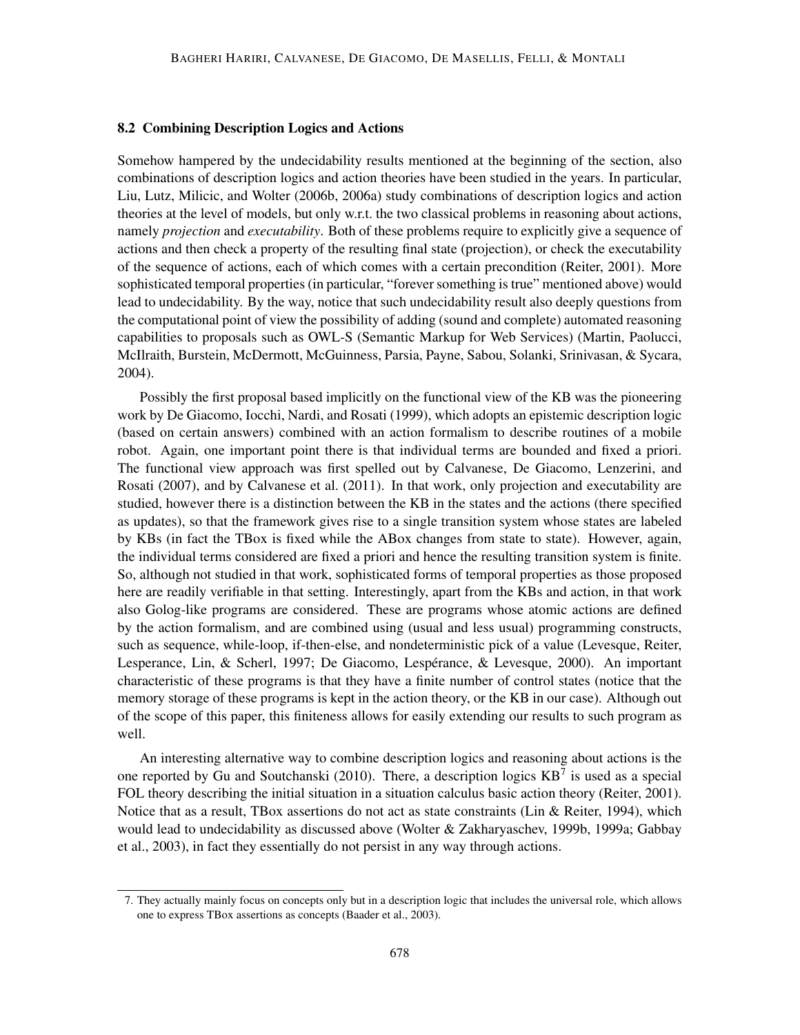### 8.2 Combining Description Logics and Actions

Somehow hampered by the undecidability results mentioned at the beginning of the section, also combinations of description logics and action theories have been studied in the years. In particular, Liu, Lutz, Milicic, and Wolter (2006b, 2006a) study combinations of description logics and action theories at the level of models, but only w.r.t. the two classical problems in reasoning about actions, namely *projection* and *executability*. Both of these problems require to explicitly give a sequence of actions and then check a property of the resulting final state (projection), or check the executability of the sequence of actions, each of which comes with a certain precondition (Reiter, 2001). More sophisticated temporal properties (in particular, "forever something is true" mentioned above) would lead to undecidability. By the way, notice that such undecidability result also deeply questions from the computational point of view the possibility of adding (sound and complete) automated reasoning capabilities to proposals such as OWL-S (Semantic Markup for Web Services) (Martin, Paolucci, McIlraith, Burstein, McDermott, McGuinness, Parsia, Payne, Sabou, Solanki, Srinivasan, & Sycara, 2004).

Possibly the first proposal based implicitly on the functional view of the KB was the pioneering work by De Giacomo, Iocchi, Nardi, and Rosati (1999), which adopts an epistemic description logic (based on certain answers) combined with an action formalism to describe routines of a mobile robot. Again, one important point there is that individual terms are bounded and fixed a priori. The functional view approach was first spelled out by Calvanese, De Giacomo, Lenzerini, and Rosati (2007), and by Calvanese et al. (2011). In that work, only projection and executability are studied, however there is a distinction between the KB in the states and the actions (there specified as updates), so that the framework gives rise to a single transition system whose states are labeled by KBs (in fact the TBox is fixed while the ABox changes from state to state). However, again, the individual terms considered are fixed a priori and hence the resulting transition system is finite. So, although not studied in that work, sophisticated forms of temporal properties as those proposed here are readily verifiable in that setting. Interestingly, apart from the KBs and action, in that work also Golog-like programs are considered. These are programs whose atomic actions are defined by the action formalism, and are combined using (usual and less usual) programming constructs, such as sequence, while-loop, if-then-else, and nondeterministic pick of a value (Levesque, Reiter, Lesperance, Lin, & Scherl, 1997; De Giacomo, Lespérance, & Levesque, 2000). An important characteristic of these programs is that they have a finite number of control states (notice that the memory storage of these programs is kept in the action theory, or the KB in our case). Although out of the scope of this paper, this finiteness allows for easily extending our results to such program as well.

An interesting alternative way to combine description logics and reasoning about actions is the one reported by Gu and Soutchanski (2010). There, a description logics  $KB^7$  is used as a special FOL theory describing the initial situation in a situation calculus basic action theory (Reiter, 2001). Notice that as a result, TBox assertions do not act as state constraints (Lin & Reiter, 1994), which would lead to undecidability as discussed above (Wolter & Zakharyaschev, 1999b, 1999a; Gabbay et al., 2003), in fact they essentially do not persist in any way through actions.

<sup>7.</sup> They actually mainly focus on concepts only but in a description logic that includes the universal role, which allows one to express TBox assertions as concepts (Baader et al., 2003).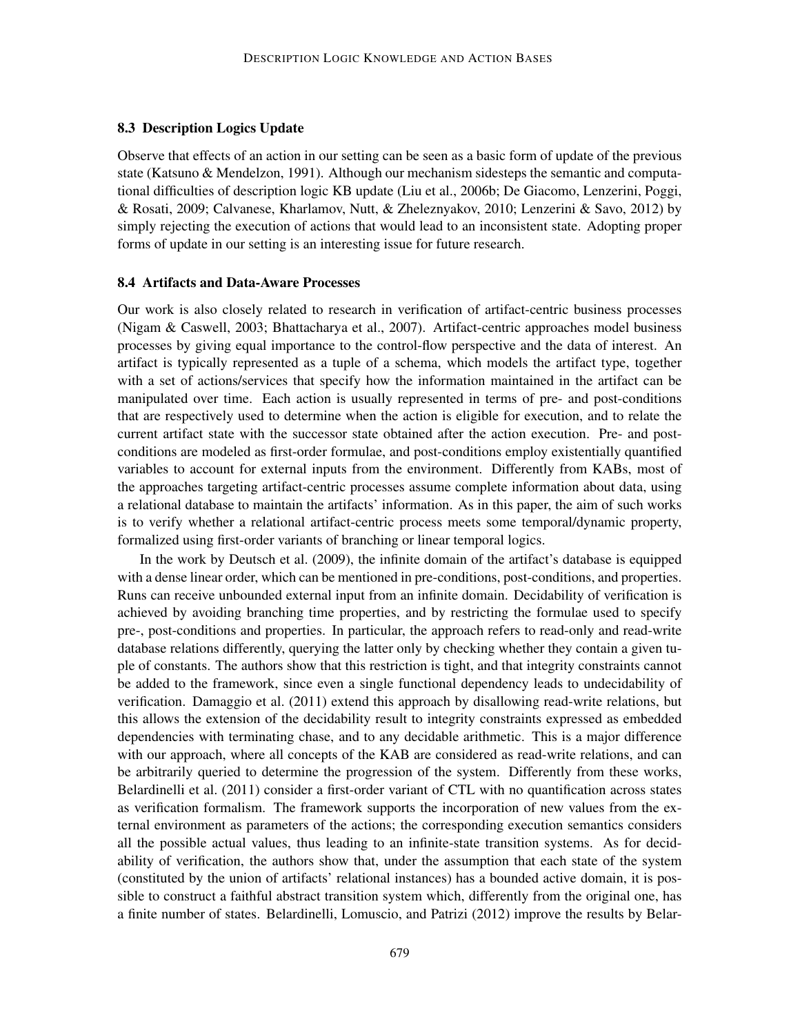### 8.3 Description Logics Update

Observe that effects of an action in our setting can be seen as a basic form of update of the previous state (Katsuno & Mendelzon, 1991). Although our mechanism sidesteps the semantic and computational difficulties of description logic KB update (Liu et al., 2006b; De Giacomo, Lenzerini, Poggi, & Rosati, 2009; Calvanese, Kharlamov, Nutt, & Zheleznyakov, 2010; Lenzerini & Savo, 2012) by simply rejecting the execution of actions that would lead to an inconsistent state. Adopting proper forms of update in our setting is an interesting issue for future research.

# 8.4 Artifacts and Data-Aware Processes

Our work is also closely related to research in verification of artifact-centric business processes (Nigam & Caswell, 2003; Bhattacharya et al., 2007). Artifact-centric approaches model business processes by giving equal importance to the control-flow perspective and the data of interest. An artifact is typically represented as a tuple of a schema, which models the artifact type, together with a set of actions/services that specify how the information maintained in the artifact can be manipulated over time. Each action is usually represented in terms of pre- and post-conditions that are respectively used to determine when the action is eligible for execution, and to relate the current artifact state with the successor state obtained after the action execution. Pre- and postconditions are modeled as first-order formulae, and post-conditions employ existentially quantified variables to account for external inputs from the environment. Differently from KABs, most of the approaches targeting artifact-centric processes assume complete information about data, using a relational database to maintain the artifacts' information. As in this paper, the aim of such works is to verify whether a relational artifact-centric process meets some temporal/dynamic property, formalized using first-order variants of branching or linear temporal logics.

In the work by Deutsch et al. (2009), the infinite domain of the artifact's database is equipped with a dense linear order, which can be mentioned in pre-conditions, post-conditions, and properties. Runs can receive unbounded external input from an infinite domain. Decidability of verification is achieved by avoiding branching time properties, and by restricting the formulae used to specify pre-, post-conditions and properties. In particular, the approach refers to read-only and read-write database relations differently, querying the latter only by checking whether they contain a given tuple of constants. The authors show that this restriction is tight, and that integrity constraints cannot be added to the framework, since even a single functional dependency leads to undecidability of verification. Damaggio et al. (2011) extend this approach by disallowing read-write relations, but this allows the extension of the decidability result to integrity constraints expressed as embedded dependencies with terminating chase, and to any decidable arithmetic. This is a major difference with our approach, where all concepts of the KAB are considered as read-write relations, and can be arbitrarily queried to determine the progression of the system. Differently from these works, Belardinelli et al. (2011) consider a first-order variant of CTL with no quantification across states as verification formalism. The framework supports the incorporation of new values from the external environment as parameters of the actions; the corresponding execution semantics considers all the possible actual values, thus leading to an infinite-state transition systems. As for decidability of verification, the authors show that, under the assumption that each state of the system (constituted by the union of artifacts' relational instances) has a bounded active domain, it is possible to construct a faithful abstract transition system which, differently from the original one, has a finite number of states. Belardinelli, Lomuscio, and Patrizi (2012) improve the results by Belar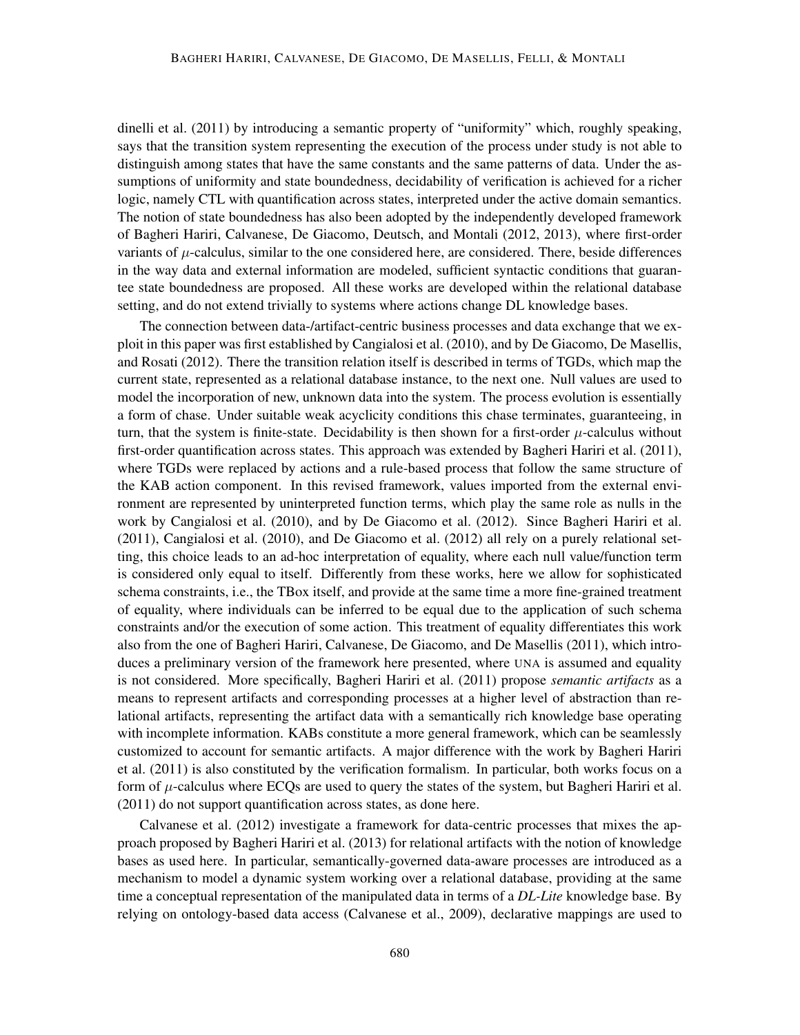dinelli et al. (2011) by introducing a semantic property of "uniformity" which, roughly speaking, says that the transition system representing the execution of the process under study is not able to distinguish among states that have the same constants and the same patterns of data. Under the assumptions of uniformity and state boundedness, decidability of verification is achieved for a richer logic, namely CTL with quantification across states, interpreted under the active domain semantics. The notion of state boundedness has also been adopted by the independently developed framework of Bagheri Hariri, Calvanese, De Giacomo, Deutsch, and Montali (2012, 2013), where first-order variants of  $\mu$ -calculus, similar to the one considered here, are considered. There, beside differences in the way data and external information are modeled, sufficient syntactic conditions that guarantee state boundedness are proposed. All these works are developed within the relational database setting, and do not extend trivially to systems where actions change DL knowledge bases.

The connection between data-/artifact-centric business processes and data exchange that we exploit in this paper was first established by Cangialosi et al. (2010), and by De Giacomo, De Masellis, and Rosati (2012). There the transition relation itself is described in terms of TGDs, which map the current state, represented as a relational database instance, to the next one. Null values are used to model the incorporation of new, unknown data into the system. The process evolution is essentially a form of chase. Under suitable weak acyclicity conditions this chase terminates, guaranteeing, in turn, that the system is finite-state. Decidability is then shown for a first-order  $\mu$ -calculus without first-order quantification across states. This approach was extended by Bagheri Hariri et al. (2011), where TGDs were replaced by actions and a rule-based process that follow the same structure of the KAB action component. In this revised framework, values imported from the external environment are represented by uninterpreted function terms, which play the same role as nulls in the work by Cangialosi et al. (2010), and by De Giacomo et al. (2012). Since Bagheri Hariri et al. (2011), Cangialosi et al. (2010), and De Giacomo et al. (2012) all rely on a purely relational setting, this choice leads to an ad-hoc interpretation of equality, where each null value/function term is considered only equal to itself. Differently from these works, here we allow for sophisticated schema constraints, i.e., the TBox itself, and provide at the same time a more fine-grained treatment of equality, where individuals can be inferred to be equal due to the application of such schema constraints and/or the execution of some action. This treatment of equality differentiates this work also from the one of Bagheri Hariri, Calvanese, De Giacomo, and De Masellis (2011), which introduces a preliminary version of the framework here presented, where UNA is assumed and equality is not considered. More specifically, Bagheri Hariri et al. (2011) propose *semantic artifacts* as a means to represent artifacts and corresponding processes at a higher level of abstraction than relational artifacts, representing the artifact data with a semantically rich knowledge base operating with incomplete information. KABs constitute a more general framework, which can be seamlessly customized to account for semantic artifacts. A major difference with the work by Bagheri Hariri et al. (2011) is also constituted by the verification formalism. In particular, both works focus on a form of  $\mu$ -calculus where ECQs are used to query the states of the system, but Bagheri Hariri et al. (2011) do not support quantification across states, as done here.

Calvanese et al. (2012) investigate a framework for data-centric processes that mixes the approach proposed by Bagheri Hariri et al. (2013) for relational artifacts with the notion of knowledge bases as used here. In particular, semantically-governed data-aware processes are introduced as a mechanism to model a dynamic system working over a relational database, providing at the same time a conceptual representation of the manipulated data in terms of a *DL-Lite* knowledge base. By relying on ontology-based data access (Calvanese et al., 2009), declarative mappings are used to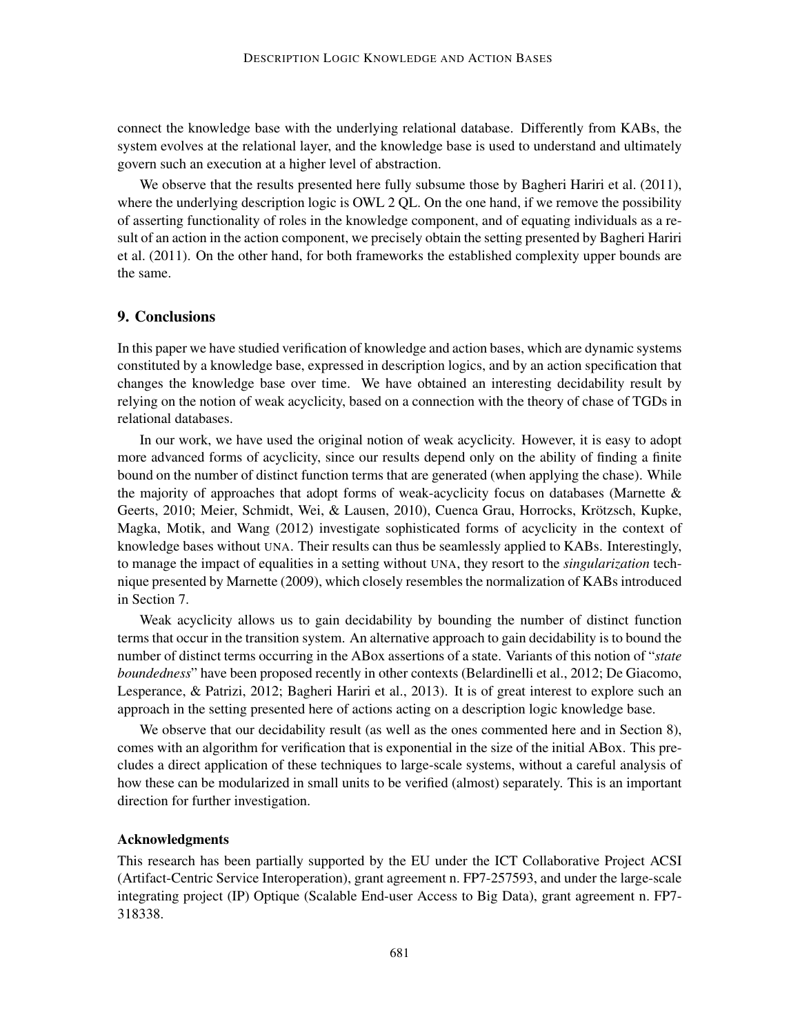connect the knowledge base with the underlying relational database. Differently from KABs, the system evolves at the relational layer, and the knowledge base is used to understand and ultimately govern such an execution at a higher level of abstraction.

We observe that the results presented here fully subsume those by Bagheri Hariri et al. (2011), where the underlying description logic is OWL 2 OL. On the one hand, if we remove the possibility of asserting functionality of roles in the knowledge component, and of equating individuals as a result of an action in the action component, we precisely obtain the setting presented by Bagheri Hariri et al. (2011). On the other hand, for both frameworks the established complexity upper bounds are the same.

# 9. Conclusions

In this paper we have studied verification of knowledge and action bases, which are dynamic systems constituted by a knowledge base, expressed in description logics, and by an action specification that changes the knowledge base over time. We have obtained an interesting decidability result by relying on the notion of weak acyclicity, based on a connection with the theory of chase of TGDs in relational databases.

In our work, we have used the original notion of weak acyclicity. However, it is easy to adopt more advanced forms of acyclicity, since our results depend only on the ability of finding a finite bound on the number of distinct function terms that are generated (when applying the chase). While the majority of approaches that adopt forms of weak-acyclicity focus on databases (Marnette & Geerts, 2010; Meier, Schmidt, Wei, & Lausen, 2010), Cuenca Grau, Horrocks, Krötzsch, Kupke, Magka, Motik, and Wang (2012) investigate sophisticated forms of acyclicity in the context of knowledge bases without UNA. Their results can thus be seamlessly applied to KABs. Interestingly, to manage the impact of equalities in a setting without UNA, they resort to the *singularization* technique presented by Marnette (2009), which closely resembles the normalization of KABs introduced in Section 7.

Weak acyclicity allows us to gain decidability by bounding the number of distinct function terms that occur in the transition system. An alternative approach to gain decidability is to bound the number of distinct terms occurring in the ABox assertions of a state. Variants of this notion of "*state boundedness*" have been proposed recently in other contexts (Belardinelli et al., 2012; De Giacomo, Lesperance, & Patrizi, 2012; Bagheri Hariri et al., 2013). It is of great interest to explore such an approach in the setting presented here of actions acting on a description logic knowledge base.

We observe that our decidability result (as well as the ones commented here and in Section 8), comes with an algorithm for verification that is exponential in the size of the initial ABox. This precludes a direct application of these techniques to large-scale systems, without a careful analysis of how these can be modularized in small units to be verified (almost) separately. This is an important direction for further investigation.

# Acknowledgments

This research has been partially supported by the EU under the ICT Collaborative Project ACSI (Artifact-Centric Service Interoperation), grant agreement n. FP7-257593, and under the large-scale integrating project (IP) Optique (Scalable End-user Access to Big Data), grant agreement n. FP7- 318338.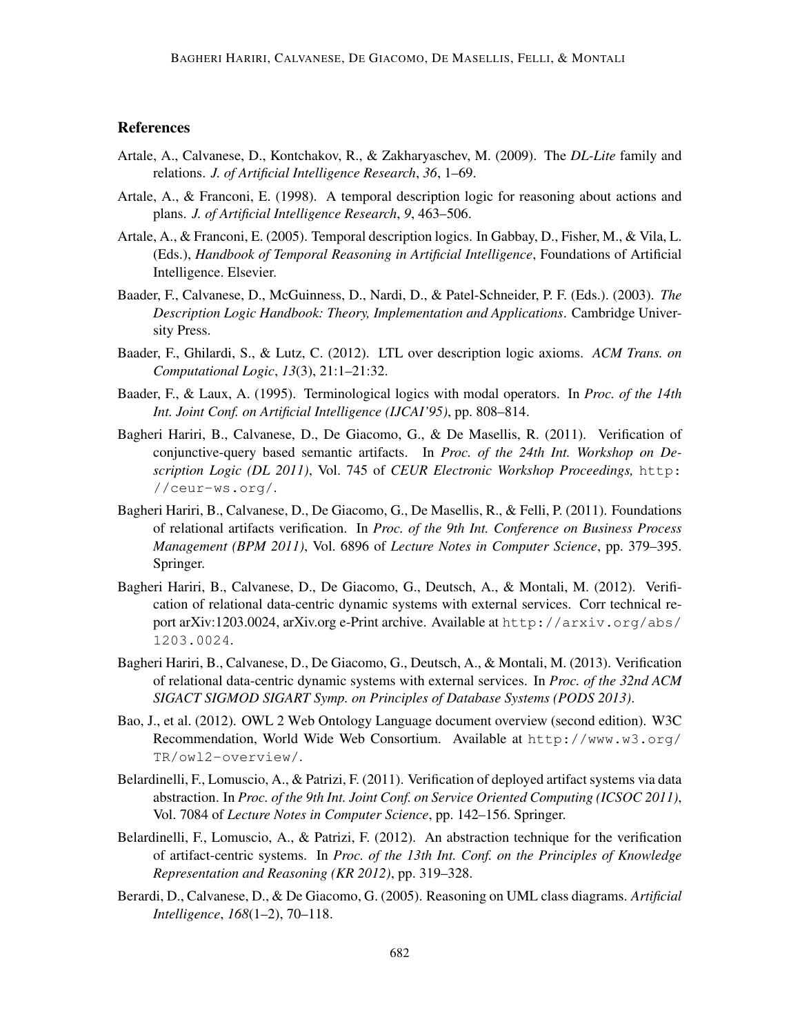# **References**

- Artale, A., Calvanese, D., Kontchakov, R., & Zakharyaschev, M. (2009). The *DL-Lite* family and relations. *J. of Artificial Intelligence Research*, *36*, 1–69.
- Artale, A., & Franconi, E. (1998). A temporal description logic for reasoning about actions and plans. *J. of Artificial Intelligence Research*, *9*, 463–506.
- Artale, A., & Franconi, E. (2005). Temporal description logics. In Gabbay, D., Fisher, M., & Vila, L. (Eds.), *Handbook of Temporal Reasoning in Artificial Intelligence*, Foundations of Artificial Intelligence. Elsevier.
- Baader, F., Calvanese, D., McGuinness, D., Nardi, D., & Patel-Schneider, P. F. (Eds.). (2003). *The Description Logic Handbook: Theory, Implementation and Applications*. Cambridge University Press.
- Baader, F., Ghilardi, S., & Lutz, C. (2012). LTL over description logic axioms. *ACM Trans. on Computational Logic*, *13*(3), 21:1–21:32.
- Baader, F., & Laux, A. (1995). Terminological logics with modal operators. In *Proc. of the 14th Int. Joint Conf. on Artificial Intelligence (IJCAI'95)*, pp. 808–814.
- Bagheri Hariri, B., Calvanese, D., De Giacomo, G., & De Masellis, R. (2011). Verification of conjunctive-query based semantic artifacts. In *Proc. of the 24th Int. Workshop on Description Logic (DL 2011)*, Vol. 745 of *CEUR Electronic Workshop Proceedings,* http: //ceur-ws.org/.
- Bagheri Hariri, B., Calvanese, D., De Giacomo, G., De Masellis, R., & Felli, P. (2011). Foundations of relational artifacts verification. In *Proc. of the 9th Int. Conference on Business Process Management (BPM 2011)*, Vol. 6896 of *Lecture Notes in Computer Science*, pp. 379–395. Springer.
- Bagheri Hariri, B., Calvanese, D., De Giacomo, G., Deutsch, A., & Montali, M. (2012). Verification of relational data-centric dynamic systems with external services. Corr technical report arXiv:1203.0024, arXiv.org e-Print archive. Available at http://arxiv.org/abs/ 1203.0024.
- Bagheri Hariri, B., Calvanese, D., De Giacomo, G., Deutsch, A., & Montali, M. (2013). Verification of relational data-centric dynamic systems with external services. In *Proc. of the 32nd ACM SIGACT SIGMOD SIGART Symp. on Principles of Database Systems (PODS 2013)*.
- Bao, J., et al. (2012). OWL 2 Web Ontology Language document overview (second edition). W3C Recommendation, World Wide Web Consortium. Available at http://www.w3.org/ TR/owl2-overview/.
- Belardinelli, F., Lomuscio, A., & Patrizi, F. (2011). Verification of deployed artifact systems via data abstraction. In *Proc. of the 9th Int. Joint Conf. on Service Oriented Computing (ICSOC 2011)*, Vol. 7084 of *Lecture Notes in Computer Science*, pp. 142–156. Springer.
- Belardinelli, F., Lomuscio, A., & Patrizi, F. (2012). An abstraction technique for the verification of artifact-centric systems. In *Proc. of the 13th Int. Conf. on the Principles of Knowledge Representation and Reasoning (KR 2012)*, pp. 319–328.
- Berardi, D., Calvanese, D., & De Giacomo, G. (2005). Reasoning on UML class diagrams. *Artificial Intelligence*, *168*(1–2), 70–118.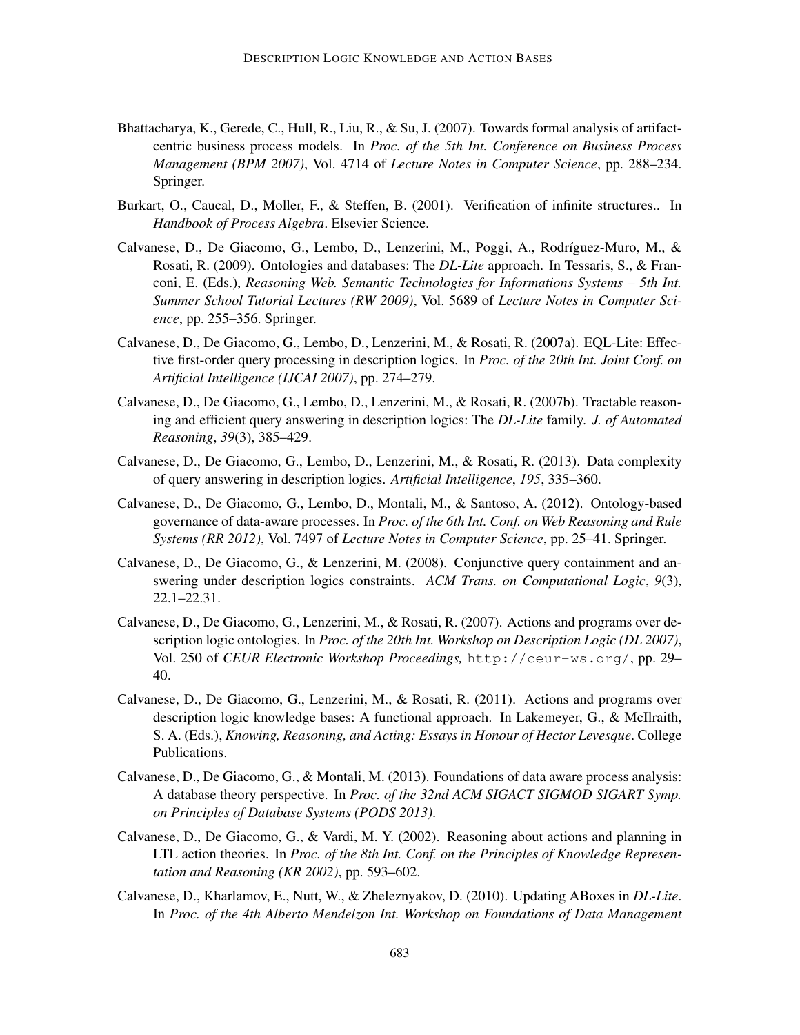- Bhattacharya, K., Gerede, C., Hull, R., Liu, R., & Su, J. (2007). Towards formal analysis of artifactcentric business process models. In *Proc. of the 5th Int. Conference on Business Process Management (BPM 2007)*, Vol. 4714 of *Lecture Notes in Computer Science*, pp. 288–234. Springer.
- Burkart, O., Caucal, D., Moller, F., & Steffen, B. (2001). Verification of infinite structures.. In *Handbook of Process Algebra*. Elsevier Science.
- Calvanese, D., De Giacomo, G., Lembo, D., Lenzerini, M., Poggi, A., Rodríguez-Muro, M., & Rosati, R. (2009). Ontologies and databases: The *DL-Lite* approach. In Tessaris, S., & Franconi, E. (Eds.), *Reasoning Web. Semantic Technologies for Informations Systems – 5th Int. Summer School Tutorial Lectures (RW 2009)*, Vol. 5689 of *Lecture Notes in Computer Science*, pp. 255–356. Springer.
- Calvanese, D., De Giacomo, G., Lembo, D., Lenzerini, M., & Rosati, R. (2007a). EQL-Lite: Effective first-order query processing in description logics. In *Proc. of the 20th Int. Joint Conf. on Artificial Intelligence (IJCAI 2007)*, pp. 274–279.
- Calvanese, D., De Giacomo, G., Lembo, D., Lenzerini, M., & Rosati, R. (2007b). Tractable reasoning and efficient query answering in description logics: The *DL-Lite* family. *J. of Automated Reasoning*, *39*(3), 385–429.
- Calvanese, D., De Giacomo, G., Lembo, D., Lenzerini, M., & Rosati, R. (2013). Data complexity of query answering in description logics. *Artificial Intelligence*, *195*, 335–360.
- Calvanese, D., De Giacomo, G., Lembo, D., Montali, M., & Santoso, A. (2012). Ontology-based governance of data-aware processes. In *Proc. of the 6th Int. Conf. on Web Reasoning and Rule Systems (RR 2012)*, Vol. 7497 of *Lecture Notes in Computer Science*, pp. 25–41. Springer.
- Calvanese, D., De Giacomo, G., & Lenzerini, M. (2008). Conjunctive query containment and answering under description logics constraints. *ACM Trans. on Computational Logic*, *9*(3), 22.1–22.31.
- Calvanese, D., De Giacomo, G., Lenzerini, M., & Rosati, R. (2007). Actions and programs over description logic ontologies. In *Proc. of the 20th Int. Workshop on Description Logic (DL 2007)*, Vol. 250 of *CEUR Electronic Workshop Proceedings,* http://ceur-ws.org/, pp. 29– 40.
- Calvanese, D., De Giacomo, G., Lenzerini, M., & Rosati, R. (2011). Actions and programs over description logic knowledge bases: A functional approach. In Lakemeyer, G., & McIlraith, S. A. (Eds.), *Knowing, Reasoning, and Acting: Essays in Honour of Hector Levesque*. College Publications.
- Calvanese, D., De Giacomo, G., & Montali, M. (2013). Foundations of data aware process analysis: A database theory perspective. In *Proc. of the 32nd ACM SIGACT SIGMOD SIGART Symp. on Principles of Database Systems (PODS 2013)*.
- Calvanese, D., De Giacomo, G., & Vardi, M. Y. (2002). Reasoning about actions and planning in LTL action theories. In *Proc. of the 8th Int. Conf. on the Principles of Knowledge Representation and Reasoning (KR 2002)*, pp. 593–602.
- Calvanese, D., Kharlamov, E., Nutt, W., & Zheleznyakov, D. (2010). Updating ABoxes in *DL-Lite*. In *Proc. of the 4th Alberto Mendelzon Int. Workshop on Foundations of Data Management*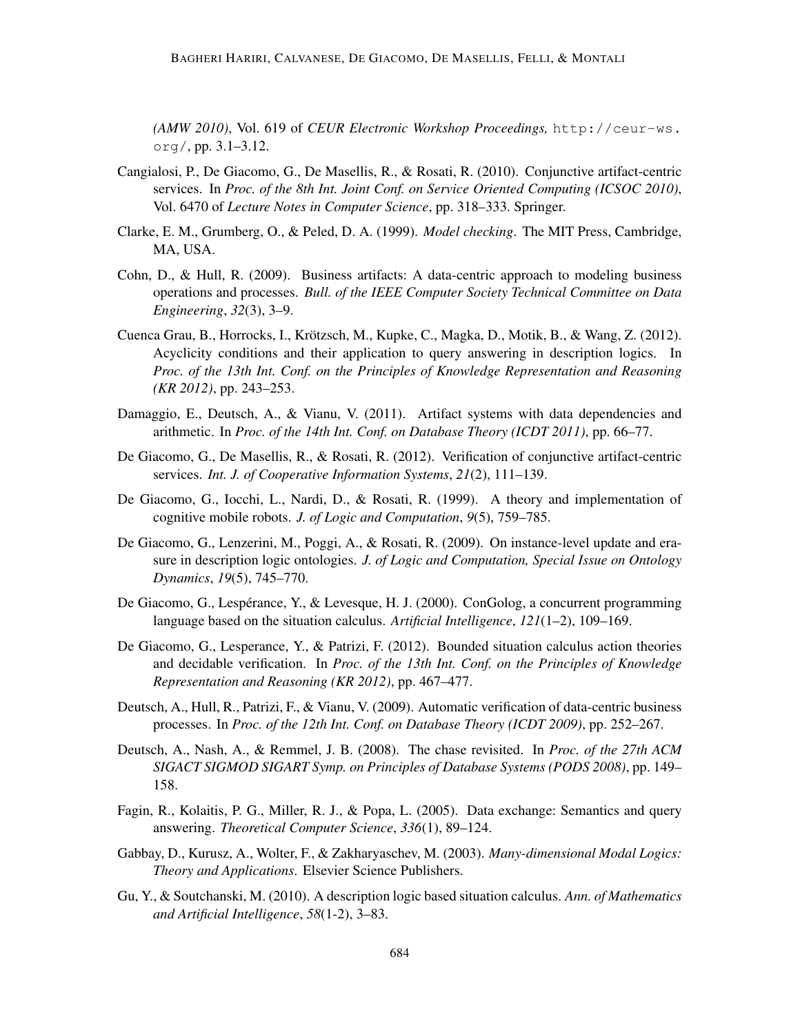*(AMW 2010)*, Vol. 619 of *CEUR Electronic Workshop Proceedings,* http://ceur-ws. org/, pp. 3.1–3.12.

- Cangialosi, P., De Giacomo, G., De Masellis, R., & Rosati, R. (2010). Conjunctive artifact-centric services. In *Proc. of the 8th Int. Joint Conf. on Service Oriented Computing (ICSOC 2010)*, Vol. 6470 of *Lecture Notes in Computer Science*, pp. 318–333. Springer.
- Clarke, E. M., Grumberg, O., & Peled, D. A. (1999). *Model checking*. The MIT Press, Cambridge, MA, USA.
- Cohn, D., & Hull, R. (2009). Business artifacts: A data-centric approach to modeling business operations and processes. *Bull. of the IEEE Computer Society Technical Committee on Data Engineering*, *32*(3), 3–9.
- Cuenca Grau, B., Horrocks, I., Krotzsch, M., Kupke, C., Magka, D., Motik, B., & Wang, Z. (2012). ¨ Acyclicity conditions and their application to query answering in description logics. In *Proc. of the 13th Int. Conf. on the Principles of Knowledge Representation and Reasoning (KR 2012)*, pp. 243–253.
- Damaggio, E., Deutsch, A., & Vianu, V. (2011). Artifact systems with data dependencies and arithmetic. In *Proc. of the 14th Int. Conf. on Database Theory (ICDT 2011)*, pp. 66–77.
- De Giacomo, G., De Masellis, R., & Rosati, R. (2012). Verification of conjunctive artifact-centric services. *Int. J. of Cooperative Information Systems*, *21*(2), 111–139.
- De Giacomo, G., Iocchi, L., Nardi, D., & Rosati, R. (1999). A theory and implementation of cognitive mobile robots. *J. of Logic and Computation*, *9*(5), 759–785.
- De Giacomo, G., Lenzerini, M., Poggi, A., & Rosati, R. (2009). On instance-level update and erasure in description logic ontologies. *J. of Logic and Computation, Special Issue on Ontology Dynamics*, *19*(5), 745–770.
- De Giacomo, G., Lespérance, Y., & Levesque, H. J. (2000). ConGolog, a concurrent programming language based on the situation calculus. *Artificial Intelligence*, *121*(1–2), 109–169.
- De Giacomo, G., Lesperance, Y., & Patrizi, F. (2012). Bounded situation calculus action theories and decidable verification. In *Proc. of the 13th Int. Conf. on the Principles of Knowledge Representation and Reasoning (KR 2012)*, pp. 467–477.
- Deutsch, A., Hull, R., Patrizi, F., & Vianu, V. (2009). Automatic verification of data-centric business processes. In *Proc. of the 12th Int. Conf. on Database Theory (ICDT 2009)*, pp. 252–267.
- Deutsch, A., Nash, A., & Remmel, J. B. (2008). The chase revisited. In *Proc. of the 27th ACM SIGACT SIGMOD SIGART Symp. on Principles of Database Systems (PODS 2008)*, pp. 149– 158.
- Fagin, R., Kolaitis, P. G., Miller, R. J., & Popa, L. (2005). Data exchange: Semantics and query answering. *Theoretical Computer Science*, *336*(1), 89–124.
- Gabbay, D., Kurusz, A., Wolter, F., & Zakharyaschev, M. (2003). *Many-dimensional Modal Logics: Theory and Applications*. Elsevier Science Publishers.
- Gu, Y., & Soutchanski, M. (2010). A description logic based situation calculus. *Ann. of Mathematics and Artificial Intelligence*, *58*(1-2), 3–83.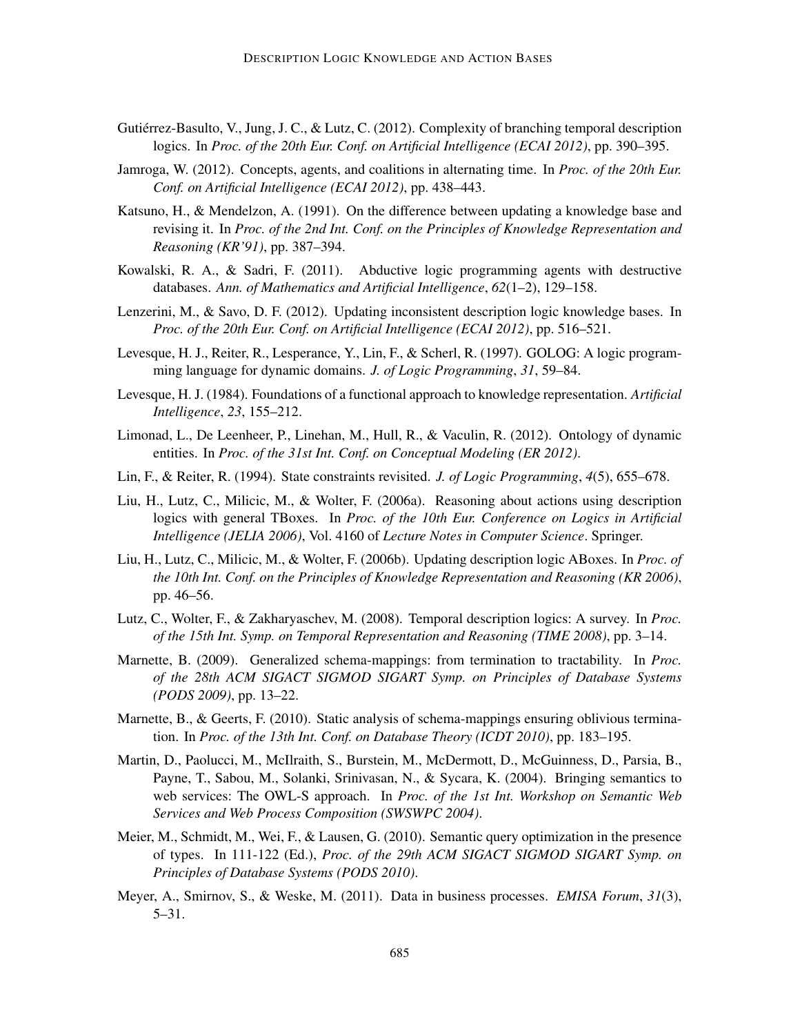- Gutiérrez-Basulto, V., Jung, J. C., & Lutz, C. (2012). Complexity of branching temporal description logics. In *Proc. of the 20th Eur. Conf. on Artificial Intelligence (ECAI 2012)*, pp. 390–395.
- Jamroga, W. (2012). Concepts, agents, and coalitions in alternating time. In *Proc. of the 20th Eur. Conf. on Artificial Intelligence (ECAI 2012)*, pp. 438–443.
- Katsuno, H., & Mendelzon, A. (1991). On the difference between updating a knowledge base and revising it. In *Proc. of the 2nd Int. Conf. on the Principles of Knowledge Representation and Reasoning (KR'91)*, pp. 387–394.
- Kowalski, R. A., & Sadri, F. (2011). Abductive logic programming agents with destructive databases. *Ann. of Mathematics and Artificial Intelligence*, *62*(1–2), 129–158.
- Lenzerini, M., & Savo, D. F. (2012). Updating inconsistent description logic knowledge bases. In *Proc. of the 20th Eur. Conf. on Artificial Intelligence (ECAI 2012)*, pp. 516–521.
- Levesque, H. J., Reiter, R., Lesperance, Y., Lin, F., & Scherl, R. (1997). GOLOG: A logic programming language for dynamic domains. *J. of Logic Programming*, *31*, 59–84.
- Levesque, H. J. (1984). Foundations of a functional approach to knowledge representation. *Artificial Intelligence*, *23*, 155–212.
- Limonad, L., De Leenheer, P., Linehan, M., Hull, R., & Vaculin, R. (2012). Ontology of dynamic entities. In *Proc. of the 31st Int. Conf. on Conceptual Modeling (ER 2012)*.
- Lin, F., & Reiter, R. (1994). State constraints revisited. *J. of Logic Programming*, *4*(5), 655–678.
- Liu, H., Lutz, C., Milicic, M., & Wolter, F. (2006a). Reasoning about actions using description logics with general TBoxes. In *Proc. of the 10th Eur. Conference on Logics in Artificial Intelligence (JELIA 2006)*, Vol. 4160 of *Lecture Notes in Computer Science*. Springer.
- Liu, H., Lutz, C., Milicic, M., & Wolter, F. (2006b). Updating description logic ABoxes. In *Proc. of the 10th Int. Conf. on the Principles of Knowledge Representation and Reasoning (KR 2006)*, pp. 46–56.
- Lutz, C., Wolter, F., & Zakharyaschev, M. (2008). Temporal description logics: A survey. In *Proc. of the 15th Int. Symp. on Temporal Representation and Reasoning (TIME 2008)*, pp. 3–14.
- Marnette, B. (2009). Generalized schema-mappings: from termination to tractability. In *Proc. of the 28th ACM SIGACT SIGMOD SIGART Symp. on Principles of Database Systems (PODS 2009)*, pp. 13–22.
- Marnette, B., & Geerts, F. (2010). Static analysis of schema-mappings ensuring oblivious termination. In *Proc. of the 13th Int. Conf. on Database Theory (ICDT 2010)*, pp. 183–195.
- Martin, D., Paolucci, M., McIlraith, S., Burstein, M., McDermott, D., McGuinness, D., Parsia, B., Payne, T., Sabou, M., Solanki, Srinivasan, N., & Sycara, K. (2004). Bringing semantics to web services: The OWL-S approach. In *Proc. of the 1st Int. Workshop on Semantic Web Services and Web Process Composition (SWSWPC 2004)*.
- Meier, M., Schmidt, M., Wei, F., & Lausen, G. (2010). Semantic query optimization in the presence of types. In 111-122 (Ed.), *Proc. of the 29th ACM SIGACT SIGMOD SIGART Symp. on Principles of Database Systems (PODS 2010)*.
- Meyer, A., Smirnov, S., & Weske, M. (2011). Data in business processes. *EMISA Forum*, *31*(3), 5–31.